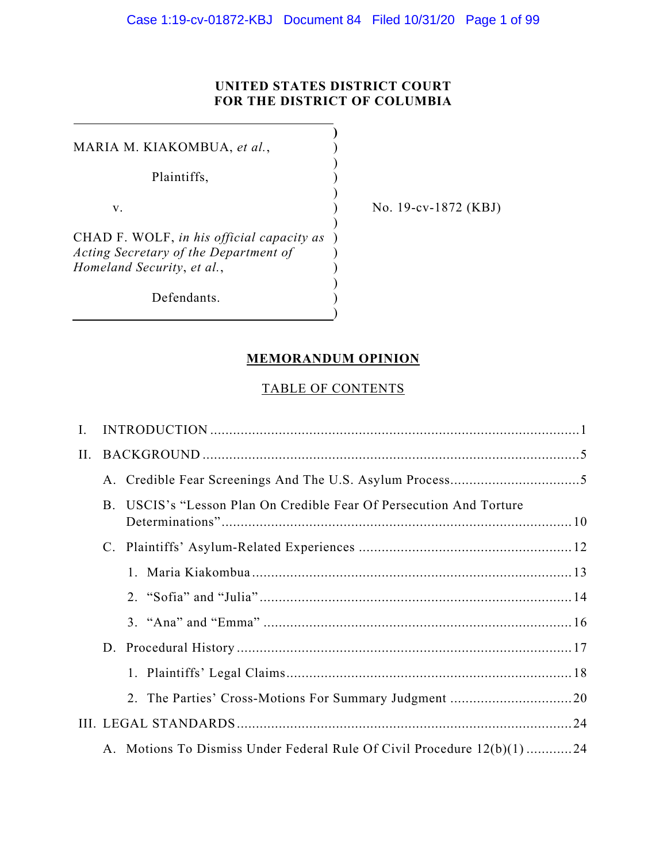## **UNITED STATES DISTRICT COURT FOR THE DISTRICT OF COLUMBIA**

**)**

)

)

)

) ) )

)

MARIA M. KIAKOMBUA, et al.,  $($ Plaintiffs,  $\qquad \qquad$ )

CHAD F. WOLF, *in his official capacity as*  ) *Acting Secretary of the Department of Homeland Security*, *et al.*,

Defendants.

v. ) No. 19-cv-1872 (KBJ)

## **MEMORANDUM OPINION**

## TABLE OF CONTENTS

| Ι.  |    |                                                                         |  |  |  |  |  |
|-----|----|-------------------------------------------------------------------------|--|--|--|--|--|
| II. |    |                                                                         |  |  |  |  |  |
|     |    |                                                                         |  |  |  |  |  |
|     | B. | USCIS's "Lesson Plan On Credible Fear Of Persecution And Torture        |  |  |  |  |  |
|     |    |                                                                         |  |  |  |  |  |
|     |    |                                                                         |  |  |  |  |  |
|     |    |                                                                         |  |  |  |  |  |
|     |    |                                                                         |  |  |  |  |  |
|     |    |                                                                         |  |  |  |  |  |
|     |    |                                                                         |  |  |  |  |  |
|     |    |                                                                         |  |  |  |  |  |
|     |    |                                                                         |  |  |  |  |  |
|     |    | A. Motions To Dismiss Under Federal Rule Of Civil Procedure 12(b)(1) 24 |  |  |  |  |  |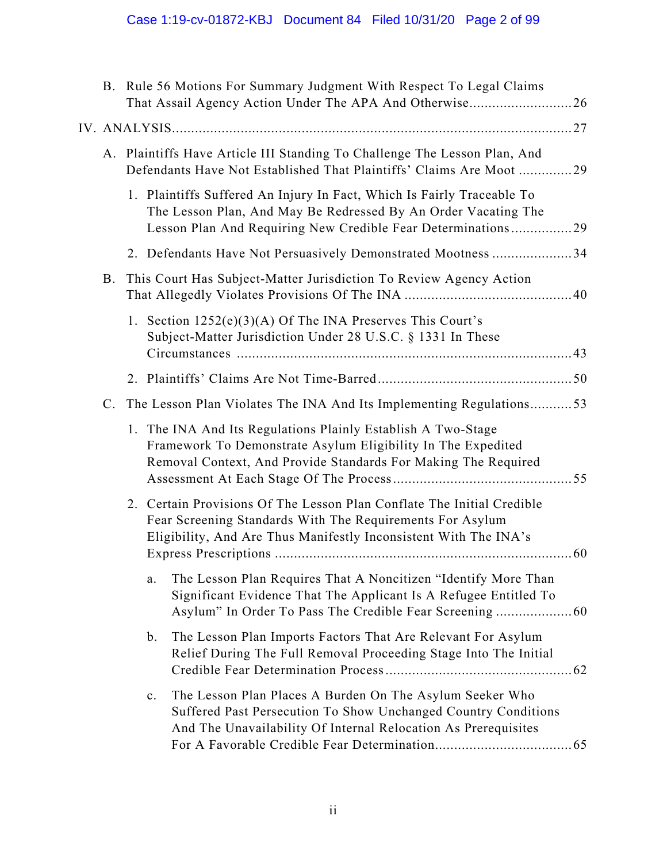| A. Plaintiffs Have Article III Standing To Challenge The Lesson Plan, And<br>Defendants Have Not Established That Plaintiffs' Claims Are Moot 29<br>The Lesson Plan, And May Be Redressed By An Order Vacating The<br>Lesson Plan And Requiring New Credible Fear Determinations29<br>2. Defendants Have Not Persuasively Demonstrated Mootness 34 |  |  |  |  |  |
|----------------------------------------------------------------------------------------------------------------------------------------------------------------------------------------------------------------------------------------------------------------------------------------------------------------------------------------------------|--|--|--|--|--|
|                                                                                                                                                                                                                                                                                                                                                    |  |  |  |  |  |
|                                                                                                                                                                                                                                                                                                                                                    |  |  |  |  |  |
|                                                                                                                                                                                                                                                                                                                                                    |  |  |  |  |  |
|                                                                                                                                                                                                                                                                                                                                                    |  |  |  |  |  |
|                                                                                                                                                                                                                                                                                                                                                    |  |  |  |  |  |
|                                                                                                                                                                                                                                                                                                                                                    |  |  |  |  |  |
|                                                                                                                                                                                                                                                                                                                                                    |  |  |  |  |  |
| The Lesson Plan Violates The INA And Its Implementing Regulations53                                                                                                                                                                                                                                                                                |  |  |  |  |  |
| 1. The INA And Its Regulations Plainly Establish A Two-Stage<br>Framework To Demonstrate Asylum Eligibility In The Expedited<br>Removal Context, And Provide Standards For Making The Required                                                                                                                                                     |  |  |  |  |  |
| 2. Certain Provisions Of The Lesson Plan Conflate The Initial Credible                                                                                                                                                                                                                                                                             |  |  |  |  |  |
| The Lesson Plan Requires That A Noncitizen "Identify More Than<br>Significant Evidence That The Applicant Is A Refugee Entitled To<br>Asylum" In Order To Pass The Credible Fear Screening  60                                                                                                                                                     |  |  |  |  |  |
| The Lesson Plan Imports Factors That Are Relevant For Asylum<br>Relief During The Full Removal Proceeding Stage Into The Initial                                                                                                                                                                                                                   |  |  |  |  |  |
| Suffered Past Persecution To Show Unchanged Country Conditions                                                                                                                                                                                                                                                                                     |  |  |  |  |  |
| The Lesson Plan Places A Burden On The Asylum Seeker Who<br>And The Unavailability Of Internal Relocation As Prerequisites                                                                                                                                                                                                                         |  |  |  |  |  |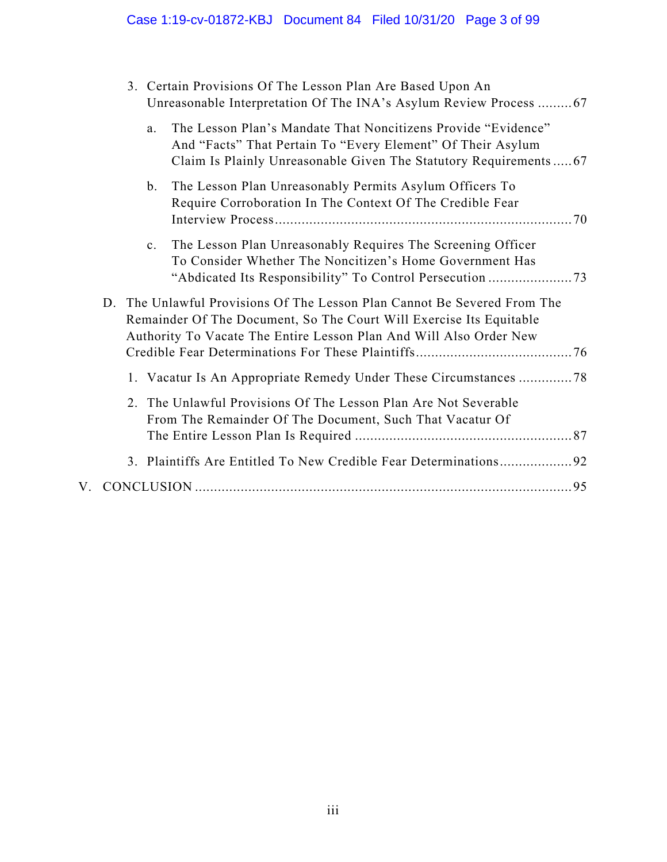# Case 1:19-cv-01872-KBJ Document 84 Filed 10/31/20 Page 3 of 99

|  |             | 3. Certain Provisions Of The Lesson Plan Are Based Upon An<br>Unreasonable Interpretation Of The INA's Asylum Review Process  67                                                                                      |  |
|--|-------------|-----------------------------------------------------------------------------------------------------------------------------------------------------------------------------------------------------------------------|--|
|  | a.          | The Lesson Plan's Mandate That Noncitizens Provide "Evidence"<br>And "Facts" That Pertain To "Every Element" Of Their Asylum<br>Claim Is Plainly Unreasonable Given The Statutory Requirements67                      |  |
|  | b.          | The Lesson Plan Unreasonably Permits Asylum Officers To<br>Require Corroboration In The Context Of The Credible Fear                                                                                                  |  |
|  | $c_{\cdot}$ | The Lesson Plan Unreasonably Requires The Screening Officer<br>To Consider Whether The Noncitizen's Home Government Has                                                                                               |  |
|  |             | D. The Unlawful Provisions Of The Lesson Plan Cannot Be Severed From The<br>Remainder Of The Document, So The Court Will Exercise Its Equitable<br>Authority To Vacate The Entire Lesson Plan And Will Also Order New |  |
|  |             | 1. Vacatur Is An Appropriate Remedy Under These Circumstances 78                                                                                                                                                      |  |
|  |             | 2. The Unlawful Provisions Of The Lesson Plan Are Not Severable<br>From The Remainder Of The Document, Such That Vacatur Of                                                                                           |  |
|  |             | 3. Plaintiffs Are Entitled To New Credible Fear Determinations92                                                                                                                                                      |  |
|  |             |                                                                                                                                                                                                                       |  |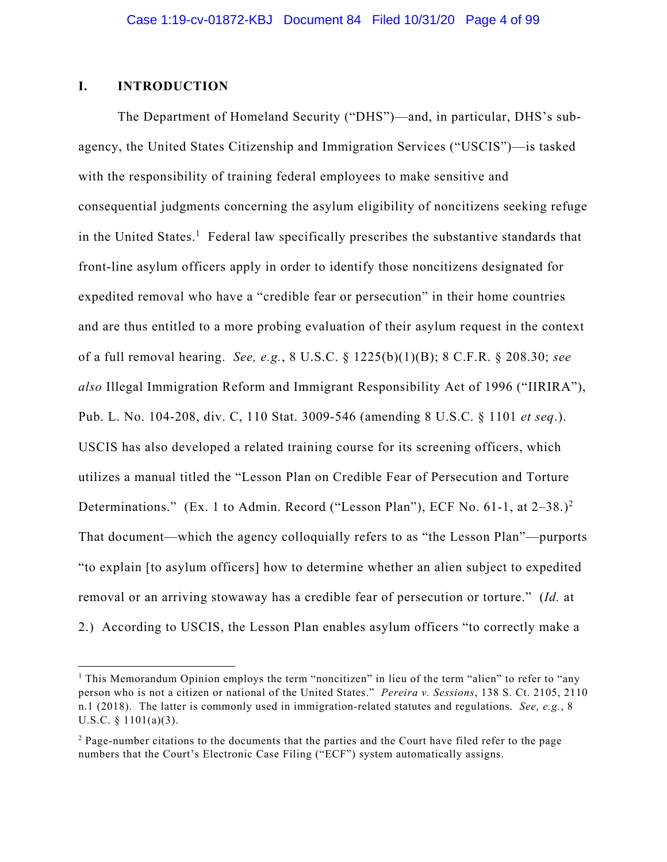## **I. INTRODUCTION**

The Department of Homeland Security ("DHS")—and, in particular, DHS's subagency, the United States Citizenship and Immigration Services ("USCIS")—is tasked with the responsibility of training federal employees to make sensitive and consequential judgments concerning the asylum eligibility of noncitizens seeking refuge in the United States.<sup>1</sup> Federal law specifically prescribes the substantive standards that front-line asylum officers apply in order to identify those noncitizens designated for expedited removal who have a "credible fear or persecution" in their home countries and are thus entitled to a more probing evaluation of their asylum request in the context of a full removal hearing. *See, e.g.*, 8 U.S.C. § 1225(b)(1)(B); 8 C.F.R. § 208.30; *see also* Illegal Immigration Reform and Immigrant Responsibility Act of 1996 ("IIRIRA"), Pub. L. No. 104-208, div. C, 110 Stat. 3009-546 (amending 8 U.S.C. § 1101 *et seq*.). USCIS has also developed a related training course for its screening officers, which utilizes a manual titled the "Lesson Plan on Credible Fear of Persecution and Torture Determinations." (Ex. 1 to Admin. Record ("Lesson Plan"), ECF No. 61-1, at 2-38.)<sup>2</sup> That document—which the agency colloquially refers to as "the Lesson Plan"—purports "to explain [to asylum officers] how to determine whether an alien subject to expedited removal or an arriving stowaway has a credible fear of persecution or torture." (*Id.* at 2.) According to USCIS, the Lesson Plan enables asylum officers "to correctly make a

<sup>&</sup>lt;sup>1</sup> This Memorandum Opinion employs the term "noncitizen" in lieu of the term "alien" to refer to "any person who is not a citizen or national of the United States." *Pereira v. Sessions*, 138 S. Ct. 2105, 2110 n.1 (2018). The latter is commonly used in immigration-related statutes and regulations. *See, e.g.*, 8 U.S.C.  $\S$  1101(a)(3).

<sup>&</sup>lt;sup>2</sup> Page-number citations to the documents that the parties and the Court have filed refer to the page numbers that the Court's Electronic Case Filing ("ECF") system automatically assigns.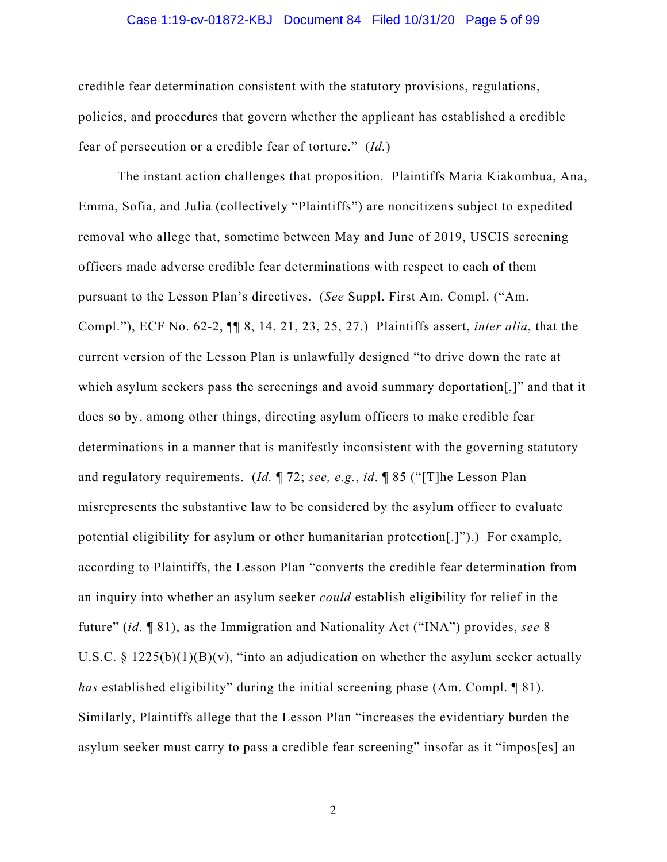#### Case 1:19-cv-01872-KBJ Document 84 Filed 10/31/20 Page 5 of 99

credible fear determination consistent with the statutory provisions, regulations, policies, and procedures that govern whether the applicant has established a credible fear of persecution or a credible fear of torture." (*Id.*)

The instant action challenges that proposition. Plaintiffs Maria Kiakombua, Ana, Emma, Sofia, and Julia (collectively "Plaintiffs") are noncitizens subject to expedited removal who allege that, sometime between May and June of 2019, USCIS screening officers made adverse credible fear determinations with respect to each of them pursuant to the Lesson Plan's directives. (*See* Suppl. First Am. Compl. ("Am. Compl."), ECF No. 62-2, ¶¶ 8, 14, 21, 23, 25, 27.) Plaintiffs assert, *inter alia*, that the current version of the Lesson Plan is unlawfully designed "to drive down the rate at which asylum seekers pass the screenings and avoid summary deportation<sup>[1]</sup>, and that it does so by, among other things, directing asylum officers to make credible fear determinations in a manner that is manifestly inconsistent with the governing statutory and regulatory requirements. (*Id.* ¶ 72; *see, e.g.*, *id*. ¶ 85 ("[T]he Lesson Plan misrepresents the substantive law to be considered by the asylum officer to evaluate potential eligibility for asylum or other humanitarian protection[.]").) For example, according to Plaintiffs, the Lesson Plan "converts the credible fear determination from an inquiry into whether an asylum seeker *could* establish eligibility for relief in the future" (*id*. ¶ 81), as the Immigration and Nationality Act ("INA") provides, *see* 8 U.S.C. § 1225(b)(1)(B)(v), "into an adjudication on whether the asylum seeker actually *has* established eligibility" during the initial screening phase (Am. Compl. ¶ 81). Similarly, Plaintiffs allege that the Lesson Plan "increases the evidentiary burden the asylum seeker must carry to pass a credible fear screening" insofar as it "impos[es] an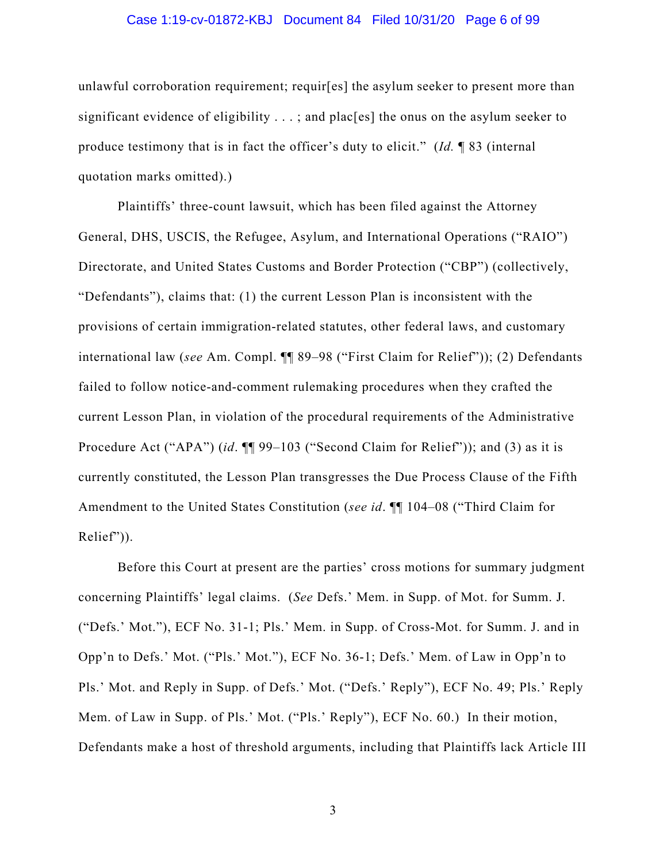#### Case 1:19-cv-01872-KBJ Document 84 Filed 10/31/20 Page 6 of 99

unlawful corroboration requirement; requir[es] the asylum seeker to present more than significant evidence of eligibility  $\dots$ ; and plac[es] the onus on the asylum seeker to produce testimony that is in fact the officer's duty to elicit." (*Id.* ¶ 83 (internal quotation marks omitted).)

Plaintiffs' three-count lawsuit, which has been filed against the Attorney General, DHS, USCIS, the Refugee, Asylum, and International Operations ("RAIO") Directorate, and United States Customs and Border Protection ("CBP") (collectively, "Defendants"), claims that: (1) the current Lesson Plan is inconsistent with the provisions of certain immigration-related statutes, other federal laws, and customary international law (*see* Am. Compl. ¶¶ 89–98 ("First Claim for Relief")); (2) Defendants failed to follow notice-and-comment rulemaking procedures when they crafted the current Lesson Plan, in violation of the procedural requirements of the Administrative Procedure Act ("APA") (*id*. ¶¶ 99–103 ("Second Claim for Relief")); and (3) as it is currently constituted, the Lesson Plan transgresses the Due Process Clause of the Fifth Amendment to the United States Constitution (*see id*. ¶¶ 104–08 ("Third Claim for Relief")).

Before this Court at present are the parties' cross motions for summary judgment concerning Plaintiffs' legal claims. (*See* Defs.' Mem. in Supp. of Mot. for Summ. J. ("Defs.' Mot."), ECF No. 31-1; Pls.' Mem. in Supp. of Cross-Mot. for Summ. J. and in Opp'n to Defs.' Mot. ("Pls.' Mot."), ECF No. 36-1; Defs.' Mem. of Law in Opp'n to Pls.' Mot. and Reply in Supp. of Defs.' Mot. ("Defs.' Reply"), ECF No. 49; Pls.' Reply Mem. of Law in Supp. of Pls.' Mot. ("Pls.' Reply"), ECF No. 60.) In their motion, Defendants make a host of threshold arguments, including that Plaintiffs lack Article III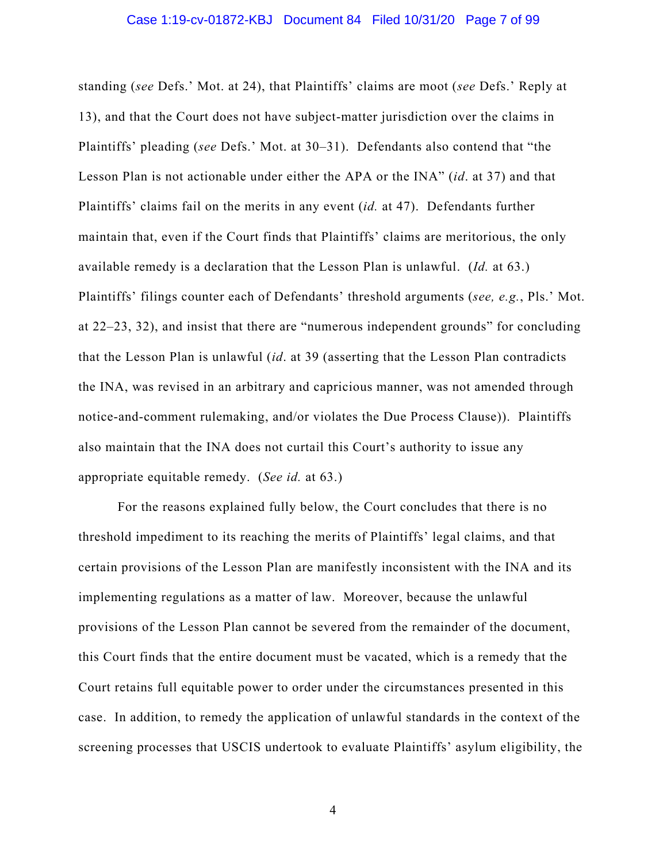#### Case 1:19-cv-01872-KBJ Document 84 Filed 10/31/20 Page 7 of 99

standing (*see* Defs.' Mot. at 24), that Plaintiffs' claims are moot (*see* Defs.' Reply at 13), and that the Court does not have subject-matter jurisdiction over the claims in Plaintiffs' pleading (*see* Defs.' Mot. at 30–31). Defendants also contend that "the Lesson Plan is not actionable under either the APA or the INA" (*id*. at 37) and that Plaintiffs' claims fail on the merits in any event (*id.* at 47). Defendants further maintain that, even if the Court finds that Plaintiffs' claims are meritorious, the only available remedy is a declaration that the Lesson Plan is unlawful. (*Id.* at 63.) Plaintiffs' filings counter each of Defendants' threshold arguments (*see, e.g.*, Pls.' Mot. at 22–23, 32), and insist that there are "numerous independent grounds" for concluding that the Lesson Plan is unlawful (*id*. at 39 (asserting that the Lesson Plan contradicts the INA, was revised in an arbitrary and capricious manner, was not amended through notice-and-comment rulemaking, and/or violates the Due Process Clause)). Plaintiffs also maintain that the INA does not curtail this Court's authority to issue any appropriate equitable remedy. (*See id.* at 63.)

For the reasons explained fully below, the Court concludes that there is no threshold impediment to its reaching the merits of Plaintiffs' legal claims, and that certain provisions of the Lesson Plan are manifestly inconsistent with the INA and its implementing regulations as a matter of law. Moreover, because the unlawful provisions of the Lesson Plan cannot be severed from the remainder of the document, this Court finds that the entire document must be vacated, which is a remedy that the Court retains full equitable power to order under the circumstances presented in this case. In addition, to remedy the application of unlawful standards in the context of the screening processes that USCIS undertook to evaluate Plaintiffs' asylum eligibility, the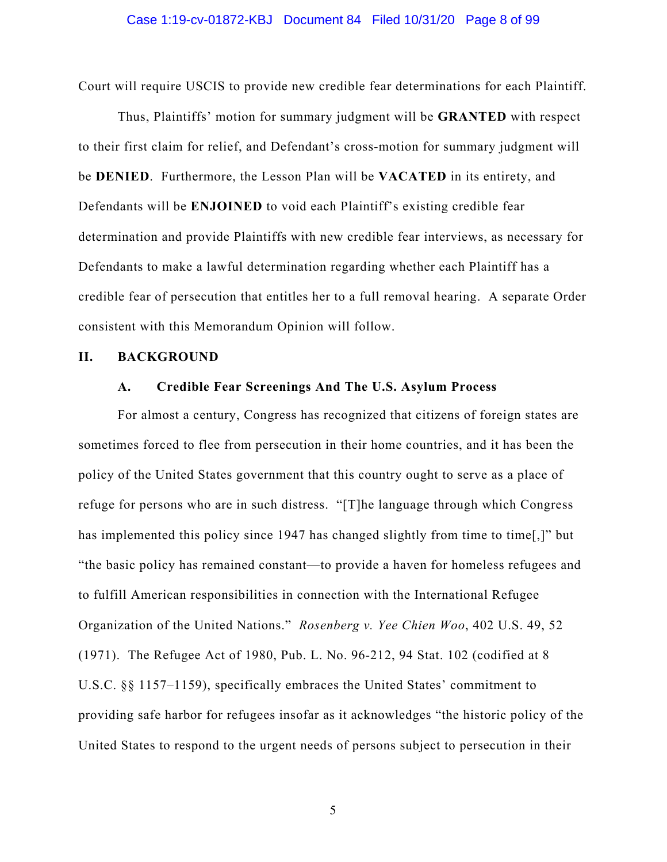Court will require USCIS to provide new credible fear determinations for each Plaintiff.

Thus, Plaintiffs' motion for summary judgment will be **GRANTED** with respect to their first claim for relief, and Defendant's cross-motion for summary judgment will be **DENIED**. Furthermore, the Lesson Plan will be **VACATED** in its entirety, and Defendants will be **ENJOINED** to void each Plaintiff's existing credible fear determination and provide Plaintiffs with new credible fear interviews, as necessary for Defendants to make a lawful determination regarding whether each Plaintiff has a credible fear of persecution that entitles her to a full removal hearing. A separate Order consistent with this Memorandum Opinion will follow.

#### **II. BACKGROUND**

## **A. Credible Fear Screenings And The U.S. Asylum Process**

For almost a century, Congress has recognized that citizens of foreign states are sometimes forced to flee from persecution in their home countries, and it has been the policy of the United States government that this country ought to serve as a place of refuge for persons who are in such distress. "[T]he language through which Congress has implemented this policy since 1947 has changed slightly from time to time[,]" but "the basic policy has remained constant—to provide a haven for homeless refugees and to fulfill American responsibilities in connection with the International Refugee Organization of the United Nations." *Rosenberg v. Yee Chien Woo*, 402 U.S. 49, 52 (1971). The Refugee Act of 1980, Pub. L. No. 96-212, 94 Stat. 102 (codified at 8 U.S.C. §§ 1157–1159), specifically embraces the United States' commitment to providing safe harbor for refugees insofar as it acknowledges "the historic policy of the United States to respond to the urgent needs of persons subject to persecution in their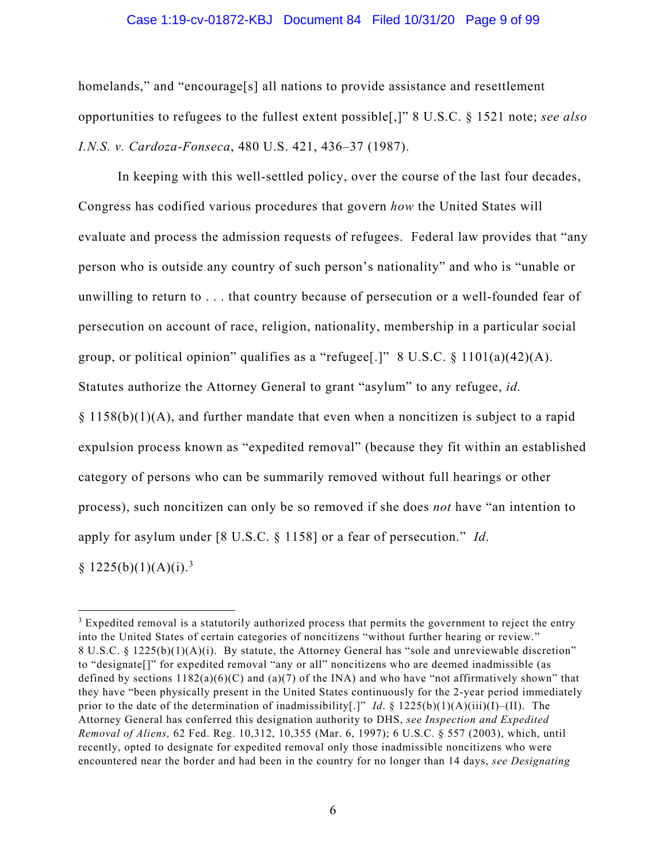#### Case 1:19-cv-01872-KBJ Document 84 Filed 10/31/20 Page 9 of 99

homelands," and "encourage[s] all nations to provide assistance and resettlement opportunities to refugees to the fullest extent possible[,]" 8 U.S.C. § 1521 note; *see also I.N.S. v. Cardoza-Fonseca*, 480 U.S. 421, 436–37 (1987).

In keeping with this well-settled policy, over the course of the last four decades, Congress has codified various procedures that govern *how* the United States will evaluate and process the admission requests of refugees. Federal law provides that "any person who is outside any country of such person's nationality" and who is "unable or unwilling to return to . . . that country because of persecution or a well-founded fear of persecution on account of race, religion, nationality, membership in a particular social group, or political opinion" qualifies as a "refugee[.]"  $8 \text{ U.S.C.} \$   $1101(a)(42)(A)$ . Statutes authorize the Attorney General to grant "asylum" to any refugee, *id.*  § 1158(b)(1)(A), and further mandate that even when a noncitizen is subject to a rapid expulsion process known as "expedited removal" (because they fit within an established category of persons who can be summarily removed without full hearings or other process), such noncitizen can only be so removed if she does *not* have "an intention to apply for asylum under [8 U.S.C. § 1158] or a fear of persecution." *Id*. § 1225(b)(1)(A)(i).<sup>3</sup>

<sup>&</sup>lt;sup>3</sup> Expedited removal is a statutorily authorized process that permits the government to reject the entry into the United States of certain categories of noncitizens "without further hearing or review." 8 U.S.C. § 1225(b)(1)(A)(i). By statute, the Attorney General has "sole and unreviewable discretion" to "designate[]" for expedited removal "any or all" noncitizens who are deemed inadmissible (as defined by sections  $1182(a)(6)(C)$  and  $(a)(7)$  of the INA) and who have "not affirmatively shown" that they have "been physically present in the United States continuously for the 2-year period immediately prior to the date of the determination of inadmissibility[.]" *Id.* § 1225(b)(1)(A)(iii)(I)–(II). The Attorney General has conferred this designation authority to DHS, *see Inspection and Expedited Removal of Aliens,* 62 Fed. Reg. 10,312, 10,355 (Mar. 6, 1997); 6 U.S.C. § 557 (2003), which, until recently, opted to designate for expedited removal only those inadmissible noncitizens who were encountered near the border and had been in the country for no longer than 14 days, *see Designating*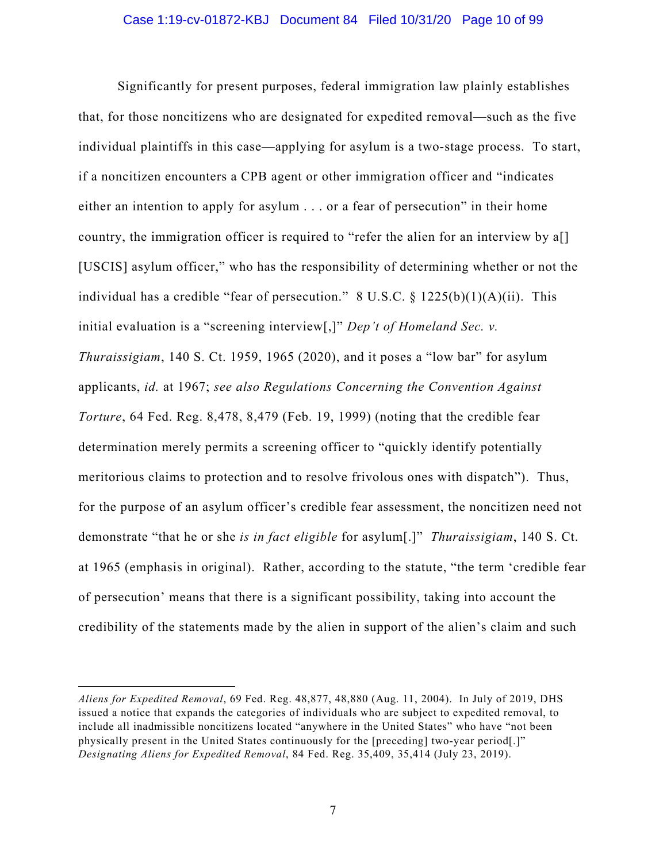#### Case 1:19-cv-01872-KBJ Document 84 Filed 10/31/20 Page 10 of 99

Significantly for present purposes, federal immigration law plainly establishes that, for those noncitizens who are designated for expedited removal—such as the five individual plaintiffs in this case—applying for asylum is a two-stage process. To start, if a noncitizen encounters a CPB agent or other immigration officer and "indicates either an intention to apply for asylum . . . or a fear of persecution" in their home country, the immigration officer is required to "refer the alien for an interview by a[] [USCIS] asylum officer," who has the responsibility of determining whether or not the individual has a credible "fear of persecution." 8 U.S.C.  $\S$  1225(b)(1)(A)(ii). This initial evaluation is a "screening interview[,]" *Dep't of Homeland Sec. v. Thuraissigiam*, 140 S. Ct. 1959, 1965 (2020), and it poses a "low bar" for asylum applicants, *id.* at 1967; *see also Regulations Concerning the Convention Against Torture*, 64 Fed. Reg. 8,478, 8,479 (Feb. 19, 1999) (noting that the credible fear determination merely permits a screening officer to "quickly identify potentially meritorious claims to protection and to resolve frivolous ones with dispatch"). Thus, for the purpose of an asylum officer's credible fear assessment, the noncitizen need not demonstrate "that he or she *is in fact eligible* for asylum[.]" *Thuraissigiam*, 140 S. Ct. at 1965 (emphasis in original). Rather, according to the statute, "the term 'credible fear of persecution' means that there is a significant possibility, taking into account the credibility of the statements made by the alien in support of the alien's claim and such

*Aliens for Expedited Removal*, 69 Fed. Reg. 48,877, 48,880 (Aug. 11, 2004). In July of 2019, DHS issued a notice that expands the categories of individuals who are subject to expedited removal, to include all inadmissible noncitizens located "anywhere in the United States" who have "not been physically present in the United States continuously for the [preceding] two-year period[.]" *Designating Aliens for Expedited Removal*, 84 Fed. Reg. 35,409, 35,414 (July 23, 2019).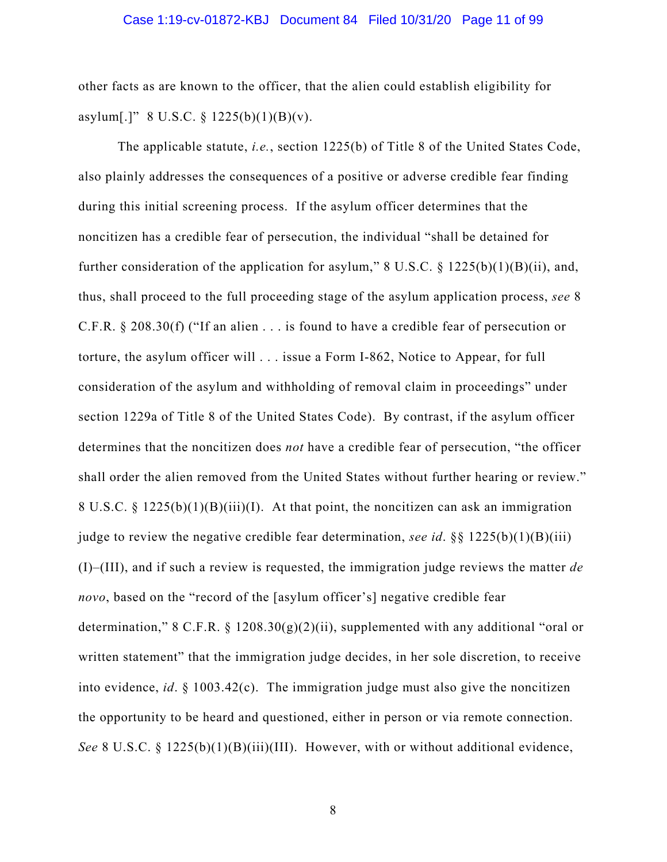#### Case 1:19-cv-01872-KBJ Document 84 Filed 10/31/20 Page 11 of 99

other facts as are known to the officer, that the alien could establish eligibility for asylum[.]" 8 U.S.C.  $\S$  1225(b)(1)(B)(v).

The applicable statute, *i.e.*, section 1225(b) of Title 8 of the United States Code, also plainly addresses the consequences of a positive or adverse credible fear finding during this initial screening process. If the asylum officer determines that the noncitizen has a credible fear of persecution, the individual "shall be detained for further consideration of the application for asylum,"  $8 \text{ U.S.C. } 8 \frac{1225(b)(1)(B)(ii)}{100(1)(B)(iii)}$ , and, thus, shall proceed to the full proceeding stage of the asylum application process, *see* 8 C.F.R. § 208.30(f) ("If an alien . . . is found to have a credible fear of persecution or torture, the asylum officer will . . . issue a Form I-862, Notice to Appear, for full consideration of the asylum and withholding of removal claim in proceedings" under section 1229a of Title 8 of the United States Code). By contrast, if the asylum officer determines that the noncitizen does *not* have a credible fear of persecution, "the officer shall order the alien removed from the United States without further hearing or review." 8 U.S.C. § 1225(b)(1)(B)(iii)(I). At that point, the noncitizen can ask an immigration judge to review the negative credible fear determination, *see id.*  $\S 1225(b)(1)(B)(iii)$ (I)–(III), and if such a review is requested, the immigration judge reviews the matter *de novo*, based on the "record of the [asylum officer's] negative credible fear determination," 8 C.F.R. § 1208.30(g)(2)(ii), supplemented with any additional "oral or written statement" that the immigration judge decides, in her sole discretion, to receive into evidence, *id*. § 1003.42(c). The immigration judge must also give the noncitizen the opportunity to be heard and questioned, either in person or via remote connection. *See* 8 U.S.C. § 1225(b)(1)(B)(iii)(III). However, with or without additional evidence,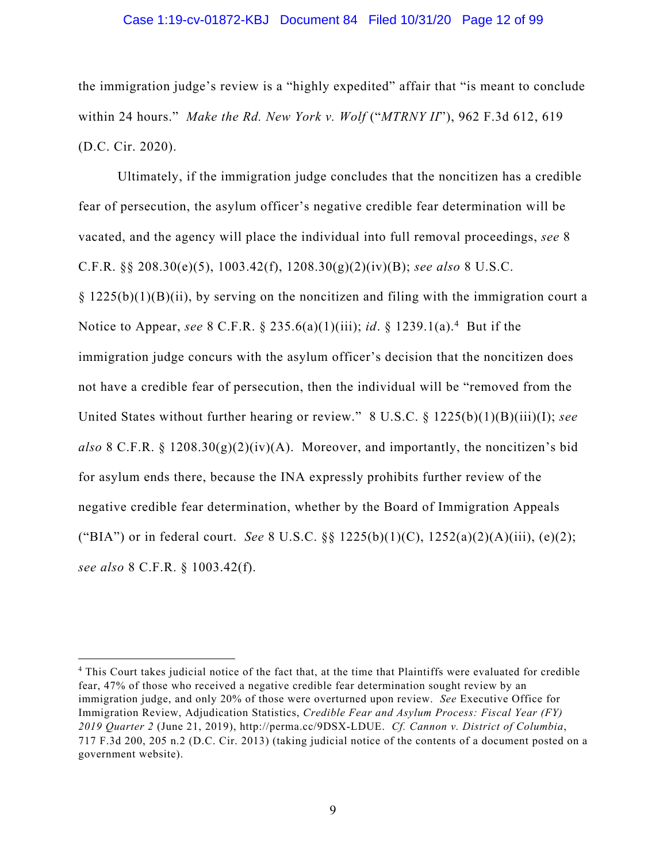#### Case 1:19-cv-01872-KBJ Document 84 Filed 10/31/20 Page 12 of 99

the immigration judge's review is a "highly expedited" affair that "is meant to conclude within 24 hours." *Make the Rd. New York v. Wolf* ("*MTRNY II*"), 962 F.3d 612, 619 (D.C. Cir. 2020).

Ultimately, if the immigration judge concludes that the noncitizen has a credible fear of persecution, the asylum officer's negative credible fear determination will be vacated, and the agency will place the individual into full removal proceedings, *see* 8 C.F.R. §§ 208.30(e)(5), 1003.42(f), 1208.30(g)(2)(iv)(B); *see also* 8 U.S.C.  $\S 1225(b)(1)(B)(ii)$ , by serving on the noncitizen and filing with the immigration court a Notice to Appear, *see* 8 C.F.R. § 235.6(a)(1)(iii); *id*. § 1239.1(a). 4 But if the immigration judge concurs with the asylum officer's decision that the noncitizen does not have a credible fear of persecution, then the individual will be "removed from the United States without further hearing or review." 8 U.S.C. § 1225(b)(1)(B)(iii)(I); *see*  also 8 C.F.R.  $\S$  1208.30(g)(2)(iv)(A). Moreover, and importantly, the noncitizen's bid for asylum ends there, because the INA expressly prohibits further review of the negative credible fear determination, whether by the Board of Immigration Appeals ("BIA") or in federal court. *See* 8 U.S.C. §§ 1225(b)(1)(C), 1252(a)(2)(A)(iii), (e)(2); *see also* 8 C.F.R. § 1003.42(f).

<sup>4</sup> This Court takes judicial notice of the fact that, at the time that Plaintiffs were evaluated for credible fear, 47% of those who received a negative credible fear determination sought review by an immigration judge, and only 20% of those were overturned upon review. *See* Executive Office for Immigration Review, Adjudication Statistics, *Credible Fear and Asylum Process: Fiscal Year (FY) 2019 Quarter 2* (June 21, 2019), http://perma.cc/9DSX-LDUE. *Cf. Cannon v. District of Columbia*, 717 F.3d 200, 205 n.2 (D.C. Cir. 2013) (taking judicial notice of the contents of a document posted on a government website).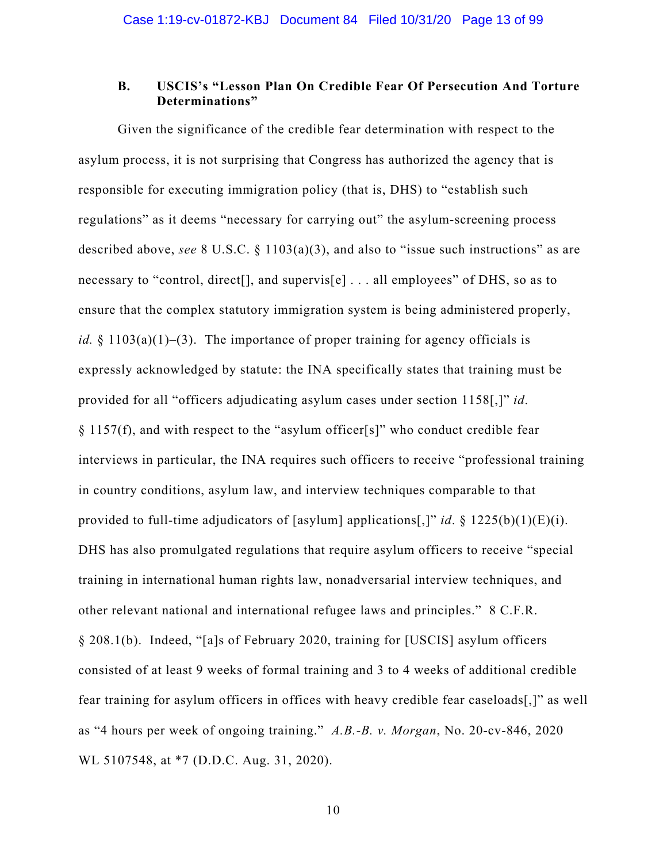## **B. USCIS's "Lesson Plan On Credible Fear Of Persecution And Torture Determinations"**

Given the significance of the credible fear determination with respect to the asylum process, it is not surprising that Congress has authorized the agency that is responsible for executing immigration policy (that is, DHS) to "establish such regulations" as it deems "necessary for carrying out" the asylum-screening process described above, *see* 8 U.S.C. § 1103(a)(3), and also to "issue such instructions" as are necessary to "control, direct[], and supervis[e] . . . all employees" of DHS, so as to ensure that the complex statutory immigration system is being administered properly, *id.*  $\S$  1103(a)(1)–(3). The importance of proper training for agency officials is expressly acknowledged by statute: the INA specifically states that training must be provided for all "officers adjudicating asylum cases under section 1158[,]" *id*. § 1157(f), and with respect to the "asylum officer[s]" who conduct credible fear interviews in particular, the INA requires such officers to receive "professional training in country conditions, asylum law, and interview techniques comparable to that provided to full-time adjudicators of [asylum] applications[,]" *id*. § 1225(b)(1)(E)(i). DHS has also promulgated regulations that require asylum officers to receive "special training in international human rights law, nonadversarial interview techniques, and other relevant national and international refugee laws and principles." 8 C.F.R. § 208.1(b). Indeed, "[a]s of February 2020, training for [USCIS] asylum officers consisted of at least 9 weeks of formal training and 3 to 4 weeks of additional credible fear training for asylum officers in offices with heavy credible fear caseloads[,]" as well as "4 hours per week of ongoing training." *A.B.-B. v. Morgan*, No. 20-cv-846, 2020 WL 5107548, at \*7 (D.D.C. Aug. 31, 2020).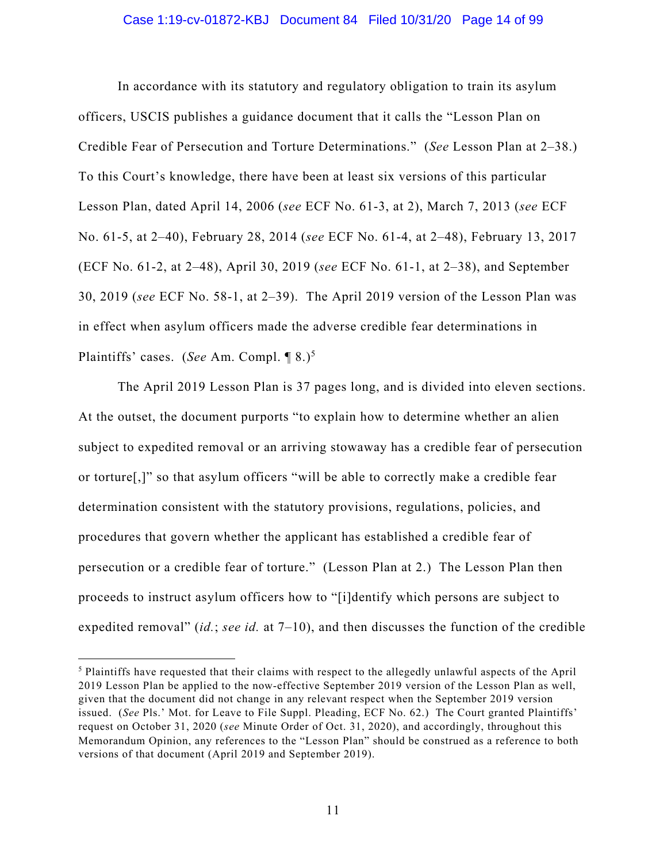#### Case 1:19-cv-01872-KBJ Document 84 Filed 10/31/20 Page 14 of 99

In accordance with its statutory and regulatory obligation to train its asylum officers, USCIS publishes a guidance document that it calls the "Lesson Plan on Credible Fear of Persecution and Torture Determinations." (*See* Lesson Plan at 2–38.) To this Court's knowledge, there have been at least six versions of this particular Lesson Plan, dated April 14, 2006 (*see* ECF No. 61-3, at 2), March 7, 2013 (*see* ECF No. 61-5, at 2–40), February 28, 2014 (*see* ECF No. 61-4, at 2–48), February 13, 2017 (ECF No. 61-2, at 2–48), April 30, 2019 (*see* ECF No. 61-1, at 2–38), and September 30, 2019 (*see* ECF No. 58-1, at 2–39). The April 2019 version of the Lesson Plan was in effect when asylum officers made the adverse credible fear determinations in Plaintiffs' cases. (*See* Am. Compl. ¶ 8.)5

The April 2019 Lesson Plan is 37 pages long, and is divided into eleven sections. At the outset, the document purports "to explain how to determine whether an alien subject to expedited removal or an arriving stowaway has a credible fear of persecution or torture[,]" so that asylum officers "will be able to correctly make a credible fear determination consistent with the statutory provisions, regulations, policies, and procedures that govern whether the applicant has established a credible fear of persecution or a credible fear of torture." (Lesson Plan at 2.) The Lesson Plan then proceeds to instruct asylum officers how to "[i]dentify which persons are subject to expedited removal" (*id.*; *see id.* at 7–10), and then discusses the function of the credible

<sup>5</sup> Plaintiffs have requested that their claims with respect to the allegedly unlawful aspects of the April 2019 Lesson Plan be applied to the now-effective September 2019 version of the Lesson Plan as well, given that the document did not change in any relevant respect when the September 2019 version issued. (*See* Pls.' Mot. for Leave to File Suppl. Pleading, ECF No. 62.) The Court granted Plaintiffs' request on October 31, 2020 (*see* Minute Order of Oct. 31, 2020), and accordingly, throughout this Memorandum Opinion, any references to the "Lesson Plan" should be construed as a reference to both versions of that document (April 2019 and September 2019).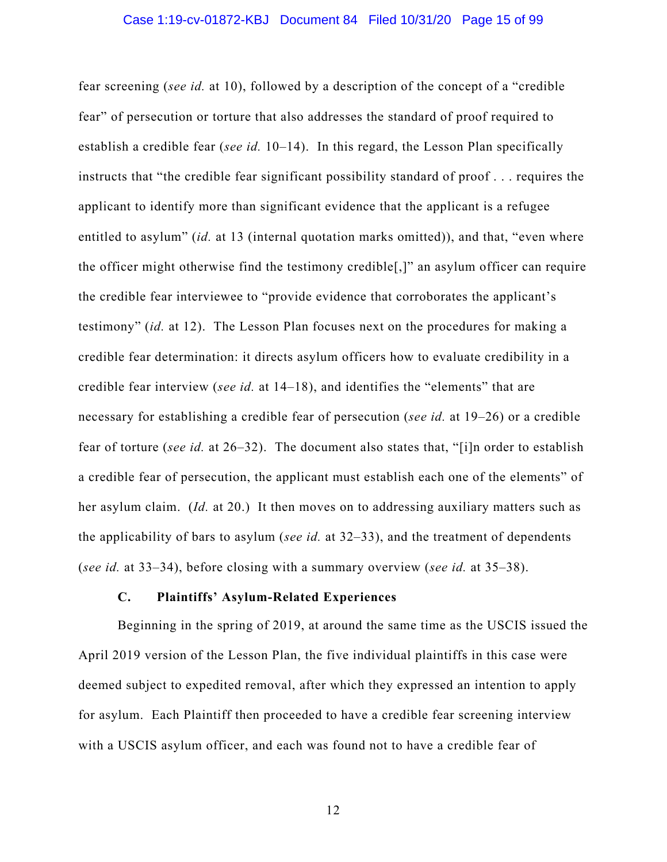fear screening (*see id.* at 10), followed by a description of the concept of a "credible fear" of persecution or torture that also addresses the standard of proof required to establish a credible fear (*see id.* 10–14). In this regard, the Lesson Plan specifically instructs that "the credible fear significant possibility standard of proof . . . requires the applicant to identify more than significant evidence that the applicant is a refugee entitled to asylum" (*id.* at 13 (internal quotation marks omitted)), and that, "even where the officer might otherwise find the testimony credible[,]" an asylum officer can require the credible fear interviewee to "provide evidence that corroborates the applicant's testimony" (*id.* at 12). The Lesson Plan focuses next on the procedures for making a credible fear determination: it directs asylum officers how to evaluate credibility in a credible fear interview (*see id.* at 14–18), and identifies the "elements" that are necessary for establishing a credible fear of persecution (*see id.* at 19–26) or a credible fear of torture (*see id.* at 26–32). The document also states that, "[i]n order to establish a credible fear of persecution, the applicant must establish each one of the elements" of her asylum claim. (*Id.* at 20.) It then moves on to addressing auxiliary matters such as the applicability of bars to asylum (*see id.* at 32–33), and the treatment of dependents (*see id.* at 33–34), before closing with a summary overview (*see id.* at 35–38).

## **C. Plaintiffs' Asylum-Related Experiences**

Beginning in the spring of 2019, at around the same time as the USCIS issued the April 2019 version of the Lesson Plan, the five individual plaintiffs in this case were deemed subject to expedited removal, after which they expressed an intention to apply for asylum. Each Plaintiff then proceeded to have a credible fear screening interview with a USCIS asylum officer, and each was found not to have a credible fear of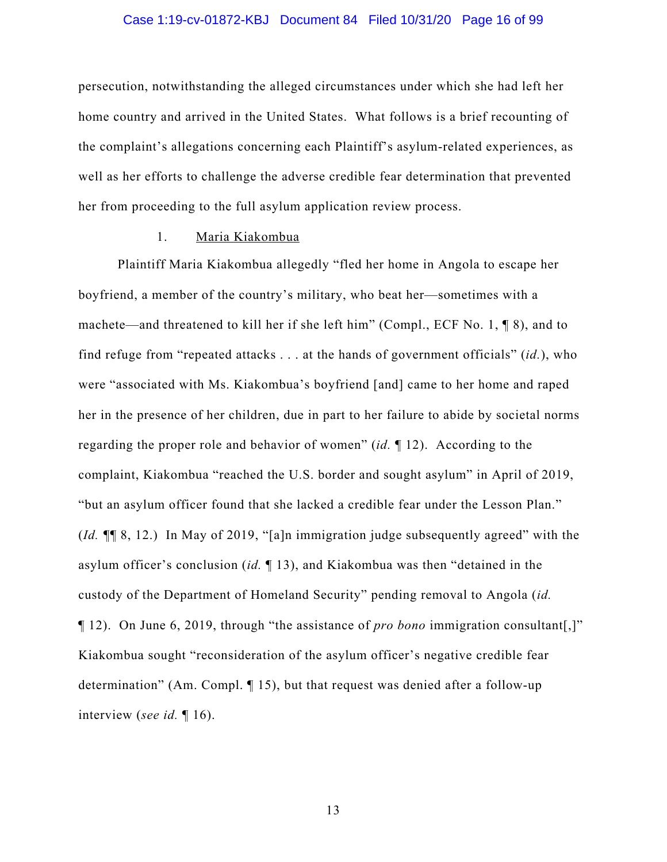#### Case 1:19-cv-01872-KBJ Document 84 Filed 10/31/20 Page 16 of 99

persecution, notwithstanding the alleged circumstances under which she had left her home country and arrived in the United States. What follows is a brief recounting of the complaint's allegations concerning each Plaintiff's asylum-related experiences, as well as her efforts to challenge the adverse credible fear determination that prevented her from proceeding to the full asylum application review process.

## 1. Maria Kiakombua

Plaintiff Maria Kiakombua allegedly "fled her home in Angola to escape her boyfriend, a member of the country's military, who beat her—sometimes with a machete—and threatened to kill her if she left him" (Compl., ECF No. 1, ¶ 8), and to find refuge from "repeated attacks . . . at the hands of government officials" (*id.*), who were "associated with Ms. Kiakombua's boyfriend [and] came to her home and raped her in the presence of her children, due in part to her failure to abide by societal norms regarding the proper role and behavior of women" (*id.* ¶ 12). According to the complaint, Kiakombua "reached the U.S. border and sought asylum" in April of 2019, "but an asylum officer found that she lacked a credible fear under the Lesson Plan." (*Id. ¶*¶ 8, 12.) In May of 2019, "[a]n immigration judge subsequently agreed" with the asylum officer's conclusion (*id.* ¶ 13), and Kiakombua was then "detained in the custody of the Department of Homeland Security" pending removal to Angola (*id.* ¶ 12). On June 6, 2019, through "the assistance of *pro bono* immigration consultant[,]" Kiakombua sought "reconsideration of the asylum officer's negative credible fear determination" (Am. Compl. ¶ 15), but that request was denied after a follow-up interview (*see id.* ¶ 16).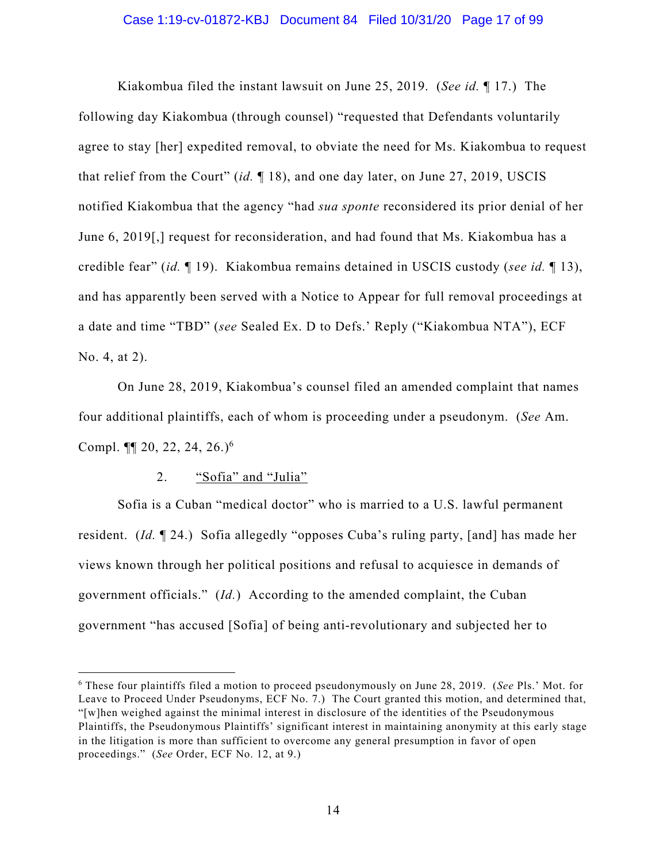Kiakombua filed the instant lawsuit on June 25, 2019. (*See id.* ¶ 17.) The following day Kiakombua (through counsel) "requested that Defendants voluntarily agree to stay [her] expedited removal, to obviate the need for Ms. Kiakombua to request that relief from the Court" (*id.* ¶ 18), and one day later, on June 27, 2019, USCIS notified Kiakombua that the agency "had *sua sponte* reconsidered its prior denial of her June 6, 2019[,] request for reconsideration, and had found that Ms. Kiakombua has a credible fear" (*id.* ¶ 19). Kiakombua remains detained in USCIS custody (*see id.* ¶ 13), and has apparently been served with a Notice to Appear for full removal proceedings at a date and time "TBD" (*see* Sealed Ex. D to Defs.' Reply ("Kiakombua NTA"), ECF No. 4, at 2).

On June 28, 2019, Kiakombua's counsel filed an amended complaint that names four additional plaintiffs, each of whom is proceeding under a pseudonym. (*See* Am. Compl.  $\P$ [ 20, 22, 24, 26.)<sup>6</sup>

## 2. "Sofia" and "Julia"

Sofia is a Cuban "medical doctor" who is married to a U.S. lawful permanent resident. (*Id.* ¶ 24.) Sofia allegedly "opposes Cuba's ruling party, [and] has made her views known through her political positions and refusal to acquiesce in demands of government officials." (*Id.*) According to the amended complaint, the Cuban government "has accused [Sofia] of being anti-revolutionary and subjected her to

<sup>6</sup> These four plaintiffs filed a motion to proceed pseudonymously on June 28, 2019. (*See* Pls.' Mot. for Leave to Proceed Under Pseudonyms, ECF No. 7.) The Court granted this motion, and determined that, "[w]hen weighed against the minimal interest in disclosure of the identities of the Pseudonymous Plaintiffs, the Pseudonymous Plaintiffs' significant interest in maintaining anonymity at this early stage in the litigation is more than sufficient to overcome any general presumption in favor of open proceedings." (*See* Order, ECF No. 12, at 9.)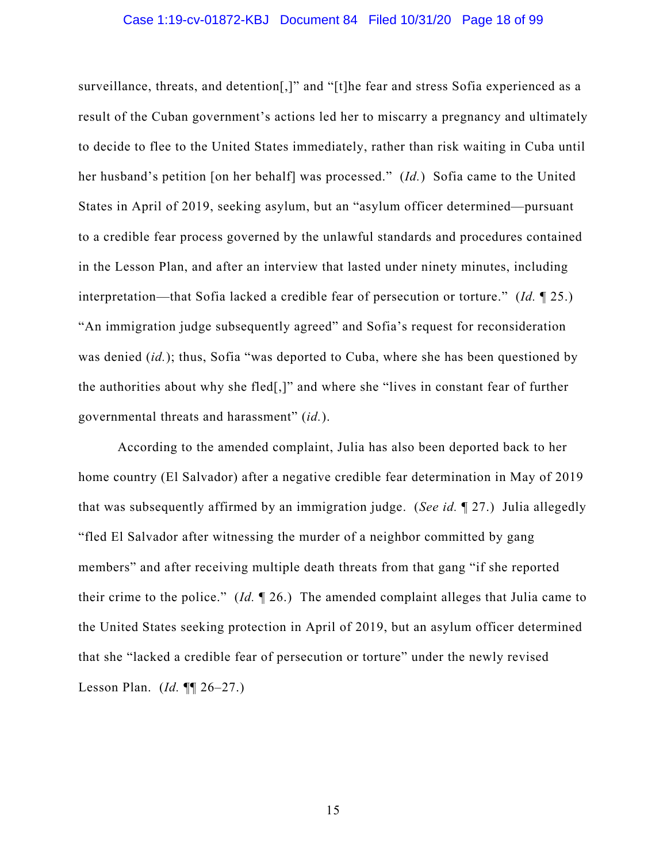#### Case 1:19-cv-01872-KBJ Document 84 Filed 10/31/20 Page 18 of 99

surveillance, threats, and detention[,]" and "[t]he fear and stress Sofia experienced as a result of the Cuban government's actions led her to miscarry a pregnancy and ultimately to decide to flee to the United States immediately, rather than risk waiting in Cuba until her husband's petition [on her behalf] was processed." (*Id.*) Sofia came to the United States in April of 2019, seeking asylum, but an "asylum officer determined—pursuant to a credible fear process governed by the unlawful standards and procedures contained in the Lesson Plan, and after an interview that lasted under ninety minutes, including interpretation—that Sofia lacked a credible fear of persecution or torture." (*Id.* ¶ 25.) "An immigration judge subsequently agreed" and Sofia's request for reconsideration was denied (*id.*); thus, Sofia "was deported to Cuba, where she has been questioned by the authorities about why she fled[,]" and where she "lives in constant fear of further governmental threats and harassment" (*id.*).

According to the amended complaint, Julia has also been deported back to her home country (El Salvador) after a negative credible fear determination in May of 2019 that was subsequently affirmed by an immigration judge. (*See id.* ¶ 27.) Julia allegedly "fled El Salvador after witnessing the murder of a neighbor committed by gang members" and after receiving multiple death threats from that gang "if she reported their crime to the police." (*Id.* ¶ 26.) The amended complaint alleges that Julia came to the United States seeking protection in April of 2019, but an asylum officer determined that she "lacked a credible fear of persecution or torture" under the newly revised Lesson Plan. (*Id.* ¶¶ 26–27.)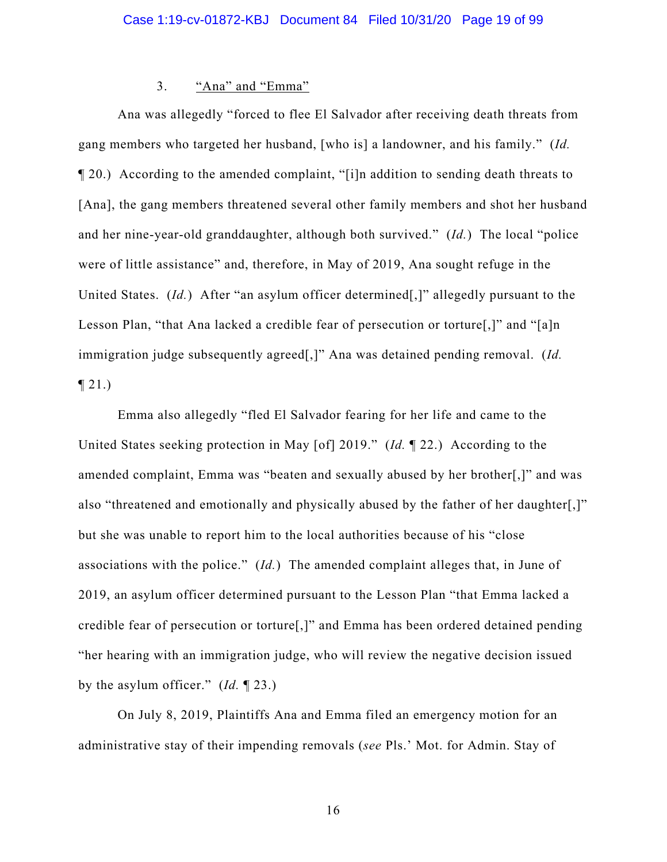## 3. "Ana" and "Emma"

Ana was allegedly "forced to flee El Salvador after receiving death threats from gang members who targeted her husband, [who is] a landowner, and his family." (*Id.*  ¶ 20.) According to the amended complaint, "[i]n addition to sending death threats to [Ana], the gang members threatened several other family members and shot her husband and her nine-year-old granddaughter, although both survived." (*Id.*) The local "police were of little assistance" and, therefore, in May of 2019, Ana sought refuge in the United States. (*Id.*) After "an asylum officer determined[,]" allegedly pursuant to the Lesson Plan, "that Ana lacked a credible fear of persecution or torture[,]" and "[a]n immigration judge subsequently agreed[,]" Ana was detained pending removal. (*Id.*   $\P 21.$ 

Emma also allegedly "fled El Salvador fearing for her life and came to the United States seeking protection in May [of] 2019." (*Id.* ¶ 22.) According to the amended complaint, Emma was "beaten and sexually abused by her brother[,]" and was also "threatened and emotionally and physically abused by the father of her daughter[,]" but she was unable to report him to the local authorities because of his "close associations with the police." (*Id.*) The amended complaint alleges that, in June of 2019, an asylum officer determined pursuant to the Lesson Plan "that Emma lacked a credible fear of persecution or torture[,]" and Emma has been ordered detained pending "her hearing with an immigration judge, who will review the negative decision issued by the asylum officer." (*Id.* ¶ 23.)

On July 8, 2019, Plaintiffs Ana and Emma filed an emergency motion for an administrative stay of their impending removals (*see* Pls.' Mot. for Admin. Stay of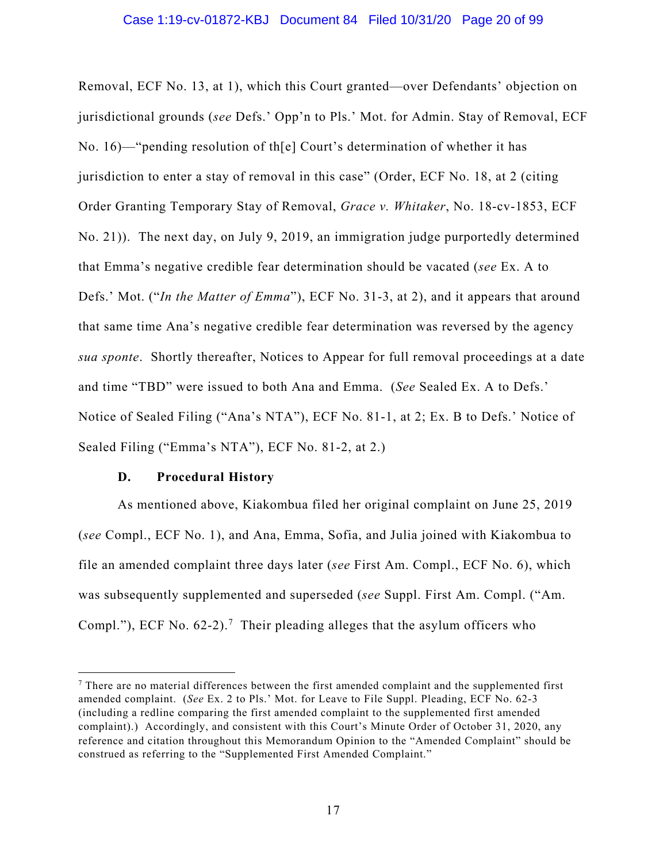Removal, ECF No. 13, at 1), which this Court granted—over Defendants' objection on jurisdictional grounds (*see* Defs.' Opp'n to Pls.' Mot. for Admin. Stay of Removal, ECF No. 16)—"pending resolution of th[e] Court's determination of whether it has jurisdiction to enter a stay of removal in this case" (Order, ECF No. 18, at 2 (citing Order Granting Temporary Stay of Removal, *Grace v. Whitaker*, No. 18-cv-1853, ECF No. 21)). The next day, on July 9, 2019, an immigration judge purportedly determined that Emma's negative credible fear determination should be vacated (*see* Ex. A to Defs.' Mot. ("*In the Matter of Emma*"), ECF No. 31-3, at 2), and it appears that around that same time Ana's negative credible fear determination was reversed by the agency *sua sponte*. Shortly thereafter, Notices to Appear for full removal proceedings at a date and time "TBD" were issued to both Ana and Emma. (*See* Sealed Ex. A to Defs.' Notice of Sealed Filing ("Ana's NTA"), ECF No. 81-1, at 2; Ex. B to Defs.' Notice of Sealed Filing ("Emma's NTA"), ECF No. 81-2, at 2.)

#### **D. Procedural History**

As mentioned above, Kiakombua filed her original complaint on June 25, 2019 (*see* Compl., ECF No. 1), and Ana, Emma, Sofia, and Julia joined with Kiakombua to file an amended complaint three days later (*see* First Am. Compl., ECF No. 6), which was subsequently supplemented and superseded (*see* Suppl. First Am. Compl. ("Am. Compl."), ECF No.  $62-2$ ).<sup>7</sup> Their pleading alleges that the asylum officers who

 $<sup>7</sup>$  There are no material differences between the first amended complaint and the supplemented first</sup> amended complaint. (*See* Ex. 2 to Pls.' Mot. for Leave to File Suppl. Pleading, ECF No. 62-3 (including a redline comparing the first amended complaint to the supplemented first amended complaint).) Accordingly, and consistent with this Court's Minute Order of October 31, 2020, any reference and citation throughout this Memorandum Opinion to the "Amended Complaint" should be construed as referring to the "Supplemented First Amended Complaint."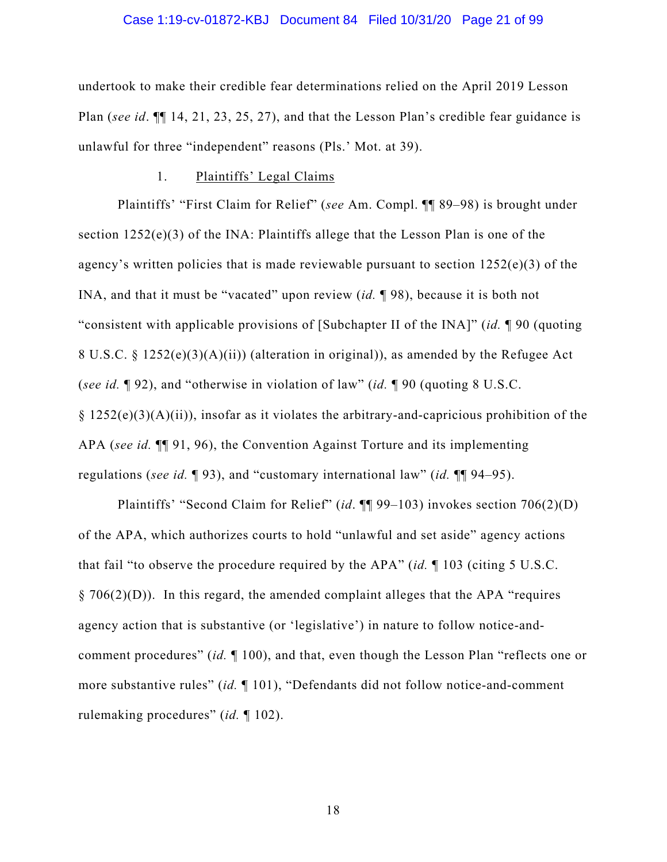#### Case 1:19-cv-01872-KBJ Document 84 Filed 10/31/20 Page 21 of 99

undertook to make their credible fear determinations relied on the April 2019 Lesson Plan (*see id*. ¶¶ 14, 21, 23, 25, 27), and that the Lesson Plan's credible fear guidance is unlawful for three "independent" reasons (Pls.' Mot. at 39).

#### 1. Plaintiffs' Legal Claims

Plaintiffs' "First Claim for Relief" (*see* Am. Compl. ¶¶ 89–98) is brought under section 1252(e)(3) of the INA: Plaintiffs allege that the Lesson Plan is one of the agency's written policies that is made reviewable pursuant to section  $1252(e)(3)$  of the INA, and that it must be "vacated" upon review (*id.* ¶ 98), because it is both not "consistent with applicable provisions of [Subchapter II of the INA]" (*id.* ¶ 90 (quoting 8 U.S.C. § 1252(e)(3)(A)(ii)) (alteration in original)), as amended by the Refugee Act (*see id.* ¶ 92), and "otherwise in violation of law" (*id.* ¶ 90 (quoting 8 U.S.C.  $§ 1252(e)(3)(A)(ii)$ , insofar as it violates the arbitrary-and-capricious prohibition of the APA (*see id.* ¶¶ 91, 96), the Convention Against Torture and its implementing regulations (*see id.* ¶ 93), and "customary international law" (*id.* ¶¶ 94–95).

Plaintiffs' "Second Claim for Relief" (*id*. ¶¶ 99–103) invokes section 706(2)(D) of the APA, which authorizes courts to hold "unlawful and set aside" agency actions that fail "to observe the procedure required by the APA" (*id.* ¶ 103 (citing 5 U.S.C.  $\S 706(2)(D)$ ). In this regard, the amended complaint alleges that the APA "requires" agency action that is substantive (or 'legislative') in nature to follow notice-andcomment procedures" (*id.* ¶ 100), and that, even though the Lesson Plan "reflects one or more substantive rules" (*id.* ¶ 101), "Defendants did not follow notice-and-comment rulemaking procedures" (*id.* ¶ 102).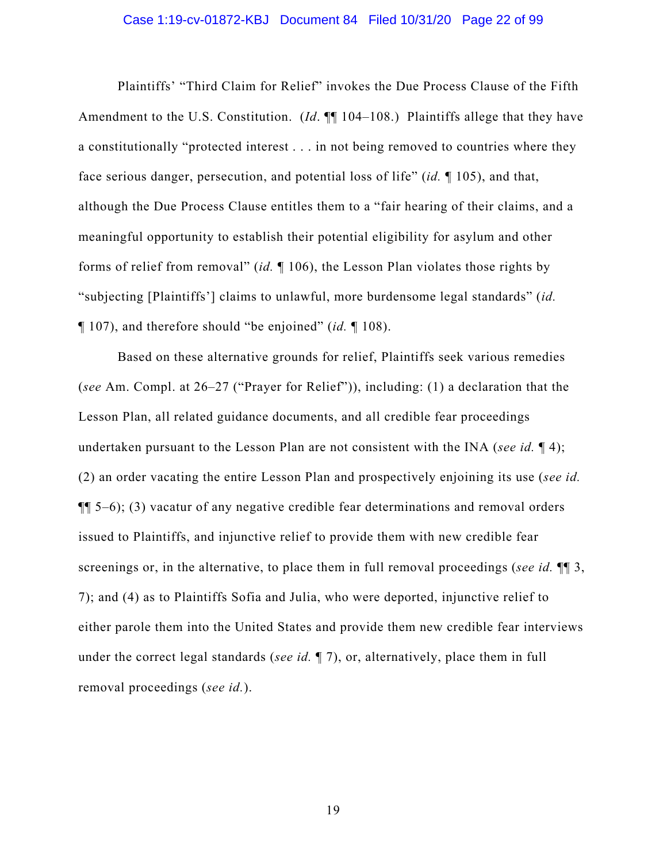#### Case 1:19-cv-01872-KBJ Document 84 Filed 10/31/20 Page 22 of 99

Plaintiffs' "Third Claim for Relief" invokes the Due Process Clause of the Fifth Amendment to the U.S. Constitution. (*Id.* ¶ 104–108.) Plaintiffs allege that they have a constitutionally "protected interest . . . in not being removed to countries where they face serious danger, persecution, and potential loss of life" (*id.* ¶ 105), and that, although the Due Process Clause entitles them to a "fair hearing of their claims, and a meaningful opportunity to establish their potential eligibility for asylum and other forms of relief from removal" (*id.* ¶ 106), the Lesson Plan violates those rights by "subjecting [Plaintiffs'] claims to unlawful, more burdensome legal standards" (*id.*  ¶ 107), and therefore should "be enjoined" (*id.* ¶ 108).

Based on these alternative grounds for relief, Plaintiffs seek various remedies (*see* Am. Compl. at 26–27 ("Prayer for Relief")), including: (1) a declaration that the Lesson Plan, all related guidance documents, and all credible fear proceedings undertaken pursuant to the Lesson Plan are not consistent with the INA (*see id.* ¶ 4); (2) an order vacating the entire Lesson Plan and prospectively enjoining its use (*see id.*  ¶¶ 5–6); (3) vacatur of any negative credible fear determinations and removal orders issued to Plaintiffs, and injunctive relief to provide them with new credible fear screenings or, in the alternative, to place them in full removal proceedings (*see id.* ¶¶ 3, 7); and (4) as to Plaintiffs Sofia and Julia, who were deported, injunctive relief to either parole them into the United States and provide them new credible fear interviews under the correct legal standards (*see id.* ¶ 7), or, alternatively, place them in full removal proceedings (*see id.*).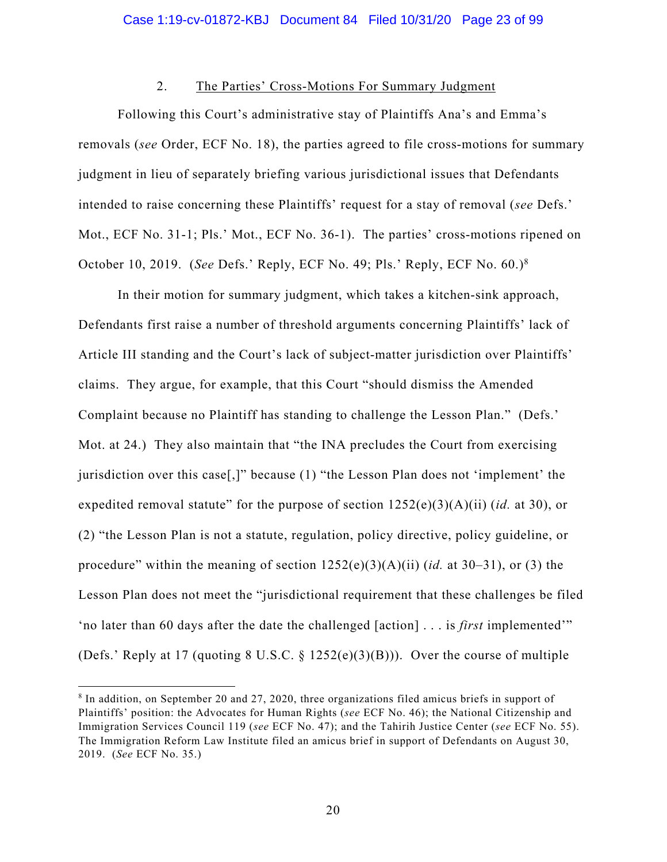## 2. The Parties' Cross-Motions For Summary Judgment

Following this Court's administrative stay of Plaintiffs Ana's and Emma's removals (*see* Order, ECF No. 18), the parties agreed to file cross-motions for summary judgment in lieu of separately briefing various jurisdictional issues that Defendants intended to raise concerning these Plaintiffs' request for a stay of removal (*see* Defs.' Mot., ECF No. 31-1; Pls.' Mot., ECF No. 36-1). The parties' cross-motions ripened on October 10, 2019. (*See* Defs.' Reply, ECF No. 49; Pls.' Reply, ECF No. 60.)8

In their motion for summary judgment, which takes a kitchen-sink approach, Defendants first raise a number of threshold arguments concerning Plaintiffs' lack of Article III standing and the Court's lack of subject-matter jurisdiction over Plaintiffs' claims. They argue, for example, that this Court "should dismiss the Amended Complaint because no Plaintiff has standing to challenge the Lesson Plan." (Defs.' Mot. at 24.) They also maintain that "the INA precludes the Court from exercising jurisdiction over this case[,]" because (1) "the Lesson Plan does not 'implement' the expedited removal statute" for the purpose of section 1252(e)(3)(A)(ii) (*id.* at 30), or (2) "the Lesson Plan is not a statute, regulation, policy directive, policy guideline, or procedure" within the meaning of section 1252(e)(3)(A)(ii) (*id.* at 30–31), or (3) the Lesson Plan does not meet the "jurisdictional requirement that these challenges be filed 'no later than 60 days after the date the challenged [action] . . . is *first* implemented'" (Defs.' Reply at 17 (quoting 8 U.S.C. § 1252(e)(3)(B))). Over the course of multiple

<sup>8</sup> In addition, on September 20 and 27, 2020, three organizations filed amicus briefs in support of Plaintiffs' position: the Advocates for Human Rights (*see* ECF No. 46); the National Citizenship and Immigration Services Council 119 (*see* ECF No. 47); and the Tahirih Justice Center (*see* ECF No. 55). The Immigration Reform Law Institute filed an amicus brief in support of Defendants on August 30, 2019. (*See* ECF No. 35.)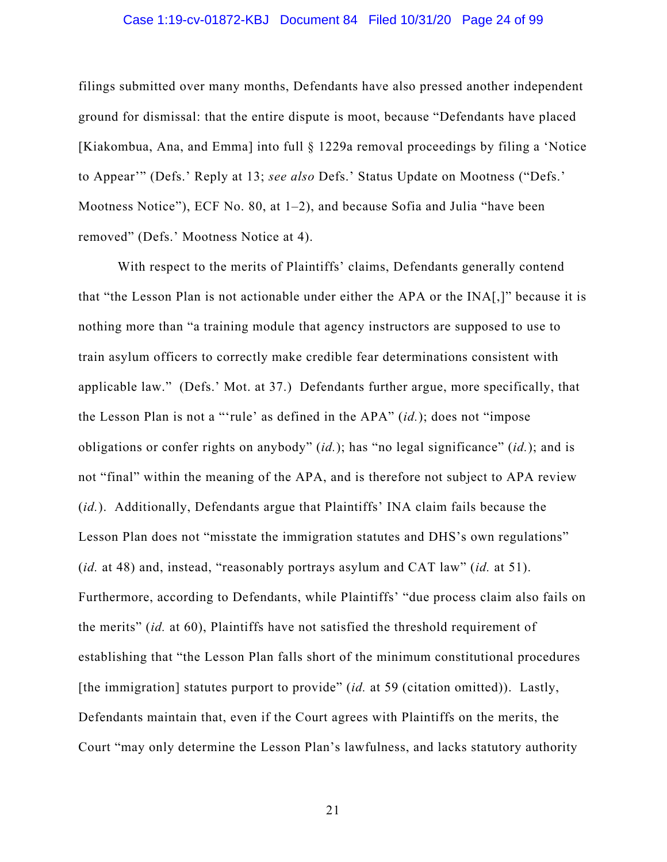#### Case 1:19-cv-01872-KBJ Document 84 Filed 10/31/20 Page 24 of 99

filings submitted over many months, Defendants have also pressed another independent ground for dismissal: that the entire dispute is moot, because "Defendants have placed [Kiakombua, Ana, and Emma] into full § 1229a removal proceedings by filing a 'Notice to Appear'" (Defs.' Reply at 13; *see also* Defs.' Status Update on Mootness ("Defs.' Mootness Notice"), ECF No. 80, at 1–2), and because Sofia and Julia "have been removed" (Defs.' Mootness Notice at 4).

With respect to the merits of Plaintiffs' claims, Defendants generally contend that "the Lesson Plan is not actionable under either the APA or the INA[,]" because it is nothing more than "a training module that agency instructors are supposed to use to train asylum officers to correctly make credible fear determinations consistent with applicable law." (Defs.' Mot. at 37.) Defendants further argue, more specifically, that the Lesson Plan is not a "'rule' as defined in the APA" (*id.*); does not "impose obligations or confer rights on anybody" (*id.*); has "no legal significance" (*id.*); and is not "final" within the meaning of the APA, and is therefore not subject to APA review (*id.*). Additionally, Defendants argue that Plaintiffs' INA claim fails because the Lesson Plan does not "misstate the immigration statutes and DHS's own regulations" (*id.* at 48) and, instead, "reasonably portrays asylum and CAT law" (*id.* at 51). Furthermore, according to Defendants, while Plaintiffs' "due process claim also fails on the merits" (*id.* at 60), Plaintiffs have not satisfied the threshold requirement of establishing that "the Lesson Plan falls short of the minimum constitutional procedures [the immigration] statutes purport to provide" (*id.* at 59 (citation omitted)). Lastly, Defendants maintain that, even if the Court agrees with Plaintiffs on the merits, the Court "may only determine the Lesson Plan's lawfulness, and lacks statutory authority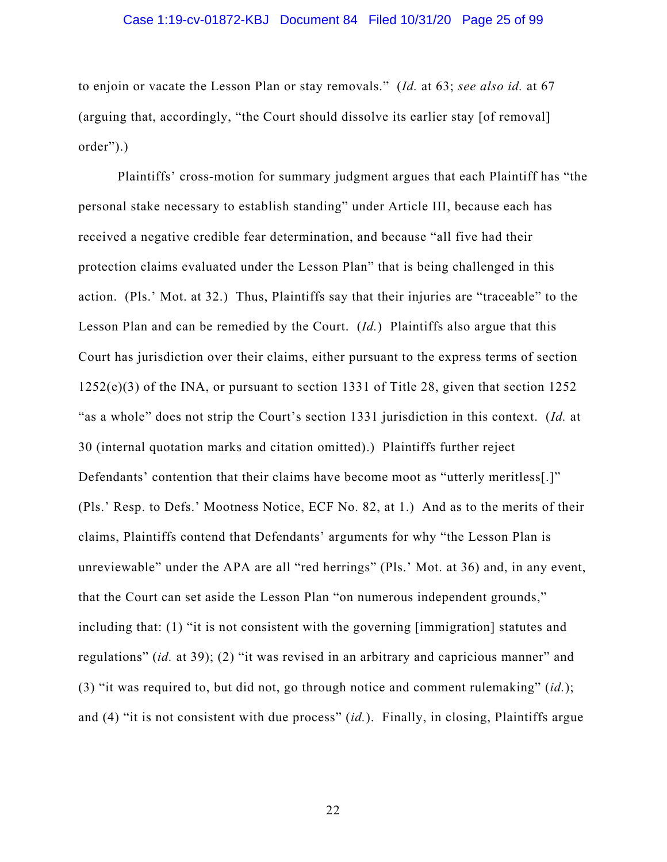#### Case 1:19-cv-01872-KBJ Document 84 Filed 10/31/20 Page 25 of 99

to enjoin or vacate the Lesson Plan or stay removals." (*Id.* at 63; *see also id.* at 67 (arguing that, accordingly, "the Court should dissolve its earlier stay [of removal] order").)

Plaintiffs' cross-motion for summary judgment argues that each Plaintiff has "the personal stake necessary to establish standing" under Article III, because each has received a negative credible fear determination, and because "all five had their protection claims evaluated under the Lesson Plan" that is being challenged in this action. (Pls.' Mot. at 32.) Thus, Plaintiffs say that their injuries are "traceable" to the Lesson Plan and can be remedied by the Court. (*Id.*) Plaintiffs also argue that this Court has jurisdiction over their claims, either pursuant to the express terms of section 1252(e)(3) of the INA, or pursuant to section 1331 of Title 28, given that section 1252 "as a whole" does not strip the Court's section 1331 jurisdiction in this context. (*Id.* at 30 (internal quotation marks and citation omitted).) Plaintiffs further reject Defendants' contention that their claims have become moot as "utterly meritless[.]" (Pls.' Resp. to Defs.' Mootness Notice, ECF No. 82, at 1.) And as to the merits of their claims, Plaintiffs contend that Defendants' arguments for why "the Lesson Plan is unreviewable" under the APA are all "red herrings" (Pls.' Mot. at 36) and, in any event, that the Court can set aside the Lesson Plan "on numerous independent grounds," including that: (1) "it is not consistent with the governing [immigration] statutes and regulations" (*id.* at 39); (2) "it was revised in an arbitrary and capricious manner" and (3) "it was required to, but did not, go through notice and comment rulemaking" (*id.*); and (4) "it is not consistent with due process" (*id.*). Finally, in closing, Plaintiffs argue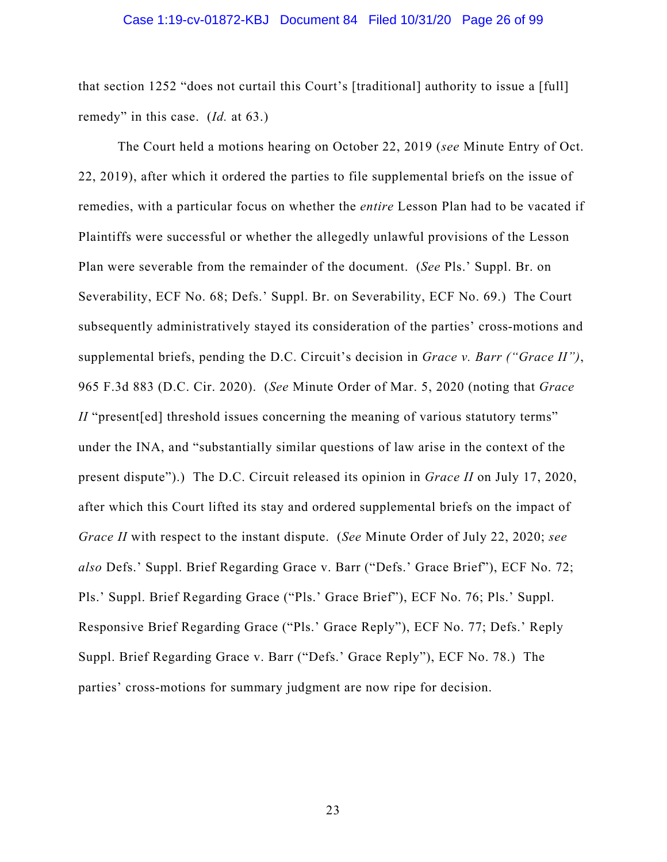#### Case 1:19-cv-01872-KBJ Document 84 Filed 10/31/20 Page 26 of 99

that section 1252 "does not curtail this Court's [traditional] authority to issue a [full] remedy" in this case. (*Id.* at 63.)

The Court held a motions hearing on October 22, 2019 (*see* Minute Entry of Oct. 22, 2019), after which it ordered the parties to file supplemental briefs on the issue of remedies, with a particular focus on whether the *entire* Lesson Plan had to be vacated if Plaintiffs were successful or whether the allegedly unlawful provisions of the Lesson Plan were severable from the remainder of the document. (*See* Pls.' Suppl. Br. on Severability, ECF No. 68; Defs.' Suppl. Br. on Severability, ECF No. 69.) The Court subsequently administratively stayed its consideration of the parties' cross-motions and supplemental briefs, pending the D.C. Circuit's decision in *Grace v. Barr ("Grace II")*, 965 F.3d 883 (D.C. Cir. 2020). (*See* Minute Order of Mar. 5, 2020 (noting that *Grace II* "present [ed] threshold issues concerning the meaning of various statutory terms" under the INA, and "substantially similar questions of law arise in the context of the present dispute").) The D.C. Circuit released its opinion in *Grace II* on July 17, 2020, after which this Court lifted its stay and ordered supplemental briefs on the impact of *Grace II* with respect to the instant dispute. (*See* Minute Order of July 22, 2020; *see also* Defs.' Suppl. Brief Regarding Grace v. Barr ("Defs.' Grace Brief"), ECF No. 72; Pls.' Suppl. Brief Regarding Grace ("Pls.' Grace Brief"), ECF No. 76; Pls.' Suppl. Responsive Brief Regarding Grace ("Pls.' Grace Reply"), ECF No. 77; Defs.' Reply Suppl. Brief Regarding Grace v. Barr ("Defs.' Grace Reply"), ECF No. 78.) The parties' cross-motions for summary judgment are now ripe for decision.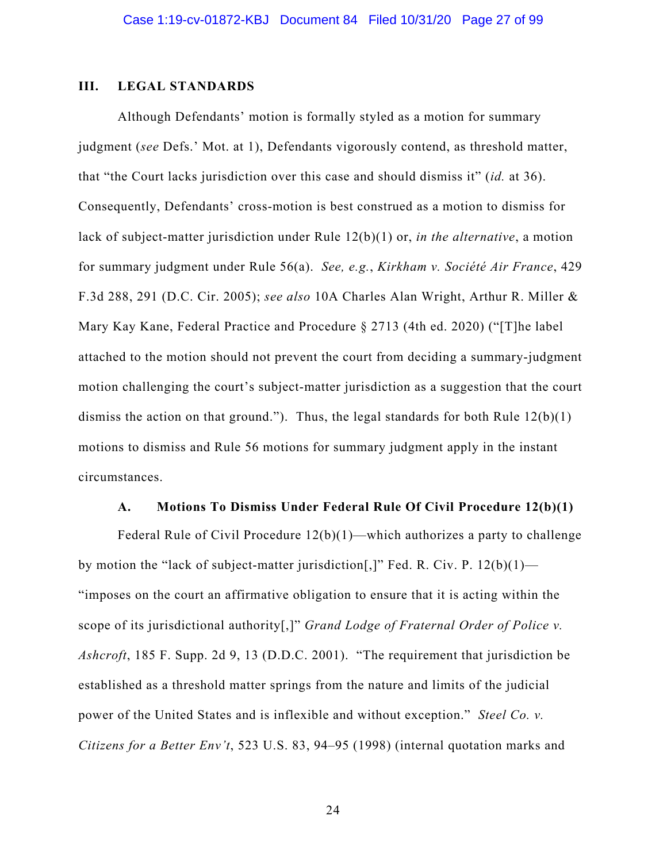#### **III. LEGAL STANDARDS**

Although Defendants' motion is formally styled as a motion for summary judgment (*see* Defs.' Mot. at 1), Defendants vigorously contend, as threshold matter, that "the Court lacks jurisdiction over this case and should dismiss it" (*id.* at 36). Consequently, Defendants' cross-motion is best construed as a motion to dismiss for lack of subject-matter jurisdiction under Rule 12(b)(1) or, *in the alternative*, a motion for summary judgment under Rule 56(a). *See, e.g.*, *Kirkham v. Société Air France*, 429 F.3d 288, 291 (D.C. Cir. 2005); *see also* 10A Charles Alan Wright, Arthur R. Miller & Mary Kay Kane, Federal Practice and Procedure § 2713 (4th ed. 2020) ("[T]he label attached to the motion should not prevent the court from deciding a summary-judgment motion challenging the court's subject-matter jurisdiction as a suggestion that the court dismiss the action on that ground."). Thus, the legal standards for both Rule  $12(b)(1)$ motions to dismiss and Rule 56 motions for summary judgment apply in the instant circumstances.

#### **A. Motions To Dismiss Under Federal Rule Of Civil Procedure 12(b)(1)**

Federal Rule of Civil Procedure 12(b)(1)—which authorizes a party to challenge by motion the "lack of subject-matter jurisdiction[,]" Fed. R. Civ. P.  $12(b)(1)$ — "imposes on the court an affirmative obligation to ensure that it is acting within the scope of its jurisdictional authority[,]" *Grand Lodge of Fraternal Order of Police v. Ashcroft*, 185 F. Supp. 2d 9, 13 (D.D.C. 2001). "The requirement that jurisdiction be established as a threshold matter springs from the nature and limits of the judicial power of the United States and is inflexible and without exception." *Steel Co. v. Citizens for a Better Env't*, 523 U.S. 83, 94–95 (1998) (internal quotation marks and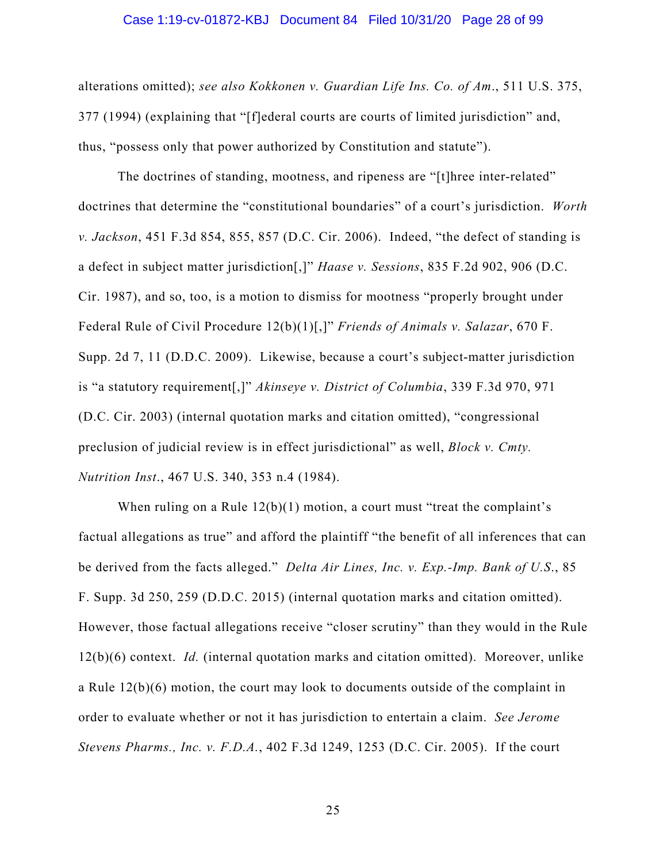#### Case 1:19-cv-01872-KBJ Document 84 Filed 10/31/20 Page 28 of 99

alterations omitted); *see also Kokkonen v. Guardian Life Ins. Co. of Am*., 511 U.S. 375, 377 (1994) (explaining that "[f]ederal courts are courts of limited jurisdiction" and, thus, "possess only that power authorized by Constitution and statute").

The doctrines of standing, mootness, and ripeness are "[t]hree inter-related" doctrines that determine the "constitutional boundaries" of a court's jurisdiction. *Worth v. Jackson*, 451 F.3d 854, 855, 857 (D.C. Cir. 2006). Indeed, "the defect of standing is a defect in subject matter jurisdiction[,]" *Haase v. Sessions*, 835 F.2d 902, 906 (D.C. Cir. 1987), and so, too, is a motion to dismiss for mootness "properly brought under Federal Rule of Civil Procedure 12(b)(1)[,]" *Friends of Animals v. Salazar*, 670 F. Supp. 2d 7, 11 (D.D.C. 2009). Likewise, because a court's subject-matter jurisdiction is "a statutory requirement[,]" *Akinseye v. District of Columbia*, 339 F.3d 970, 971 (D.C. Cir. 2003) (internal quotation marks and citation omitted), "congressional preclusion of judicial review is in effect jurisdictional" as well, *Block v. Cmty. Nutrition Inst*., 467 U.S. 340, 353 n.4 (1984).

When ruling on a Rule  $12(b)(1)$  motion, a court must "treat the complaint's factual allegations as true" and afford the plaintiff "the benefit of all inferences that can be derived from the facts alleged." *Delta Air Lines, Inc. v. Exp.-Imp. Bank of U.S*., 85 F. Supp. 3d 250, 259 (D.D.C. 2015) (internal quotation marks and citation omitted). However, those factual allegations receive "closer scrutiny" than they would in the Rule 12(b)(6) context. *Id.* (internal quotation marks and citation omitted). Moreover, unlike a Rule 12(b)(6) motion, the court may look to documents outside of the complaint in order to evaluate whether or not it has jurisdiction to entertain a claim. *See Jerome Stevens Pharms., Inc. v. F.D.A.*, 402 F.3d 1249, 1253 (D.C. Cir. 2005). If the court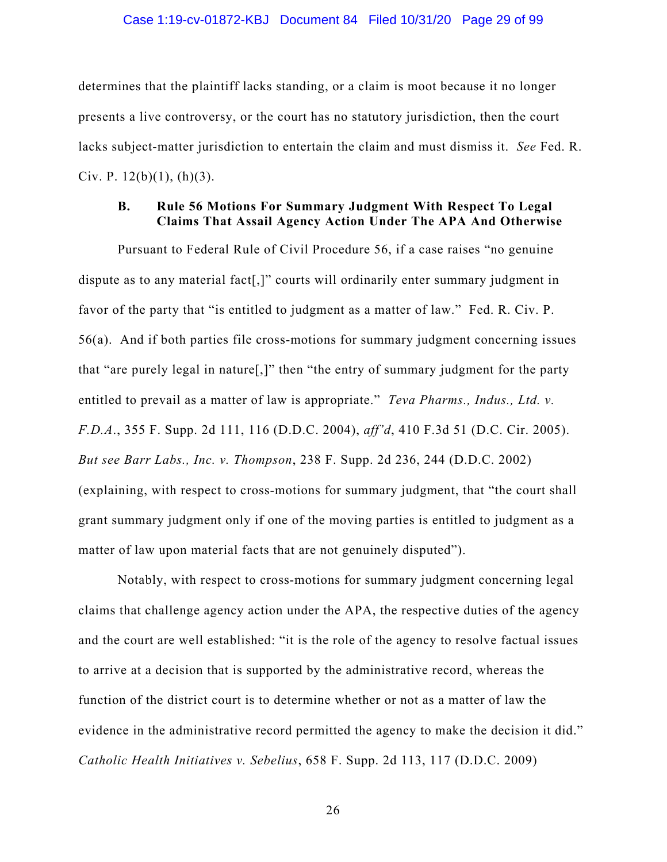#### Case 1:19-cv-01872-KBJ Document 84 Filed 10/31/20 Page 29 of 99

determines that the plaintiff lacks standing, or a claim is moot because it no longer presents a live controversy, or the court has no statutory jurisdiction, then the court lacks subject-matter jurisdiction to entertain the claim and must dismiss it. *See* Fed. R. Civ. P.  $12(b)(1)$ ,  $(h)(3)$ .

## **B. Rule 56 Motions For Summary Judgment With Respect To Legal Claims That Assail Agency Action Under The APA And Otherwise**

Pursuant to Federal Rule of Civil Procedure 56, if a case raises "no genuine dispute as to any material fact[,]" courts will ordinarily enter summary judgment in favor of the party that "is entitled to judgment as a matter of law." Fed. R. Civ. P. 56(a). And if both parties file cross-motions for summary judgment concerning issues that "are purely legal in nature[,]" then "the entry of summary judgment for the party entitled to prevail as a matter of law is appropriate." *Teva Pharms., Indus., Ltd. v. F.D.A*., 355 F. Supp. 2d 111, 116 (D.D.C. 2004), *aff'd*, 410 F.3d 51 (D.C. Cir. 2005). *But see Barr Labs., Inc. v. Thompson*, 238 F. Supp. 2d 236, 244 (D.D.C. 2002) (explaining, with respect to cross-motions for summary judgment, that "the court shall grant summary judgment only if one of the moving parties is entitled to judgment as a matter of law upon material facts that are not genuinely disputed").

Notably, with respect to cross-motions for summary judgment concerning legal claims that challenge agency action under the APA, the respective duties of the agency and the court are well established: "it is the role of the agency to resolve factual issues to arrive at a decision that is supported by the administrative record, whereas the function of the district court is to determine whether or not as a matter of law the evidence in the administrative record permitted the agency to make the decision it did." *Catholic Health Initiatives v. Sebelius*, 658 F. Supp. 2d 113, 117 (D.D.C. 2009)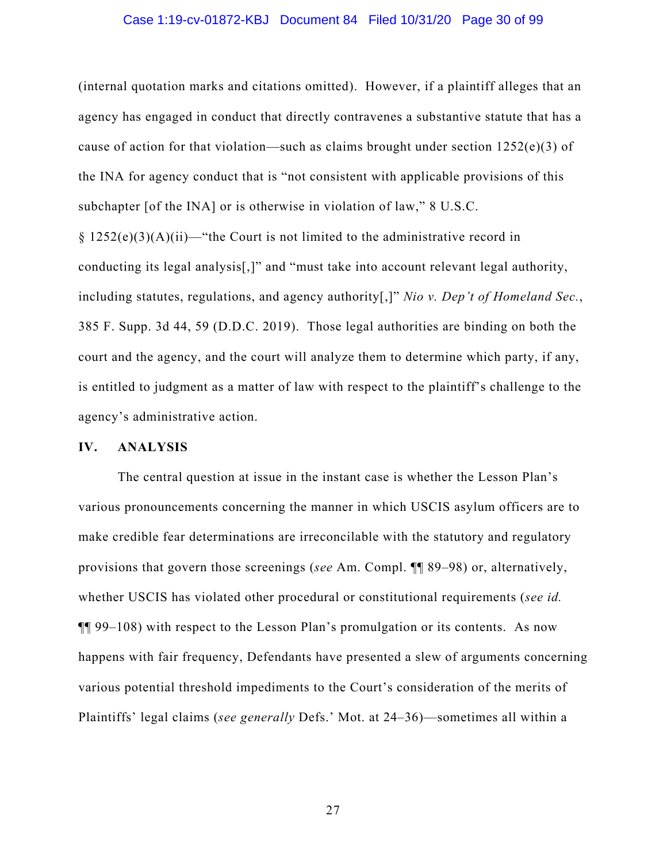#### Case 1:19-cv-01872-KBJ Document 84 Filed 10/31/20 Page 30 of 99

(internal quotation marks and citations omitted). However, if a plaintiff alleges that an agency has engaged in conduct that directly contravenes a substantive statute that has a cause of action for that violation—such as claims brought under section  $1252(e)(3)$  of the INA for agency conduct that is "not consistent with applicable provisions of this subchapter [of the INA] or is otherwise in violation of law," 8 U.S.C.

 $\S 1252(e)(3)(A)(ii)$ —"the Court is not limited to the administrative record in conducting its legal analysis[,]" and "must take into account relevant legal authority, including statutes, regulations, and agency authority[,]" *Nio v. Dep't of Homeland Sec.*, 385 F. Supp. 3d 44, 59 (D.D.C. 2019). Those legal authorities are binding on both the court and the agency, and the court will analyze them to determine which party, if any, is entitled to judgment as a matter of law with respect to the plaintiff's challenge to the agency's administrative action.

#### **IV. ANALYSIS**

The central question at issue in the instant case is whether the Lesson Plan's various pronouncements concerning the manner in which USCIS asylum officers are to make credible fear determinations are irreconcilable with the statutory and regulatory provisions that govern those screenings (*see* Am. Compl. ¶¶ 89–98) or, alternatively, whether USCIS has violated other procedural or constitutional requirements (*see id.* ¶¶ 99–108) with respect to the Lesson Plan's promulgation or its contents. As now happens with fair frequency, Defendants have presented a slew of arguments concerning various potential threshold impediments to the Court's consideration of the merits of Plaintiffs' legal claims (*see generally* Defs.' Mot. at 24–36)—sometimes all within a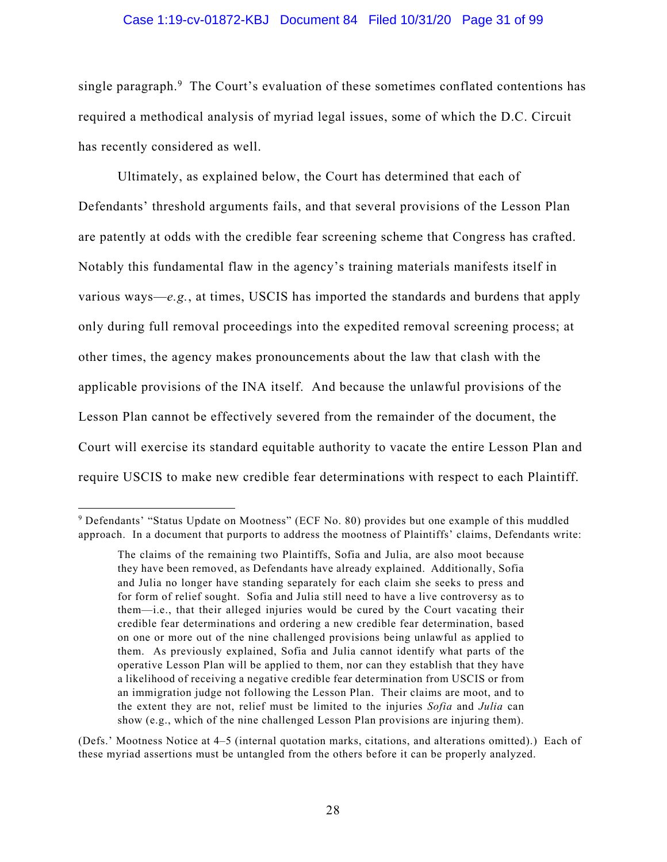#### Case 1:19-cv-01872-KBJ Document 84 Filed 10/31/20 Page 31 of 99

single paragraph.<sup>9</sup> The Court's evaluation of these sometimes conflated contentions has required a methodical analysis of myriad legal issues, some of which the D.C. Circuit has recently considered as well.

Ultimately, as explained below, the Court has determined that each of Defendants' threshold arguments fails, and that several provisions of the Lesson Plan are patently at odds with the credible fear screening scheme that Congress has crafted. Notably this fundamental flaw in the agency's training materials manifests itself in various ways—*e.g.*, at times, USCIS has imported the standards and burdens that apply only during full removal proceedings into the expedited removal screening process; at other times, the agency makes pronouncements about the law that clash with the applicable provisions of the INA itself. And because the unlawful provisions of the Lesson Plan cannot be effectively severed from the remainder of the document, the Court will exercise its standard equitable authority to vacate the entire Lesson Plan and require USCIS to make new credible fear determinations with respect to each Plaintiff.

<sup>&</sup>lt;sup>9</sup> Defendants' "Status Update on Mootness" (ECF No. 80) provides but one example of this muddled approach. In a document that purports to address the mootness of Plaintiffs' claims, Defendants write:

The claims of the remaining two Plaintiffs, Sofia and Julia, are also moot because they have been removed, as Defendants have already explained. Additionally, Sofia and Julia no longer have standing separately for each claim she seeks to press and for form of relief sought. Sofia and Julia still need to have a live controversy as to them—i.e., that their alleged injuries would be cured by the Court vacating their credible fear determinations and ordering a new credible fear determination, based on one or more out of the nine challenged provisions being unlawful as applied to them. As previously explained, Sofia and Julia cannot identify what parts of the operative Lesson Plan will be applied to them, nor can they establish that they have a likelihood of receiving a negative credible fear determination from USCIS or from an immigration judge not following the Lesson Plan. Their claims are moot, and to the extent they are not, relief must be limited to the injuries *Sofia* and *Julia* can show (e.g., which of the nine challenged Lesson Plan provisions are injuring them).

<sup>(</sup>Defs.' Mootness Notice at 4–5 (internal quotation marks, citations, and alterations omitted).) Each of these myriad assertions must be untangled from the others before it can be properly analyzed.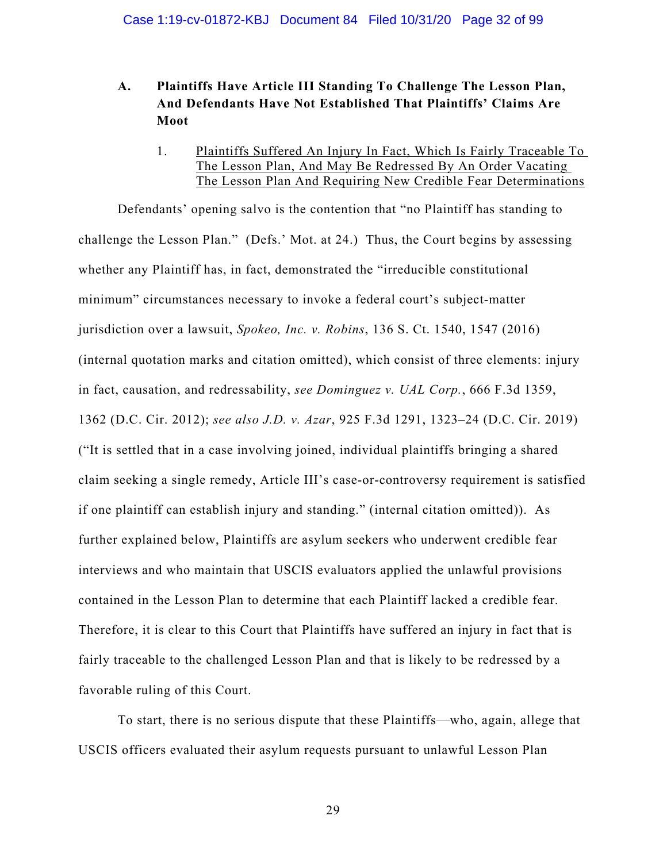# **A. Plaintiffs Have Article III Standing To Challenge The Lesson Plan, And Defendants Have Not Established That Plaintiffs' Claims Are Moot**

1. Plaintiffs Suffered An Injury In Fact, Which Is Fairly Traceable To The Lesson Plan, And May Be Redressed By An Order Vacating The Lesson Plan And Requiring New Credible Fear Determinations

Defendants' opening salvo is the contention that "no Plaintiff has standing to challenge the Lesson Plan." (Defs.' Mot. at 24.) Thus, the Court begins by assessing whether any Plaintiff has, in fact, demonstrated the "irreducible constitutional minimum" circumstances necessary to invoke a federal court's subject-matter jurisdiction over a lawsuit, *Spokeo, Inc. v. Robins*, 136 S. Ct. 1540, 1547 (2016) (internal quotation marks and citation omitted), which consist of three elements: injury in fact, causation, and redressability, *see Dominguez v. UAL Corp.*, 666 F.3d 1359, 1362 (D.C. Cir. 2012); *see also J.D. v. Azar*, 925 F.3d 1291, 1323–24 (D.C. Cir. 2019) ("It is settled that in a case involving joined, individual plaintiffs bringing a shared claim seeking a single remedy, Article III's case-or-controversy requirement is satisfied if one plaintiff can establish injury and standing." (internal citation omitted)). As further explained below, Plaintiffs are asylum seekers who underwent credible fear interviews and who maintain that USCIS evaluators applied the unlawful provisions contained in the Lesson Plan to determine that each Plaintiff lacked a credible fear. Therefore, it is clear to this Court that Plaintiffs have suffered an injury in fact that is fairly traceable to the challenged Lesson Plan and that is likely to be redressed by a favorable ruling of this Court.

To start, there is no serious dispute that these Plaintiffs—who, again, allege that USCIS officers evaluated their asylum requests pursuant to unlawful Lesson Plan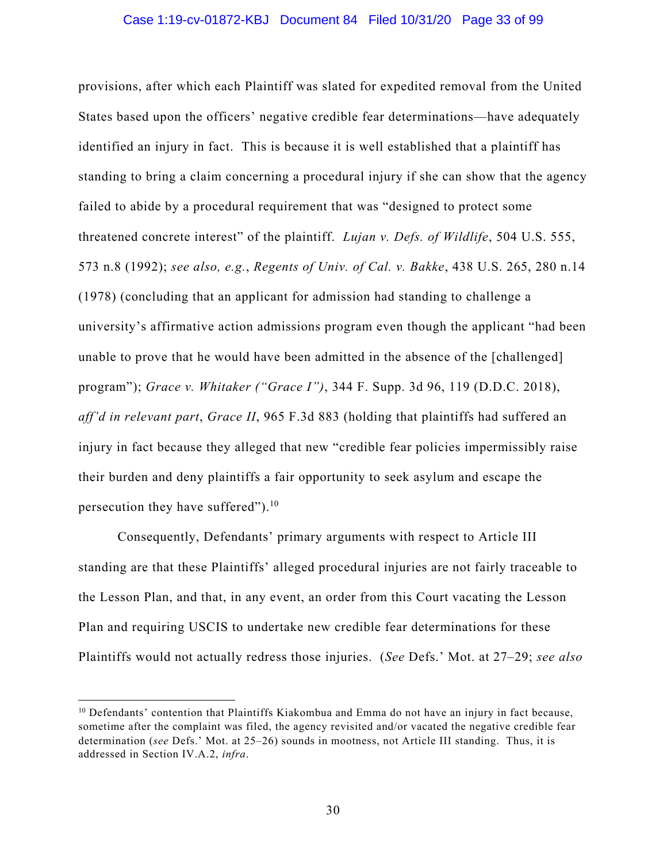#### Case 1:19-cv-01872-KBJ Document 84 Filed 10/31/20 Page 33 of 99

provisions, after which each Plaintiff was slated for expedited removal from the United States based upon the officers' negative credible fear determinations—have adequately identified an injury in fact. This is because it is well established that a plaintiff has standing to bring a claim concerning a procedural injury if she can show that the agency failed to abide by a procedural requirement that was "designed to protect some threatened concrete interest" of the plaintiff. *Lujan v. Defs. of Wildlife*, 504 U.S. 555, 573 n.8 (1992); *see also, e.g.*, *Regents of Univ. of Cal. v. Bakke*, 438 U.S. 265, 280 n.14 (1978) (concluding that an applicant for admission had standing to challenge a university's affirmative action admissions program even though the applicant "had been unable to prove that he would have been admitted in the absence of the [challenged] program"); *Grace v. Whitaker ("Grace I")*, 344 F. Supp. 3d 96, 119 (D.D.C. 2018), *aff'd in relevant part*, *Grace II*, 965 F.3d 883 (holding that plaintiffs had suffered an injury in fact because they alleged that new "credible fear policies impermissibly raise their burden and deny plaintiffs a fair opportunity to seek asylum and escape the persecution they have suffered").10

Consequently, Defendants' primary arguments with respect to Article III standing are that these Plaintiffs' alleged procedural injuries are not fairly traceable to the Lesson Plan, and that, in any event, an order from this Court vacating the Lesson Plan and requiring USCIS to undertake new credible fear determinations for these Plaintiffs would not actually redress those injuries. (*See* Defs.' Mot. at 27–29; *see also* 

<sup>&</sup>lt;sup>10</sup> Defendants' contention that Plaintiffs Kiakombua and Emma do not have an injury in fact because, sometime after the complaint was filed, the agency revisited and/or vacated the negative credible fear determination (*see* Defs.' Mot. at 25–26) sounds in mootness, not Article III standing. Thus, it is addressed in Section IV.A.2, *infra*.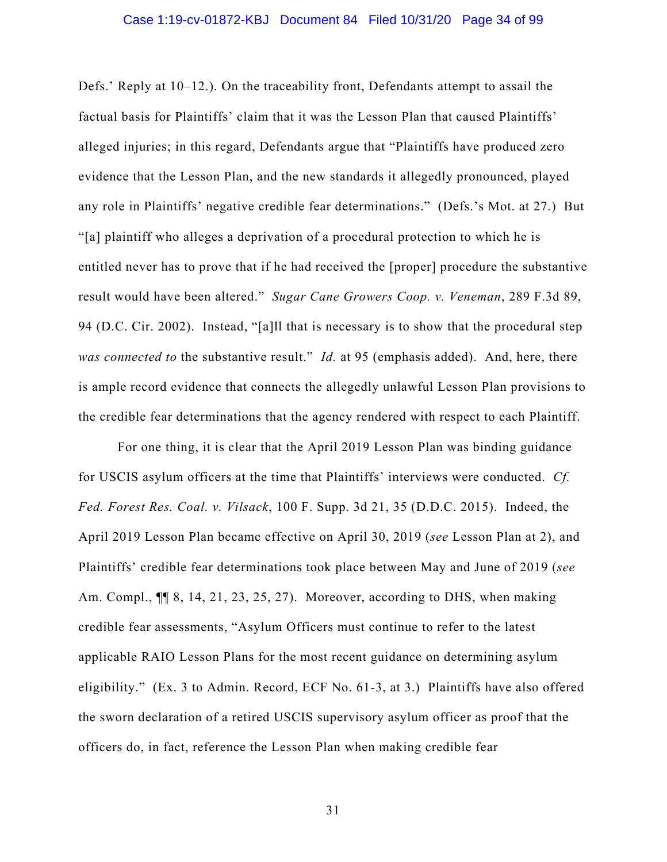Defs.' Reply at 10–12.). On the traceability front, Defendants attempt to assail the factual basis for Plaintiffs' claim that it was the Lesson Plan that caused Plaintiffs' alleged injuries; in this regard, Defendants argue that "Plaintiffs have produced zero evidence that the Lesson Plan, and the new standards it allegedly pronounced, played any role in Plaintiffs' negative credible fear determinations." (Defs.'s Mot. at 27.) But "[a] plaintiff who alleges a deprivation of a procedural protection to which he is entitled never has to prove that if he had received the [proper] procedure the substantive result would have been altered." *Sugar Cane Growers Coop. v. Veneman*, 289 F.3d 89, 94 (D.C. Cir. 2002). Instead, "[a]ll that is necessary is to show that the procedural step *was connected to* the substantive result." *Id.* at 95 (emphasis added). And, here, there is ample record evidence that connects the allegedly unlawful Lesson Plan provisions to the credible fear determinations that the agency rendered with respect to each Plaintiff.

For one thing, it is clear that the April 2019 Lesson Plan was binding guidance for USCIS asylum officers at the time that Plaintiffs' interviews were conducted. *Cf. Fed. Forest Res. Coal. v. Vilsack*, 100 F. Supp. 3d 21, 35 (D.D.C. 2015). Indeed, the April 2019 Lesson Plan became effective on April 30, 2019 (*see* Lesson Plan at 2), and Plaintiffs' credible fear determinations took place between May and June of 2019 (*see*  Am. Compl., ¶¶ 8, 14, 21, 23, 25, 27). Moreover, according to DHS, when making credible fear assessments, "Asylum Officers must continue to refer to the latest applicable RAIO Lesson Plans for the most recent guidance on determining asylum eligibility." (Ex. 3 to Admin. Record, ECF No. 61-3, at 3.) Plaintiffs have also offered the sworn declaration of a retired USCIS supervisory asylum officer as proof that the officers do, in fact, reference the Lesson Plan when making credible fear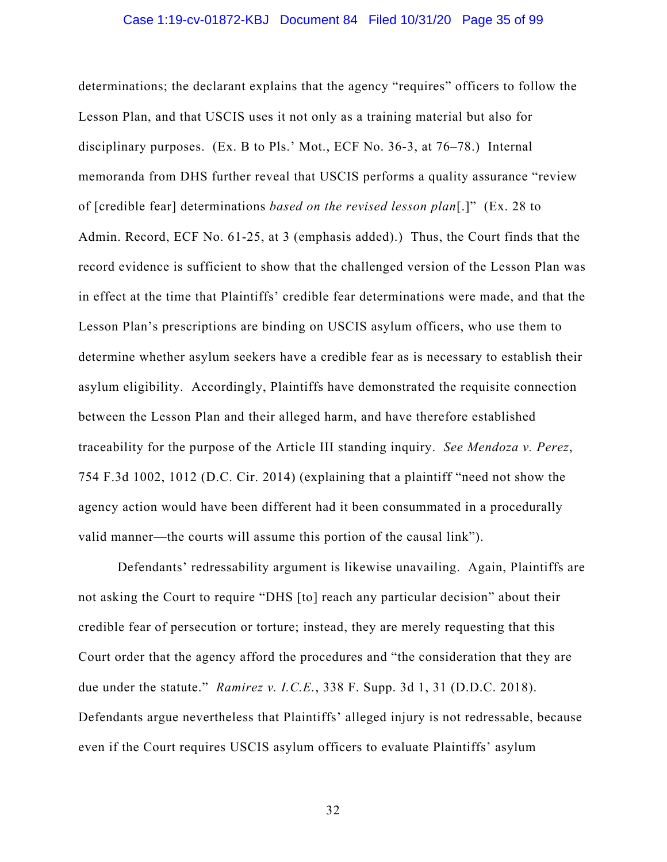#### Case 1:19-cv-01872-KBJ Document 84 Filed 10/31/20 Page 35 of 99

determinations; the declarant explains that the agency "requires" officers to follow the Lesson Plan, and that USCIS uses it not only as a training material but also for disciplinary purposes. (Ex. B to Pls.' Mot., ECF No. 36-3, at 76–78.) Internal memoranda from DHS further reveal that USCIS performs a quality assurance "review of [credible fear] determinations *based on the revised lesson plan*[.]" (Ex. 28 to Admin. Record, ECF No. 61-25, at 3 (emphasis added).) Thus, the Court finds that the record evidence is sufficient to show that the challenged version of the Lesson Plan was in effect at the time that Plaintiffs' credible fear determinations were made, and that the Lesson Plan's prescriptions are binding on USCIS asylum officers, who use them to determine whether asylum seekers have a credible fear as is necessary to establish their asylum eligibility. Accordingly, Plaintiffs have demonstrated the requisite connection between the Lesson Plan and their alleged harm, and have therefore established traceability for the purpose of the Article III standing inquiry. *See Mendoza v. Perez*, 754 F.3d 1002, 1012 (D.C. Cir. 2014) (explaining that a plaintiff "need not show the agency action would have been different had it been consummated in a procedurally valid manner—the courts will assume this portion of the causal link").

Defendants' redressability argument is likewise unavailing. Again, Plaintiffs are not asking the Court to require "DHS [to] reach any particular decision" about their credible fear of persecution or torture; instead, they are merely requesting that this Court order that the agency afford the procedures and "the consideration that they are due under the statute." *Ramirez v. I.C.E.*, 338 F. Supp. 3d 1, 31 (D.D.C. 2018). Defendants argue nevertheless that Plaintiffs' alleged injury is not redressable, because even if the Court requires USCIS asylum officers to evaluate Plaintiffs' asylum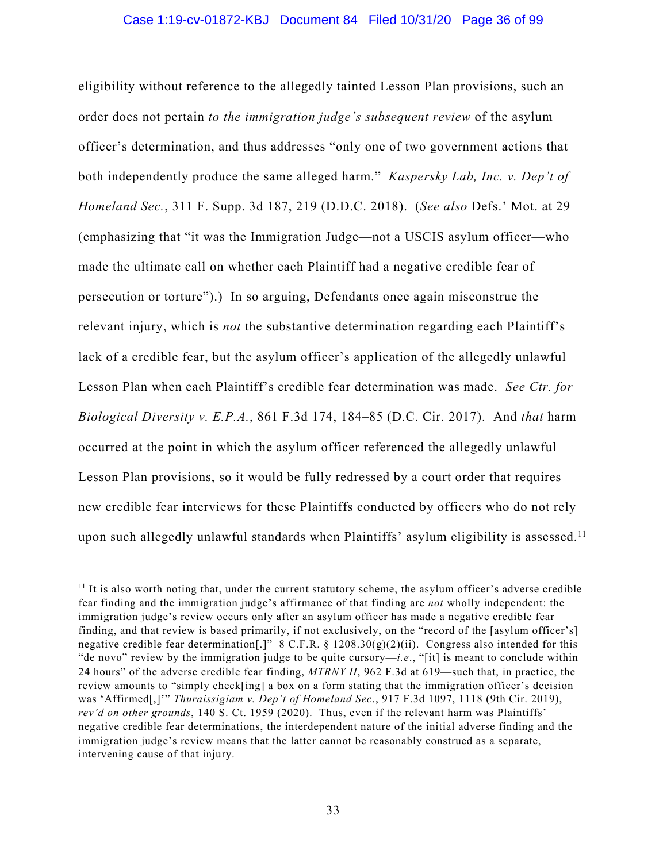#### Case 1:19-cv-01872-KBJ Document 84 Filed 10/31/20 Page 36 of 99

eligibility without reference to the allegedly tainted Lesson Plan provisions, such an order does not pertain *to the immigration judge's subsequent review* of the asylum officer's determination, and thus addresses "only one of two government actions that both independently produce the same alleged harm." *Kaspersky Lab, Inc. v. Dep't of Homeland Sec.*, 311 F. Supp. 3d 187, 219 (D.D.C. 2018). (*See also* Defs.' Mot. at 29 (emphasizing that "it was the Immigration Judge—not a USCIS asylum officer—who made the ultimate call on whether each Plaintiff had a negative credible fear of persecution or torture").) In so arguing, Defendants once again misconstrue the relevant injury, which is *not* the substantive determination regarding each Plaintiff's lack of a credible fear, but the asylum officer's application of the allegedly unlawful Lesson Plan when each Plaintiff's credible fear determination was made. *See Ctr. for Biological Diversity v. E.P.A.*, 861 F.3d 174, 184–85 (D.C. Cir. 2017). And *that* harm occurred at the point in which the asylum officer referenced the allegedly unlawful Lesson Plan provisions, so it would be fully redressed by a court order that requires new credible fear interviews for these Plaintiffs conducted by officers who do not rely upon such allegedly unlawful standards when Plaintiffs' asylum eligibility is assessed.<sup>11</sup>

 $11$  It is also worth noting that, under the current statutory scheme, the asylum officer's adverse credible fear finding and the immigration judge's affirmance of that finding are *not* wholly independent: the immigration judge's review occurs only after an asylum officer has made a negative credible fear finding, and that review is based primarily, if not exclusively, on the "record of the [asylum officer's] negative credible fear determination[.]" 8 C.F.R. § 1208.30(g)(2)(ii). Congress also intended for this "de novo" review by the immigration judge to be quite cursory—*i.e*., "[it] is meant to conclude within 24 hours" of the adverse credible fear finding, *MTRNY II*, 962 F.3d at 619—such that, in practice, the review amounts to "simply check[ing] a box on a form stating that the immigration officer's decision was 'Affirmed[,]'" *Thuraissigiam v. Dep't of Homeland Sec*., 917 F.3d 1097, 1118 (9th Cir. 2019), *rev'd on other grounds*, 140 S. Ct. 1959 (2020). Thus, even if the relevant harm was Plaintiffs' negative credible fear determinations, the interdependent nature of the initial adverse finding and the immigration judge's review means that the latter cannot be reasonably construed as a separate, intervening cause of that injury.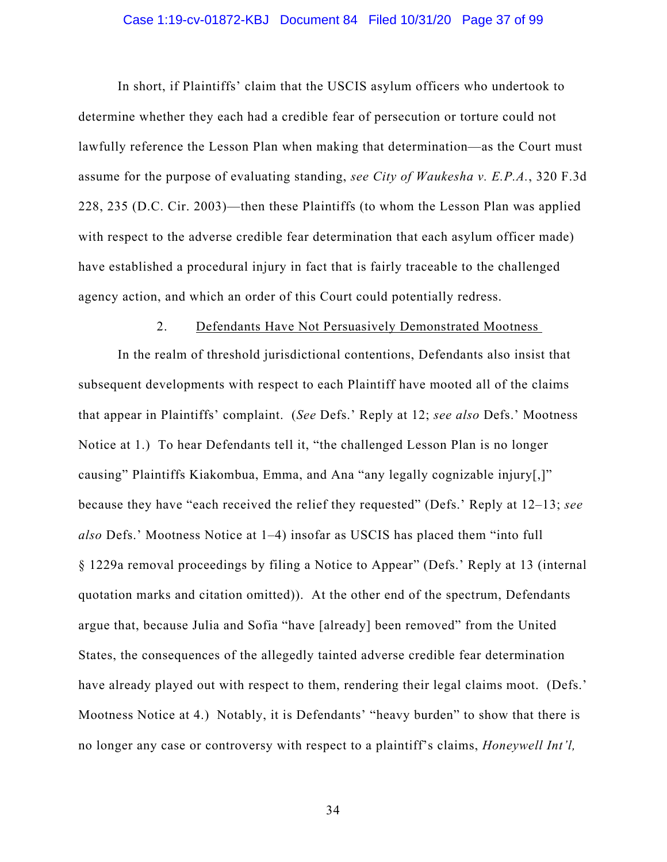#### Case 1:19-cv-01872-KBJ Document 84 Filed 10/31/20 Page 37 of 99

In short, if Plaintiffs' claim that the USCIS asylum officers who undertook to determine whether they each had a credible fear of persecution or torture could not lawfully reference the Lesson Plan when making that determination—as the Court must assume for the purpose of evaluating standing, *see City of Waukesha v. E.P.A.*, 320 F.3d 228, 235 (D.C. Cir. 2003)—then these Plaintiffs (to whom the Lesson Plan was applied with respect to the adverse credible fear determination that each asylum officer made) have established a procedural injury in fact that is fairly traceable to the challenged agency action, and which an order of this Court could potentially redress.

#### 2. Defendants Have Not Persuasively Demonstrated Mootness

In the realm of threshold jurisdictional contentions, Defendants also insist that subsequent developments with respect to each Plaintiff have mooted all of the claims that appear in Plaintiffs' complaint. (*See* Defs.' Reply at 12; *see also* Defs.' Mootness Notice at 1.) To hear Defendants tell it, "the challenged Lesson Plan is no longer causing" Plaintiffs Kiakombua, Emma, and Ana "any legally cognizable injury[,]" because they have "each received the relief they requested" (Defs.' Reply at 12–13; *see also* Defs.' Mootness Notice at 1–4) insofar as USCIS has placed them "into full § 1229a removal proceedings by filing a Notice to Appear" (Defs.' Reply at 13 (internal quotation marks and citation omitted)). At the other end of the spectrum, Defendants argue that, because Julia and Sofia "have [already] been removed" from the United States, the consequences of the allegedly tainted adverse credible fear determination have already played out with respect to them, rendering their legal claims moot. (Defs.' Mootness Notice at 4.) Notably, it is Defendants' "heavy burden" to show that there is no longer any case or controversy with respect to a plaintiff's claims, *Honeywell Int'l,*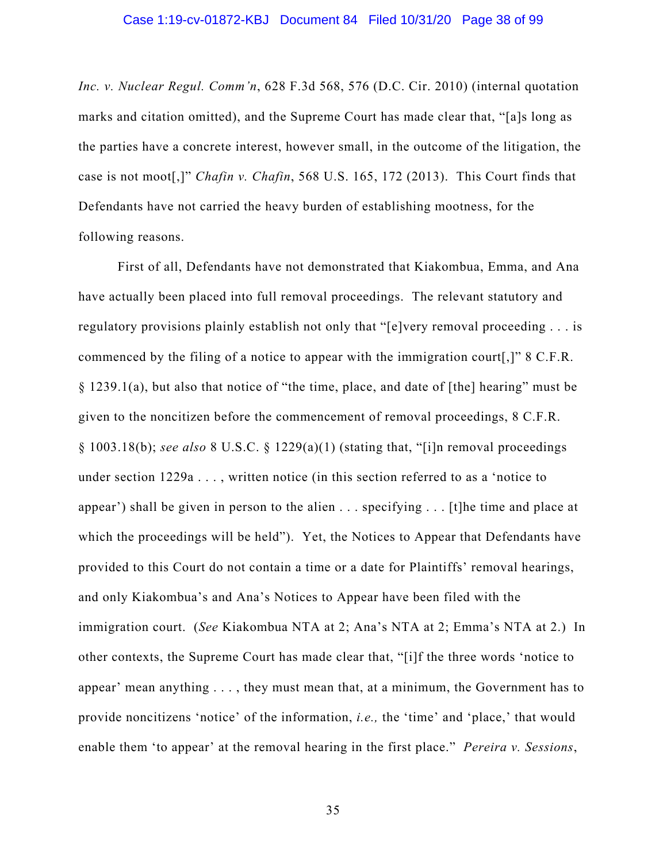*Inc. v. Nuclear Regul. Comm'n*, 628 F.3d 568, 576 (D.C. Cir. 2010) (internal quotation marks and citation omitted), and the Supreme Court has made clear that, "[a]s long as the parties have a concrete interest, however small, in the outcome of the litigation, the case is not moot[,]" *Chafin v. Chafin*, 568 U.S. 165, 172 (2013). This Court finds that Defendants have not carried the heavy burden of establishing mootness, for the following reasons.

First of all, Defendants have not demonstrated that Kiakombua, Emma, and Ana have actually been placed into full removal proceedings. The relevant statutory and regulatory provisions plainly establish not only that "[e]very removal proceeding . . . is commenced by the filing of a notice to appear with the immigration court[,]" 8 C.F.R. § 1239.1(a), but also that notice of "the time, place, and date of [the] hearing" must be given to the noncitizen before the commencement of removal proceedings, 8 C.F.R. § 1003.18(b); *see also* 8 U.S.C. § 1229(a)(1) (stating that, "[i]n removal proceedings under section 1229a . . . , written notice (in this section referred to as a 'notice to appear') shall be given in person to the alien . . . specifying . . . [t]he time and place at which the proceedings will be held"). Yet, the Notices to Appear that Defendants have provided to this Court do not contain a time or a date for Plaintiffs' removal hearings, and only Kiakombua's and Ana's Notices to Appear have been filed with the immigration court. (*See* Kiakombua NTA at 2; Ana's NTA at 2; Emma's NTA at 2.) In other contexts, the Supreme Court has made clear that, "[i]f the three words 'notice to appear' mean anything . . . , they must mean that, at a minimum, the Government has to provide noncitizens 'notice' of the information, *i.e.,* the 'time' and 'place,' that would enable them 'to appear' at the removal hearing in the first place." *Pereira v. Sessions*,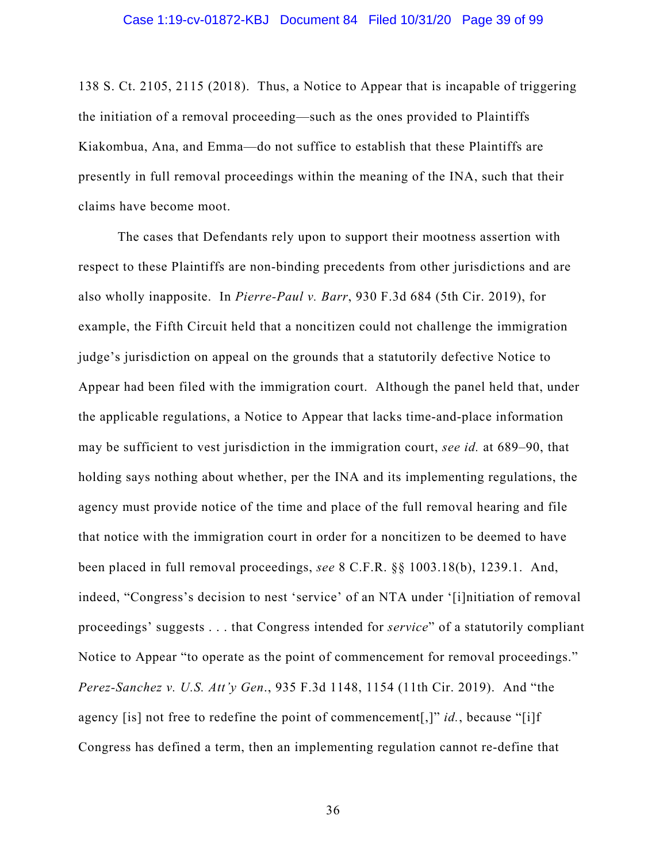138 S. Ct. 2105, 2115 (2018). Thus, a Notice to Appear that is incapable of triggering the initiation of a removal proceeding—such as the ones provided to Plaintiffs Kiakombua, Ana, and Emma—do not suffice to establish that these Plaintiffs are presently in full removal proceedings within the meaning of the INA, such that their claims have become moot.

The cases that Defendants rely upon to support their mootness assertion with respect to these Plaintiffs are non-binding precedents from other jurisdictions and are also wholly inapposite. In *Pierre-Paul v. Barr*, 930 F.3d 684 (5th Cir. 2019), for example, the Fifth Circuit held that a noncitizen could not challenge the immigration judge's jurisdiction on appeal on the grounds that a statutorily defective Notice to Appear had been filed with the immigration court. Although the panel held that, under the applicable regulations, a Notice to Appear that lacks time-and-place information may be sufficient to vest jurisdiction in the immigration court, *see id.* at 689–90, that holding says nothing about whether, per the INA and its implementing regulations, the agency must provide notice of the time and place of the full removal hearing and file that notice with the immigration court in order for a noncitizen to be deemed to have been placed in full removal proceedings, *see* 8 C.F.R. §§ 1003.18(b), 1239.1. And, indeed, "Congress's decision to nest 'service' of an NTA under '[i]nitiation of removal proceedings' suggests . . . that Congress intended for *service*" of a statutorily compliant Notice to Appear "to operate as the point of commencement for removal proceedings." *Perez-Sanchez v. U.S. Att'y Gen*., 935 F.3d 1148, 1154 (11th Cir. 2019). And "the agency [is] not free to redefine the point of commencement[,]" *id.*, because "[i]f Congress has defined a term, then an implementing regulation cannot re-define that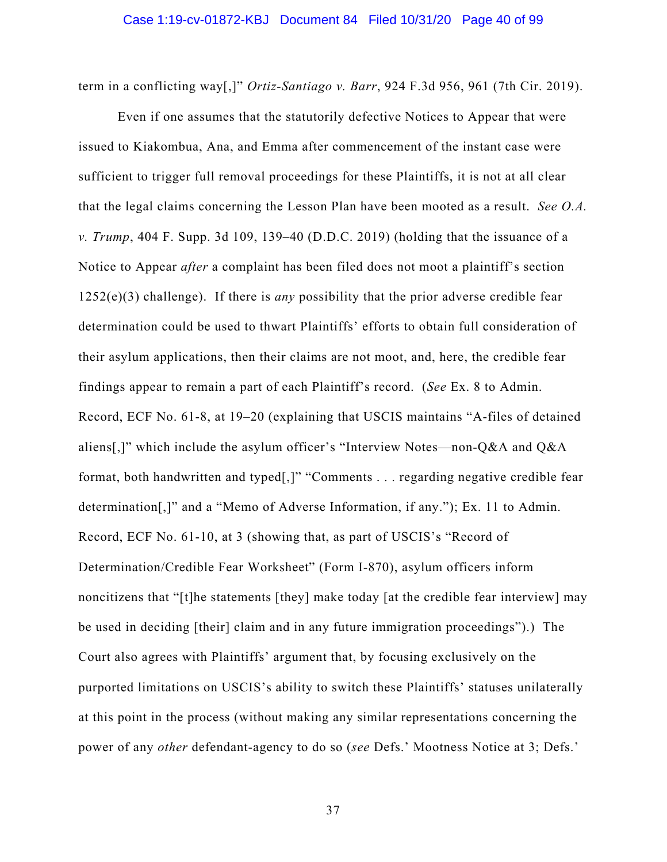term in a conflicting way[,]" *Ortiz-Santiago v. Barr*, 924 F.3d 956, 961 (7th Cir. 2019).

Even if one assumes that the statutorily defective Notices to Appear that were issued to Kiakombua, Ana, and Emma after commencement of the instant case were sufficient to trigger full removal proceedings for these Plaintiffs, it is not at all clear that the legal claims concerning the Lesson Plan have been mooted as a result. *See O.A. v. Trump*, 404 F. Supp. 3d 109, 139–40 (D.D.C. 2019) (holding that the issuance of a Notice to Appear *after* a complaint has been filed does not moot a plaintiff's section 1252(e)(3) challenge). If there is *any* possibility that the prior adverse credible fear determination could be used to thwart Plaintiffs' efforts to obtain full consideration of their asylum applications, then their claims are not moot, and, here, the credible fear findings appear to remain a part of each Plaintiff's record. (*See* Ex. 8 to Admin. Record, ECF No. 61-8, at 19–20 (explaining that USCIS maintains "A-files of detained aliens[,]" which include the asylum officer's "Interview Notes—non-Q&A and Q&A format, both handwritten and typed[,]" "Comments . . . regarding negative credible fear determination[,]" and a "Memo of Adverse Information, if any."); Ex. 11 to Admin. Record, ECF No. 61-10, at 3 (showing that, as part of USCIS's "Record of Determination/Credible Fear Worksheet" (Form I-870), asylum officers inform noncitizens that "[t]he statements [they] make today [at the credible fear interview] may be used in deciding [their] claim and in any future immigration proceedings").) The Court also agrees with Plaintiffs' argument that, by focusing exclusively on the purported limitations on USCIS's ability to switch these Plaintiffs' statuses unilaterally at this point in the process (without making any similar representations concerning the power of any *other* defendant-agency to do so (*see* Defs.' Mootness Notice at 3; Defs.'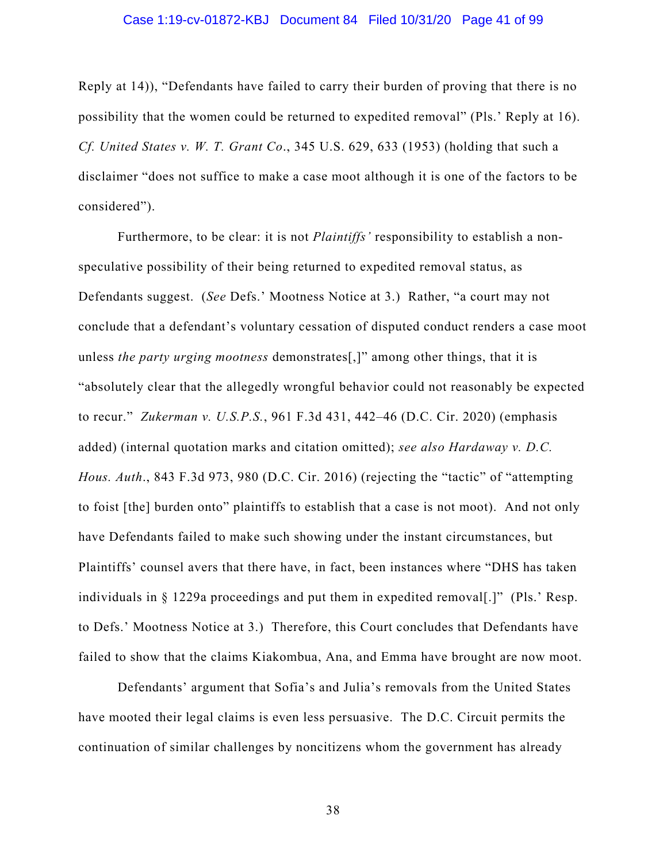#### Case 1:19-cv-01872-KBJ Document 84 Filed 10/31/20 Page 41 of 99

Reply at 14)), "Defendants have failed to carry their burden of proving that there is no possibility that the women could be returned to expedited removal" (Pls.' Reply at 16). *Cf. United States v. W. T. Grant Co*., 345 U.S. 629, 633 (1953) (holding that such a disclaimer "does not suffice to make a case moot although it is one of the factors to be considered").

Furthermore, to be clear: it is not *Plaintiffs'* responsibility to establish a nonspeculative possibility of their being returned to expedited removal status, as Defendants suggest. (*See* Defs.' Mootness Notice at 3.) Rather, "a court may not conclude that a defendant's voluntary cessation of disputed conduct renders a case moot unless *the party urging mootness* demonstrates[,]" among other things, that it is "absolutely clear that the allegedly wrongful behavior could not reasonably be expected to recur." *Zukerman v. U.S.P.S.*, 961 F.3d 431, 442–46 (D.C. Cir. 2020) (emphasis added) (internal quotation marks and citation omitted); *see also Hardaway v. D.C. Hous. Auth*., 843 F.3d 973, 980 (D.C. Cir. 2016) (rejecting the "tactic" of "attempting to foist [the] burden onto" plaintiffs to establish that a case is not moot).And not only have Defendants failed to make such showing under the instant circumstances, but Plaintiffs' counsel avers that there have, in fact, been instances where "DHS has taken individuals in  $\S$  1229a proceedings and put them in expedited removal [.]" (Pls.' Resp. to Defs.' Mootness Notice at 3.) Therefore, this Court concludes that Defendants have failed to show that the claims Kiakombua, Ana, and Emma have brought are now moot.

Defendants' argument that Sofia's and Julia's removals from the United States have mooted their legal claims is even less persuasive. The D.C. Circuit permits the continuation of similar challenges by noncitizens whom the government has already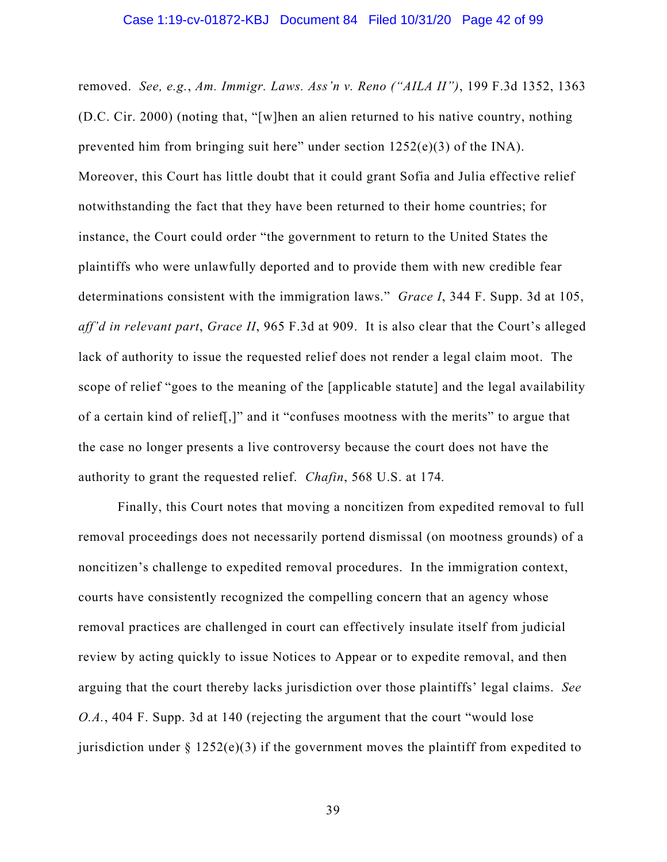removed. *See, e.g.*, *Am. Immigr. Laws. Ass'n v. Reno ("AILA II")*, 199 F.3d 1352, 1363 (D.C. Cir. 2000) (noting that, "[w]hen an alien returned to his native country, nothing prevented him from bringing suit here" under section 1252(e)(3) of the INA). Moreover, this Court has little doubt that it could grant Sofia and Julia effective relief notwithstanding the fact that they have been returned to their home countries; for instance, the Court could order "the government to return to the United States the plaintiffs who were unlawfully deported and to provide them with new credible fear determinations consistent with the immigration laws." *Grace I*, 344 F. Supp. 3d at 105, *aff'd in relevant part*, *Grace II*, 965 F.3d at 909. It is also clear that the Court's alleged lack of authority to issue the requested relief does not render a legal claim moot. The scope of relief "goes to the meaning of the [applicable statute] and the legal availability of a certain kind of relief[,]" and it "confuses mootness with the merits" to argue that the case no longer presents a live controversy because the court does not have the authority to grant the requested relief. *Chafin*, 568 U.S. at 174*.* 

Finally, this Court notes that moving a noncitizen from expedited removal to full removal proceedings does not necessarily portend dismissal (on mootness grounds) of a noncitizen's challenge to expedited removal procedures. In the immigration context, courts have consistently recognized the compelling concern that an agency whose removal practices are challenged in court can effectively insulate itself from judicial review by acting quickly to issue Notices to Appear or to expedite removal, and then arguing that the court thereby lacks jurisdiction over those plaintiffs' legal claims. *See O.A.*, 404 F. Supp. 3d at 140 (rejecting the argument that the court "would lose jurisdiction under  $\S 1252(e)(3)$  if the government moves the plaintiff from expedited to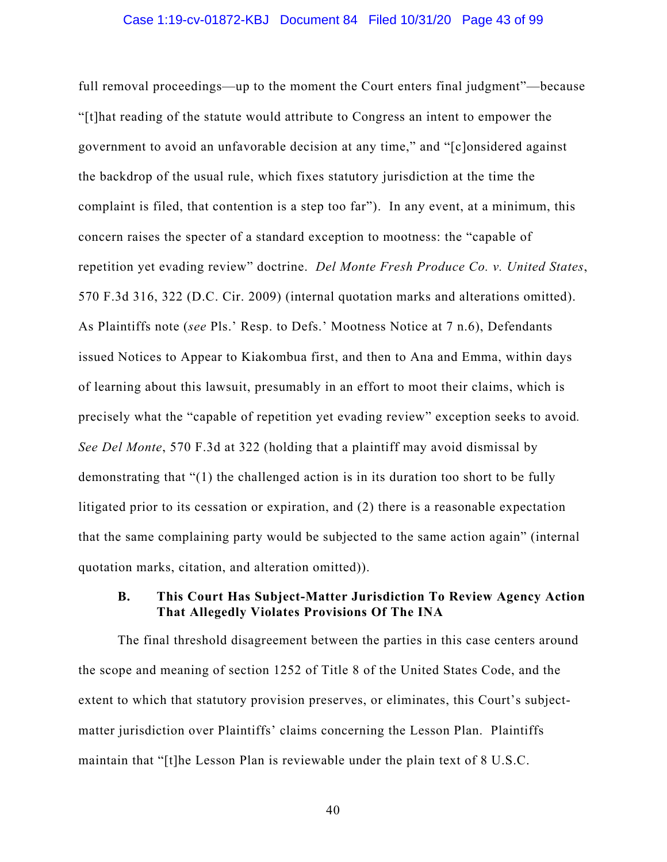#### Case 1:19-cv-01872-KBJ Document 84 Filed 10/31/20 Page 43 of 99

full removal proceedings—up to the moment the Court enters final judgment"—because "[t]hat reading of the statute would attribute to Congress an intent to empower the government to avoid an unfavorable decision at any time," and "[c]onsidered against the backdrop of the usual rule, which fixes statutory jurisdiction at the time the complaint is filed, that contention is a step too far"). In any event, at a minimum, this concern raises the specter of a standard exception to mootness: the "capable of repetition yet evading review" doctrine. *Del Monte Fresh Produce Co. v. United States*, 570 F.3d 316, 322 (D.C. Cir. 2009) (internal quotation marks and alterations omitted). As Plaintiffs note (*see* Pls.' Resp. to Defs.' Mootness Notice at 7 n.6), Defendants issued Notices to Appear to Kiakombua first, and then to Ana and Emma, within days of learning about this lawsuit, presumably in an effort to moot their claims, which is precisely what the "capable of repetition yet evading review" exception seeks to avoid*. See Del Monte*, 570 F.3d at 322 (holding that a plaintiff may avoid dismissal by demonstrating that "(1) the challenged action is in its duration too short to be fully litigated prior to its cessation or expiration, and (2) there is a reasonable expectation that the same complaining party would be subjected to the same action again" (internal quotation marks, citation, and alteration omitted)).

### **B. This Court Has Subject-Matter Jurisdiction To Review Agency Action That Allegedly Violates Provisions Of The INA**

The final threshold disagreement between the parties in this case centers around the scope and meaning of section 1252 of Title 8 of the United States Code, and the extent to which that statutory provision preserves, or eliminates, this Court's subjectmatter jurisdiction over Plaintiffs' claims concerning the Lesson Plan. Plaintiffs maintain that "[t]he Lesson Plan is reviewable under the plain text of 8 U.S.C.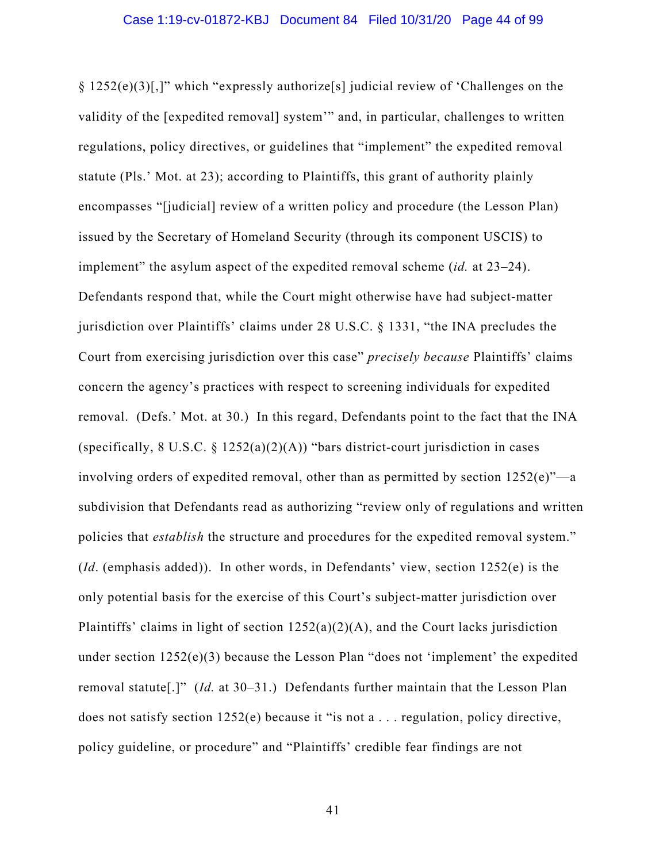§ 1252(e)(3)[,]" which "expressly authorize[s] judicial review of 'Challenges on the validity of the [expedited removal] system'" and, in particular, challenges to written regulations, policy directives, or guidelines that "implement" the expedited removal statute (Pls.' Mot. at 23); according to Plaintiffs, this grant of authority plainly encompasses "[judicial] review of a written policy and procedure (the Lesson Plan) issued by the Secretary of Homeland Security (through its component USCIS) to implement" the asylum aspect of the expedited removal scheme (*id.* at 23–24). Defendants respond that, while the Court might otherwise have had subject-matter jurisdiction over Plaintiffs' claims under 28 U.S.C. § 1331, "the INA precludes the Court from exercising jurisdiction over this case" *precisely because* Plaintiffs' claims concern the agency's practices with respect to screening individuals for expedited removal. (Defs.' Mot. at 30.) In this regard, Defendants point to the fact that the INA (specifically,  $8 \text{ U.S.C.} \$   $1252(a)(2)(A)$ ) "bars district-court jurisdiction in cases involving orders of expedited removal, other than as permitted by section  $1252(e)$ "—a subdivision that Defendants read as authorizing "review only of regulations and written policies that *establish* the structure and procedures for the expedited removal system." (*Id*. (emphasis added)). In other words, in Defendants' view, section 1252(e) is the only potential basis for the exercise of this Court's subject-matter jurisdiction over Plaintiffs' claims in light of section  $1252(a)(2)(A)$ , and the Court lacks jurisdiction under section 1252(e)(3) because the Lesson Plan "does not 'implement' the expedited removal statute[.]" (*Id.* at 30–31.) Defendants further maintain that the Lesson Plan does not satisfy section 1252(e) because it "is not a . . . regulation, policy directive, policy guideline, or procedure" and "Plaintiffs' credible fear findings are not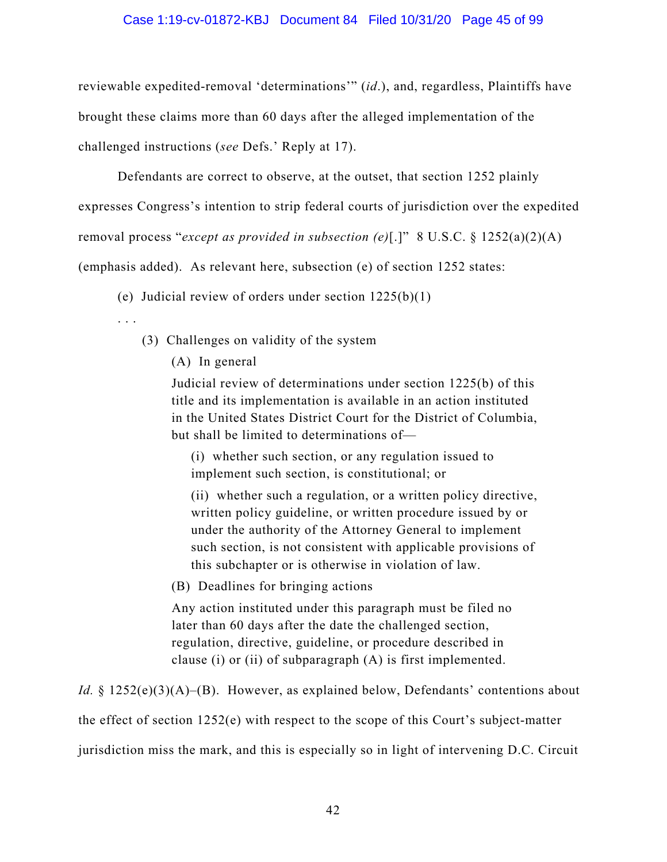#### Case 1:19-cv-01872-KBJ Document 84 Filed 10/31/20 Page 45 of 99

reviewable expedited-removal 'determinations'" (*id*.), and, regardless, Plaintiffs have brought these claims more than 60 days after the alleged implementation of the challenged instructions (*see* Defs.' Reply at 17).

Defendants are correct to observe, at the outset, that section 1252 plainly

expresses Congress's intention to strip federal courts of jurisdiction over the expedited

removal process "*except as provided in subsection (e)*[.]" 8 U.S.C. § 1252(a)(2)(A)

(emphasis added). As relevant here, subsection (e) of section 1252 states:

(e) Judicial review of orders under section  $1225(b)(1)$ 

. . .

- (3) Challenges on validity of the system
	- (A) In general

Judicial review of determinations under section 1225(b) of this title and its implementation is available in an action instituted in the United States District Court for the District of Columbia, but shall be limited to determinations of—

(i) whether such section, or any regulation issued to implement such section, is constitutional; or

(ii) whether such a regulation, or a written policy directive, written policy guideline, or written procedure issued by or under the authority of the Attorney General to implement such section, is not consistent with applicable provisions of this subchapter or is otherwise in violation of law.

(B) Deadlines for bringing actions

Any action instituted under this paragraph must be filed no later than 60 days after the date the challenged section, regulation, directive, guideline, or procedure described in clause (i) or (ii) of subparagraph (A) is first implemented.

*Id.* § 1252(e)(3)(A)–(B). However, as explained below, Defendants' contentions about the effect of section 1252(e) with respect to the scope of this Court's subject-matter jurisdiction miss the mark, and this is especially so in light of intervening D.C. Circuit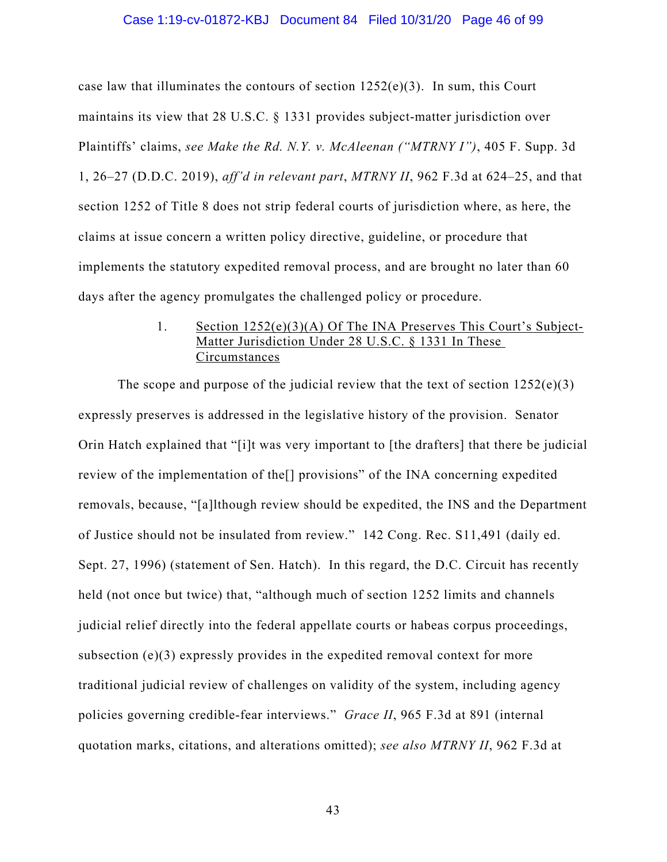#### Case 1:19-cv-01872-KBJ Document 84 Filed 10/31/20 Page 46 of 99

case law that illuminates the contours of section  $1252(e)(3)$ . In sum, this Court maintains its view that 28 U.S.C. § 1331 provides subject-matter jurisdiction over Plaintiffs' claims, *see Make the Rd. N.Y. v. McAleenan ("MTRNY I")*, 405 F. Supp. 3d 1, 26–27 (D.D.C. 2019), *aff'd in relevant part*, *MTRNY II*, 962 F.3d at 624–25, and that section 1252 of Title 8 does not strip federal courts of jurisdiction where, as here, the claims at issue concern a written policy directive, guideline, or procedure that implements the statutory expedited removal process, and are brought no later than 60 days after the agency promulgates the challenged policy or procedure.

## 1. Section 1252(e)(3)(A) Of The INA Preserves This Court's Subject-Matter Jurisdiction Under 28 U.S.C. § 1331 In These Circumstances

The scope and purpose of the judicial review that the text of section  $1252(e)(3)$ expressly preserves is addressed in the legislative history of the provision. Senator Orin Hatch explained that "[i]t was very important to [the drafters] that there be judicial review of the implementation of the[] provisions" of the INA concerning expedited removals, because, "[a]lthough review should be expedited, the INS and the Department of Justice should not be insulated from review." 142 Cong. Rec. S11,491 (daily ed. Sept. 27, 1996) (statement of Sen. Hatch). In this regard, the D.C. Circuit has recently held (not once but twice) that, "although much of section 1252 limits and channels judicial relief directly into the federal appellate courts or habeas corpus proceedings, subsection (e)(3) expressly provides in the expedited removal context for more traditional judicial review of challenges on validity of the system, including agency policies governing credible-fear interviews." *Grace II*, 965 F.3d at 891 (internal quotation marks, citations, and alterations omitted); *see also MTRNY II*, 962 F.3d at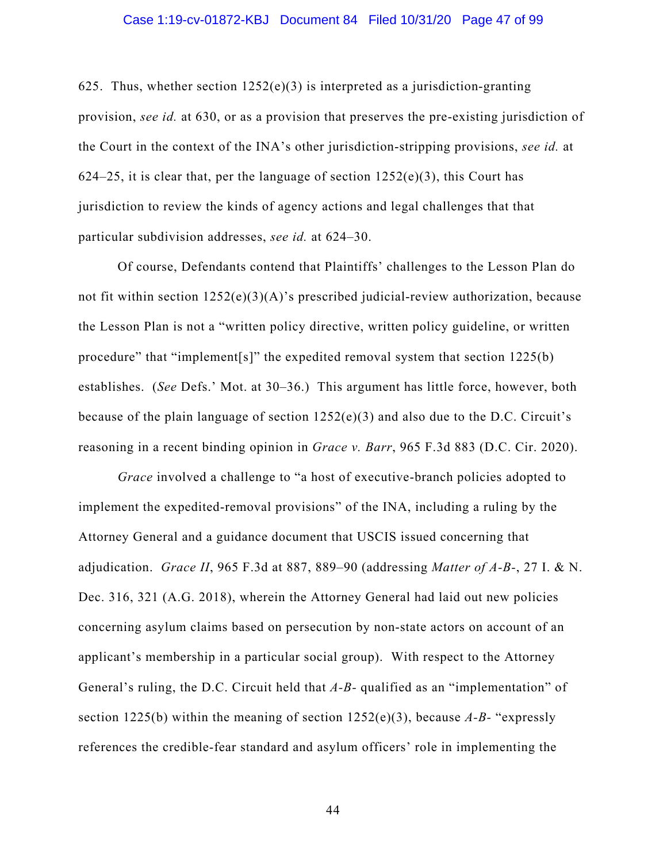625. Thus, whether section  $1252(e)(3)$  is interpreted as a jurisdiction-granting provision, *see id.* at 630, or as a provision that preserves the pre-existing jurisdiction of the Court in the context of the INA's other jurisdiction-stripping provisions, *see id.* at 624–25, it is clear that, per the language of section  $1252(e)(3)$ , this Court has jurisdiction to review the kinds of agency actions and legal challenges that that particular subdivision addresses, *see id.* at 624–30.

Of course, Defendants contend that Plaintiffs' challenges to the Lesson Plan do not fit within section  $1252(e)(3)(A)$ 's prescribed judicial-review authorization, because the Lesson Plan is not a "written policy directive, written policy guideline, or written procedure" that "implement[s]" the expedited removal system that section  $1225(b)$ establishes. (*See* Defs.' Mot. at 30–36.) This argument has little force, however, both because of the plain language of section  $1252(e)(3)$  and also due to the D.C. Circuit's reasoning in a recent binding opinion in *Grace v. Barr*, 965 F.3d 883 (D.C. Cir. 2020).

*Grace* involved a challenge to "a host of executive-branch policies adopted to implement the expedited-removal provisions" of the INA, including a ruling by the Attorney General and a guidance document that USCIS issued concerning that adjudication. *Grace II*, 965 F.3d at 887, 889–90 (addressing *Matter of A-B-*, 27 I. & N. Dec. 316, 321 (A.G. 2018), wherein the Attorney General had laid out new policies concerning asylum claims based on persecution by non-state actors on account of an applicant's membership in a particular social group). With respect to the Attorney General's ruling, the D.C. Circuit held that *A-B-* qualified as an "implementation" of section 1225(b) within the meaning of section 1252(e)(3), because *A-B-* "expressly references the credible-fear standard and asylum officers' role in implementing the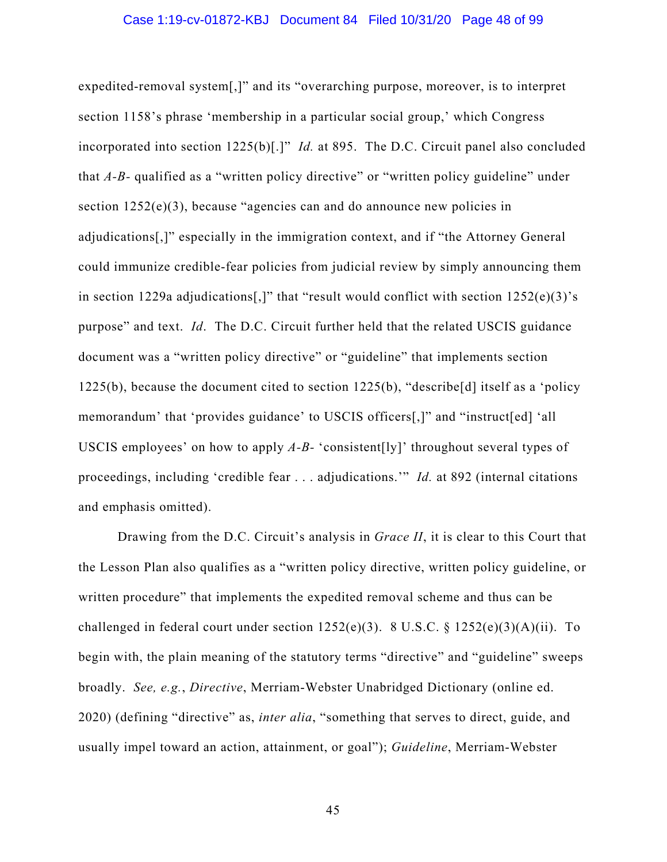#### Case 1:19-cv-01872-KBJ Document 84 Filed 10/31/20 Page 48 of 99

expedited-removal system[,]" and its "overarching purpose, moreover, is to interpret section 1158's phrase 'membership in a particular social group,' which Congress incorporated into section 1225(b)[.]" *Id.* at 895. The D.C. Circuit panel also concluded that *A-B-* qualified as a "written policy directive" or "written policy guideline" under section 1252(e)(3), because "agencies can and do announce new policies in adjudications[,]" especially in the immigration context, and if "the Attorney General could immunize credible-fear policies from judicial review by simply announcing them in section 1229a adjudications[,]" that "result would conflict with section  $1252(e)(3)$ 's purpose" and text. *Id*. The D.C. Circuit further held that the related USCIS guidance document was a "written policy directive" or "guideline" that implements section 1225(b), because the document cited to section 1225(b), "describe[d] itself as a 'policy memorandum' that 'provides guidance' to USCIS officers[,]" and "instruct[ed] 'all USCIS employees' on how to apply *A-B-* 'consistent[ly]' throughout several types of proceedings, including 'credible fear . . . adjudications.'" *Id.* at 892 (internal citations and emphasis omitted).

Drawing from the D.C. Circuit's analysis in *Grace II*, it is clear to this Court that the Lesson Plan also qualifies as a "written policy directive, written policy guideline, or written procedure" that implements the expedited removal scheme and thus can be challenged in federal court under section  $1252(e)(3)$ . 8 U.S.C. §  $1252(e)(3)(A)(ii)$ . To begin with, the plain meaning of the statutory terms "directive" and "guideline" sweeps broadly. *See, e.g.*, *Directive*, Merriam-Webster Unabridged Dictionary (online ed. 2020) (defining "directive" as, *inter alia*, "something that serves to direct, guide, and usually impel toward an action, attainment, or goal"); *Guideline*, Merriam-Webster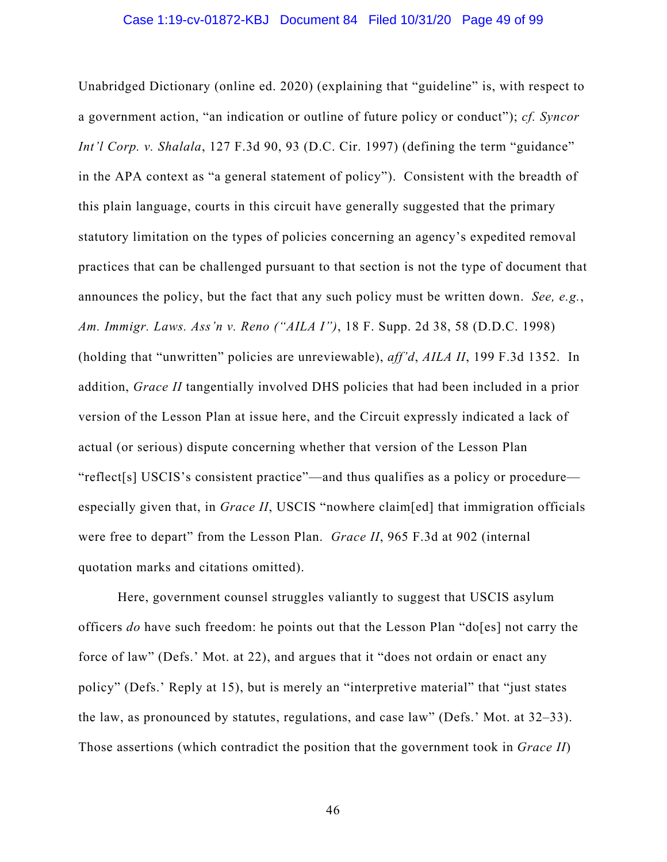#### Case 1:19-cv-01872-KBJ Document 84 Filed 10/31/20 Page 49 of 99

Unabridged Dictionary (online ed. 2020) (explaining that "guideline" is, with respect to a government action, "an indication or outline of future policy or conduct"); *cf. Syncor Int'l Corp. v. Shalala*, 127 F.3d 90, 93 (D.C. Cir. 1997) (defining the term "guidance" in the APA context as "a general statement of policy"). Consistent with the breadth of this plain language, courts in this circuit have generally suggested that the primary statutory limitation on the types of policies concerning an agency's expedited removal practices that can be challenged pursuant to that section is not the type of document that announces the policy, but the fact that any such policy must be written down. *See, e.g.*, *Am. Immigr. Laws. Ass'n v. Reno ("AILA I")*, 18 F. Supp. 2d 38, 58 (D.D.C. 1998) (holding that "unwritten" policies are unreviewable), *aff'd*, *AILA II*, 199 F.3d 1352. In addition, *Grace II* tangentially involved DHS policies that had been included in a prior version of the Lesson Plan at issue here, and the Circuit expressly indicated a lack of actual (or serious) dispute concerning whether that version of the Lesson Plan "reflect[s] USCIS's consistent practice"—and thus qualifies as a policy or procedure especially given that, in *Grace II*, USCIS "nowhere claim[ed] that immigration officials were free to depart" from the Lesson Plan. *Grace II*, 965 F.3d at 902 (internal quotation marks and citations omitted).

Here, government counsel struggles valiantly to suggest that USCIS asylum officers *do* have such freedom: he points out that the Lesson Plan "do[es] not carry the force of law" (Defs.' Mot. at 22), and argues that it "does not ordain or enact any policy" (Defs.' Reply at 15), but is merely an "interpretive material" that "just states the law, as pronounced by statutes, regulations, and case law" (Defs.' Mot. at 32–33). Those assertions (which contradict the position that the government took in *Grace II*)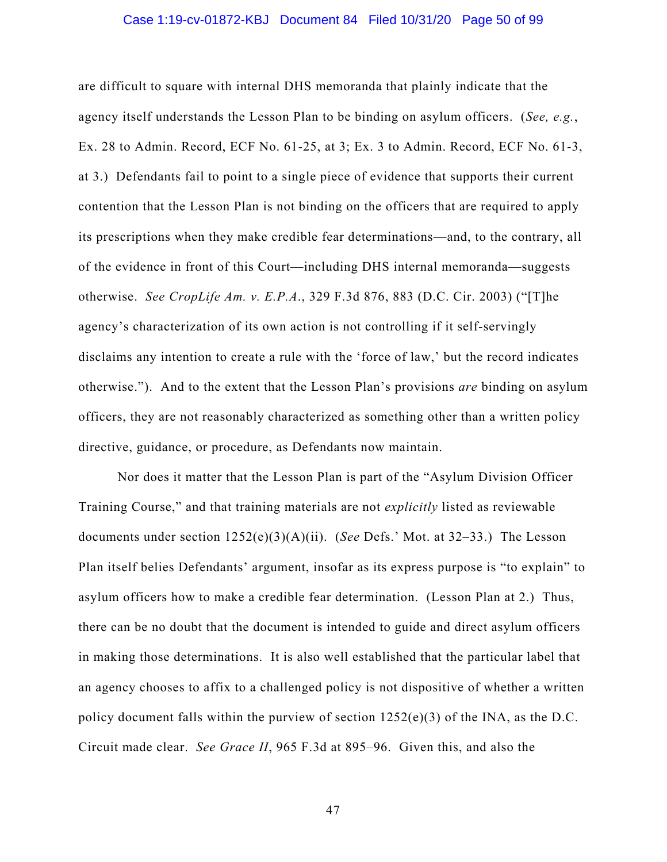#### Case 1:19-cv-01872-KBJ Document 84 Filed 10/31/20 Page 50 of 99

are difficult to square with internal DHS memoranda that plainly indicate that the agency itself understands the Lesson Plan to be binding on asylum officers. (*See, e.g.*, Ex. 28 to Admin. Record, ECF No. 61-25, at 3; Ex. 3 to Admin. Record, ECF No. 61-3, at 3.) Defendants fail to point to a single piece of evidence that supports their current contention that the Lesson Plan is not binding on the officers that are required to apply its prescriptions when they make credible fear determinations—and, to the contrary, all of the evidence in front of this Court—including DHS internal memoranda—suggests otherwise. *See CropLife Am. v. E.P.A*., 329 F.3d 876, 883 (D.C. Cir. 2003) ("[T]he agency's characterization of its own action is not controlling if it self-servingly disclaims any intention to create a rule with the 'force of law,' but the record indicates otherwise."). And to the extent that the Lesson Plan's provisions *are* binding on asylum officers, they are not reasonably characterized as something other than a written policy directive, guidance, or procedure, as Defendants now maintain.

Nor does it matter that the Lesson Plan is part of the "Asylum Division Officer Training Course," and that training materials are not *explicitly* listed as reviewable documents under section 1252(e)(3)(A)(ii). (*See* Defs.' Mot. at 32–33.) The Lesson Plan itself belies Defendants' argument, insofar as its express purpose is "to explain" to asylum officers how to make a credible fear determination. (Lesson Plan at 2.) Thus, there can be no doubt that the document is intended to guide and direct asylum officers in making those determinations. It is also well established that the particular label that an agency chooses to affix to a challenged policy is not dispositive of whether a written policy document falls within the purview of section  $1252(e)(3)$  of the INA, as the D.C. Circuit made clear. *See Grace II*, 965 F.3d at 895–96. Given this, and also the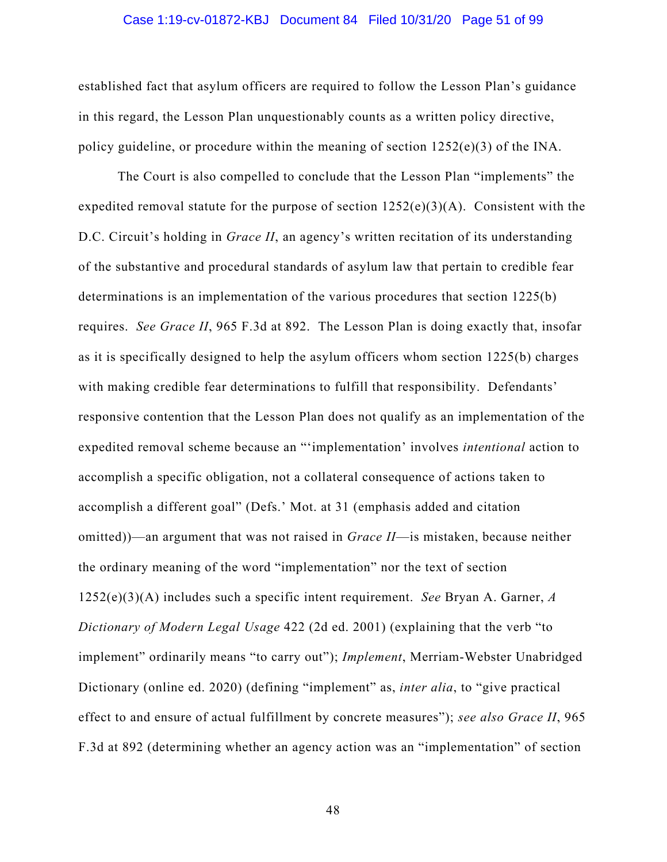#### Case 1:19-cv-01872-KBJ Document 84 Filed 10/31/20 Page 51 of 99

established fact that asylum officers are required to follow the Lesson Plan's guidance in this regard, the Lesson Plan unquestionably counts as a written policy directive, policy guideline, or procedure within the meaning of section  $1252(e)(3)$  of the INA.

The Court is also compelled to conclude that the Lesson Plan "implements" the expedited removal statute for the purpose of section  $1252(e)(3)(A)$ . Consistent with the D.C. Circuit's holding in *Grace II*, an agency's written recitation of its understanding of the substantive and procedural standards of asylum law that pertain to credible fear determinations is an implementation of the various procedures that section 1225(b) requires. *See Grace II*, 965 F.3d at 892. The Lesson Plan is doing exactly that, insofar as it is specifically designed to help the asylum officers whom section 1225(b) charges with making credible fear determinations to fulfill that responsibility. Defendants' responsive contention that the Lesson Plan does not qualify as an implementation of the expedited removal scheme because an "'implementation' involves *intentional* action to accomplish a specific obligation, not a collateral consequence of actions taken to accomplish a different goal" (Defs.' Mot. at 31 (emphasis added and citation omitted))—an argument that was not raised in *Grace II*—is mistaken, because neither the ordinary meaning of the word "implementation" nor the text of section 1252(e)(3)(A) includes such a specific intent requirement. *See* Bryan A. Garner, *A Dictionary of Modern Legal Usage* 422 (2d ed. 2001) (explaining that the verb "to implement" ordinarily means "to carry out"); *Implement*, Merriam-Webster Unabridged Dictionary (online ed. 2020) (defining "implement" as, *inter alia*, to "give practical effect to and ensure of actual fulfillment by concrete measures"); *see also Grace II*, 965 F.3d at 892 (determining whether an agency action was an "implementation" of section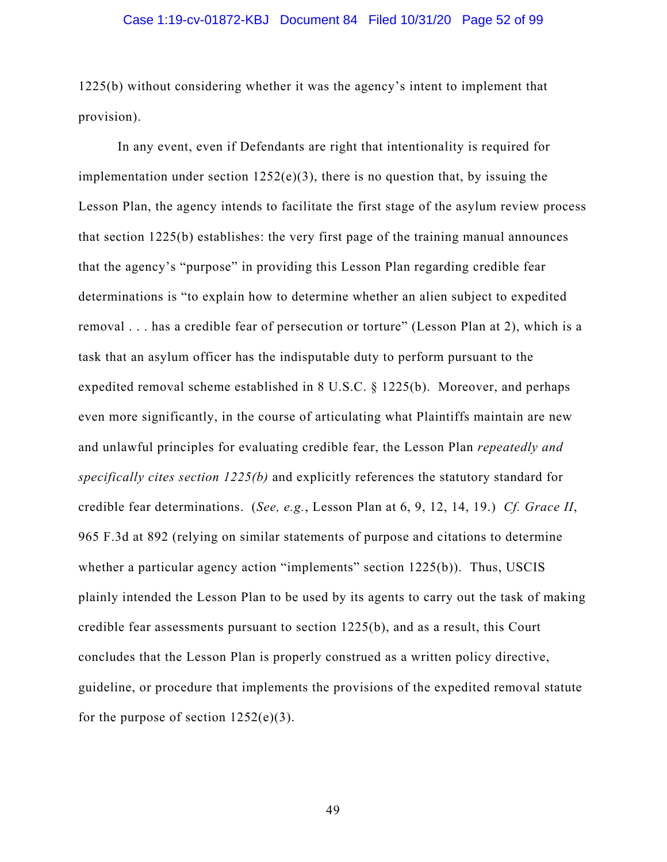#### Case 1:19-cv-01872-KBJ Document 84 Filed 10/31/20 Page 52 of 99

1225(b) without considering whether it was the agency's intent to implement that provision).

In any event, even if Defendants are right that intentionality is required for implementation under section  $1252(e)(3)$ , there is no question that, by issuing the Lesson Plan, the agency intends to facilitate the first stage of the asylum review process that section 1225(b) establishes: the very first page of the training manual announces that the agency's "purpose" in providing this Lesson Plan regarding credible fear determinations is "to explain how to determine whether an alien subject to expedited removal . . . has a credible fear of persecution or torture" (Lesson Plan at 2), which is a task that an asylum officer has the indisputable duty to perform pursuant to the expedited removal scheme established in 8 U.S.C. § 1225(b). Moreover, and perhaps even more significantly, in the course of articulating what Plaintiffs maintain are new and unlawful principles for evaluating credible fear, the Lesson Plan *repeatedly and specifically cites section 1225(b)* and explicitly references the statutory standard for credible fear determinations. (*See, e.g.*, Lesson Plan at 6, 9, 12, 14, 19.) *Cf. Grace II*, 965 F.3d at 892 (relying on similar statements of purpose and citations to determine whether a particular agency action "implements" section 1225(b)). Thus, USCIS plainly intended the Lesson Plan to be used by its agents to carry out the task of making credible fear assessments pursuant to section 1225(b), and as a result, this Court concludes that the Lesson Plan is properly construed as a written policy directive, guideline, or procedure that implements the provisions of the expedited removal statute for the purpose of section  $1252(e)(3)$ .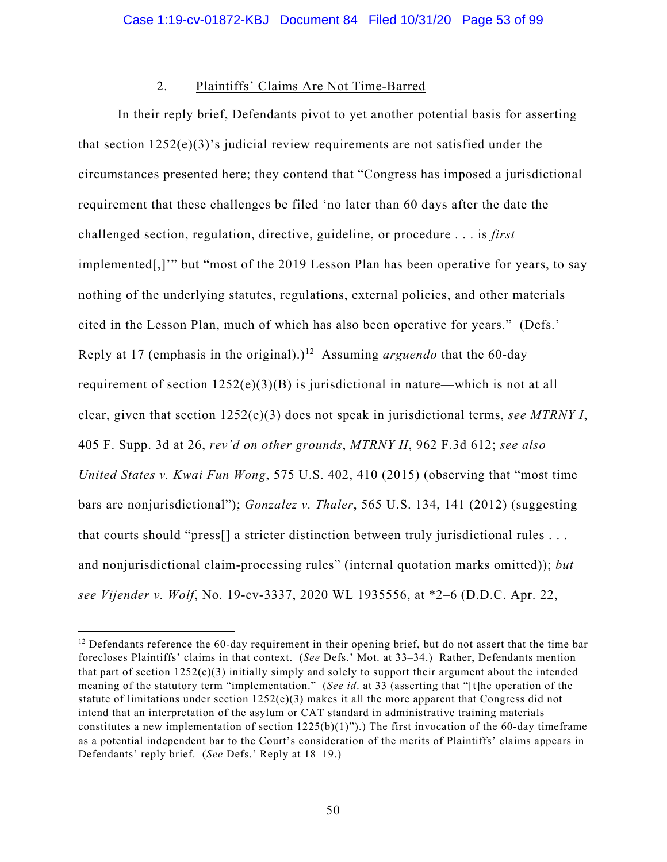## 2. Plaintiffs' Claims Are Not Time-Barred

In their reply brief, Defendants pivot to yet another potential basis for asserting that section  $1252(e)(3)$ 's judicial review requirements are not satisfied under the circumstances presented here; they contend that "Congress has imposed a jurisdictional requirement that these challenges be filed 'no later than 60 days after the date the challenged section, regulation, directive, guideline, or procedure . . . is *first*  implemented[,]'" but "most of the 2019 Lesson Plan has been operative for years, to say nothing of the underlying statutes, regulations, external policies, and other materials cited in the Lesson Plan, much of which has also been operative for years." (Defs.' Reply at 17 (emphasis in the original).)<sup>12</sup> Assuming *arguendo* that the 60-day requirement of section  $1252(e)(3)(B)$  is jurisdictional in nature—which is not at all clear, given that section 1252(e)(3) does not speak in jurisdictional terms, *see MTRNY I*, 405 F. Supp. 3d at 26, *rev'd on other grounds*, *MTRNY II*, 962 F.3d 612; *see also United States v. Kwai Fun Wong*, 575 U.S. 402, 410 (2015) (observing that "most time bars are nonjurisdictional"); *Gonzalez v. Thaler*, 565 U.S. 134, 141 (2012) (suggesting that courts should "press[] a stricter distinction between truly jurisdictional rules . . . and nonjurisdictional claim-processing rules" (internal quotation marks omitted)); *but see Vijender v. Wolf*, No. 19-cv-3337, 2020 WL 1935556, at \*2–6 (D.D.C. Apr. 22,

 $12$  Defendants reference the 60-day requirement in their opening brief, but do not assert that the time bar forecloses Plaintiffs' claims in that context. (*See* Defs.' Mot. at 33–34.) Rather, Defendants mention that part of section  $1252(e)(3)$  initially simply and solely to support their argument about the intended meaning of the statutory term "implementation." (*See id*. at 33 (asserting that "[t]he operation of the statute of limitations under section  $1252(e)(3)$  makes it all the more apparent that Congress did not intend that an interpretation of the asylum or CAT standard in administrative training materials constitutes a new implementation of section  $1225(b)(1)$ ").) The first invocation of the 60-day timeframe as a potential independent bar to the Court's consideration of the merits of Plaintiffs' claims appears in Defendants' reply brief. (*See* Defs.' Reply at 18–19.)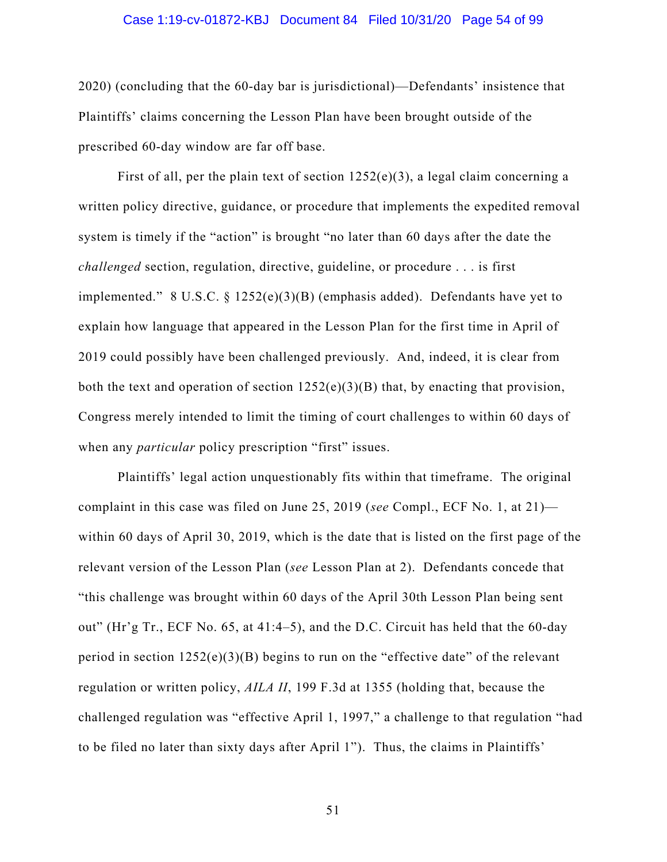#### Case 1:19-cv-01872-KBJ Document 84 Filed 10/31/20 Page 54 of 99

2020) (concluding that the 60-day bar is jurisdictional)—Defendants' insistence that Plaintiffs' claims concerning the Lesson Plan have been brought outside of the prescribed 60-day window are far off base.

First of all, per the plain text of section  $1252(e)(3)$ , a legal claim concerning a written policy directive, guidance, or procedure that implements the expedited removal system is timely if the "action" is brought "no later than 60 days after the date the *challenged* section, regulation, directive, guideline, or procedure . . . is first implemented." 8 U.S.C.  $\S$  1252(e)(3)(B) (emphasis added). Defendants have yet to explain how language that appeared in the Lesson Plan for the first time in April of 2019 could possibly have been challenged previously. And, indeed, it is clear from both the text and operation of section  $1252(e)(3)(B)$  that, by enacting that provision, Congress merely intended to limit the timing of court challenges to within 60 days of when any *particular* policy prescription "first" issues.

Plaintiffs' legal action unquestionably fits within that timeframe. The original complaint in this case was filed on June 25, 2019 (*see* Compl., ECF No. 1, at 21) within 60 days of April 30, 2019, which is the date that is listed on the first page of the relevant version of the Lesson Plan (*see* Lesson Plan at 2). Defendants concede that "this challenge was brought within 60 days of the April 30th Lesson Plan being sent out" (Hr'g Tr., ECF No. 65, at 41:4–5), and the D.C. Circuit has held that the 60-day period in section  $1252(e)(3)(B)$  begins to run on the "effective date" of the relevant regulation or written policy, *AILA II*, 199 F.3d at 1355 (holding that, because the challenged regulation was "effective April 1, 1997," a challenge to that regulation "had to be filed no later than sixty days after April 1"). Thus, the claims in Plaintiffs'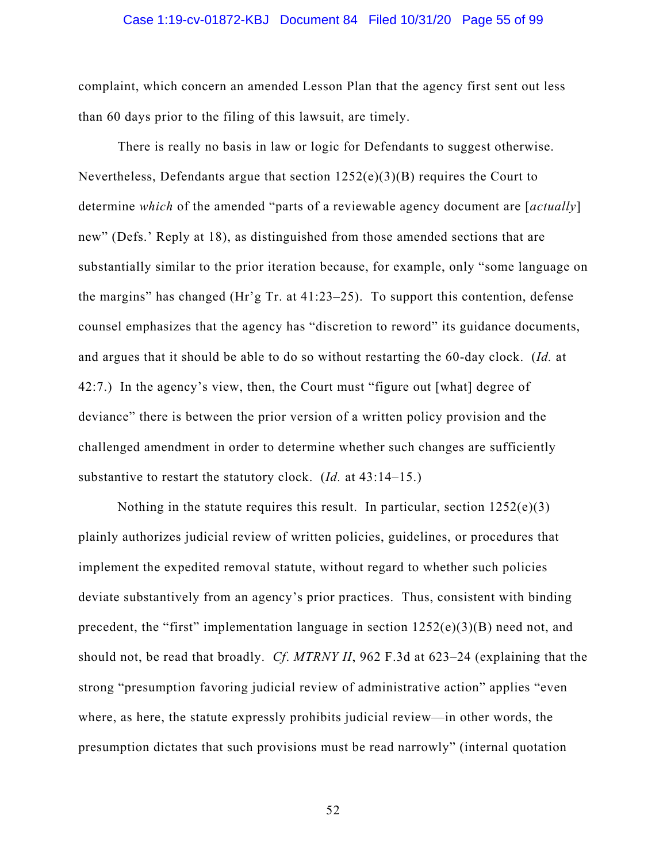#### Case 1:19-cv-01872-KBJ Document 84 Filed 10/31/20 Page 55 of 99

complaint, which concern an amended Lesson Plan that the agency first sent out less than 60 days prior to the filing of this lawsuit, are timely.

There is really no basis in law or logic for Defendants to suggest otherwise. Nevertheless, Defendants argue that section 1252(e)(3)(B) requires the Court to determine *which* of the amended "parts of a reviewable agency document are [*actually*] new" (Defs.' Reply at 18), as distinguished from those amended sections that are substantially similar to the prior iteration because, for example, only "some language on the margins" has changed (Hr'g Tr. at 41:23–25). To support this contention, defense counsel emphasizes that the agency has "discretion to reword" its guidance documents, and argues that it should be able to do so without restarting the 60-day clock. (*Id.* at 42:7.) In the agency's view, then, the Court must "figure out [what] degree of deviance" there is between the prior version of a written policy provision and the challenged amendment in order to determine whether such changes are sufficiently substantive to restart the statutory clock. (*Id.* at 43:14–15.)

Nothing in the statute requires this result. In particular, section  $1252(e)(3)$ plainly authorizes judicial review of written policies, guidelines, or procedures that implement the expedited removal statute, without regard to whether such policies deviate substantively from an agency's prior practices. Thus, consistent with binding precedent, the "first" implementation language in section 1252(e)(3)(B) need not, and should not, be read that broadly. *Cf*. *MTRNY II*, 962 F.3d at 623–24 (explaining that the strong "presumption favoring judicial review of administrative action" applies "even where, as here, the statute expressly prohibits judicial review—in other words, the presumption dictates that such provisions must be read narrowly" (internal quotation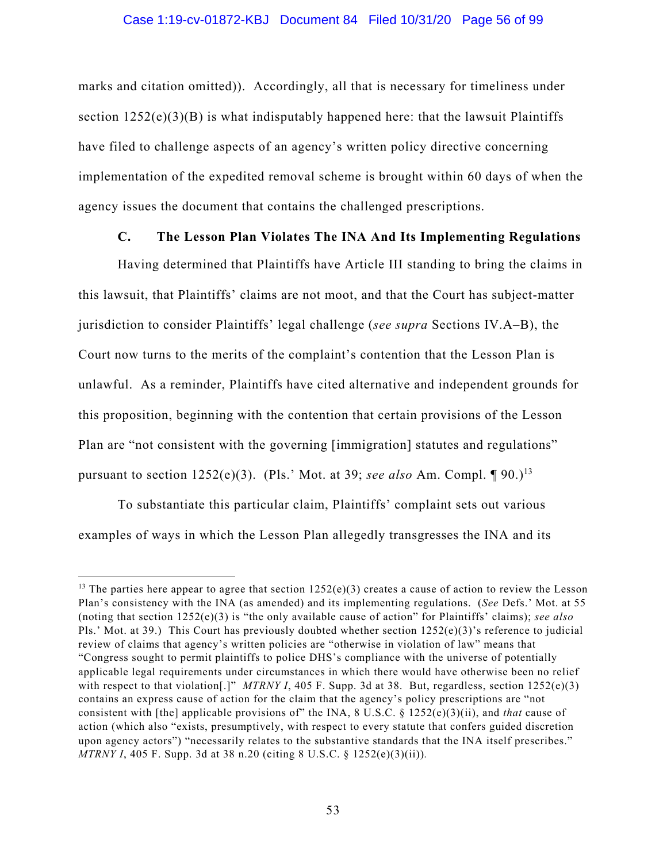#### Case 1:19-cv-01872-KBJ Document 84 Filed 10/31/20 Page 56 of 99

marks and citation omitted)). Accordingly, all that is necessary for timeliness under section  $1252(e)(3)(B)$  is what indisputably happened here: that the lawsuit Plaintiffs have filed to challenge aspects of an agency's written policy directive concerning implementation of the expedited removal scheme is brought within 60 days of when the agency issues the document that contains the challenged prescriptions.

# **C. The Lesson Plan Violates The INA And Its Implementing Regulations**

Having determined that Plaintiffs have Article III standing to bring the claims in this lawsuit, that Plaintiffs' claims are not moot, and that the Court has subject-matter jurisdiction to consider Plaintiffs' legal challenge (*see supra* Sections IV.A–B), the Court now turns to the merits of the complaint's contention that the Lesson Plan is unlawful. As a reminder, Plaintiffs have cited alternative and independent grounds for this proposition, beginning with the contention that certain provisions of the Lesson Plan are "not consistent with the governing [immigration] statutes and regulations" pursuant to section  $1252(e)(3)$ . (Pls.' Mot. at 39; *see also* Am. Compl.  $[90.1]$ <sup>3</sup>

To substantiate this particular claim, Plaintiffs' complaint sets out various examples of ways in which the Lesson Plan allegedly transgresses the INA and its

<sup>&</sup>lt;sup>13</sup> The parties here appear to agree that section  $1252(e)(3)$  creates a cause of action to review the Lesson Plan's consistency with the INA (as amended) and its implementing regulations. (*See* Defs.' Mot. at 55 (noting that section 1252(e)(3) is "the only available cause of action" for Plaintiffs' claims); *see also*  Pls.' Mot. at 39.) This Court has previously doubted whether section 1252(e)(3)'s reference to judicial review of claims that agency's written policies are "otherwise in violation of law" means that "Congress sought to permit plaintiffs to police DHS's compliance with the universe of potentially applicable legal requirements under circumstances in which there would have otherwise been no relief with respect to that violation<sup>[.]"</sup> *MTRNY I*, 405 F. Supp. 3d at 38. But, regardless, section 1252(e)(3) contains an express cause of action for the claim that the agency's policy prescriptions are "not consistent with [the] applicable provisions of" the INA, 8 U.S.C. § 1252(e)(3)(ii), and *that* cause of action (which also "exists, presumptively, with respect to every statute that confers guided discretion upon agency actors") "necessarily relates to the substantive standards that the INA itself prescribes." *MTRNY I*, 405 F. Supp. 3d at 38 n.20 (citing 8 U.S.C. § 1252(e)(3)(ii))*.*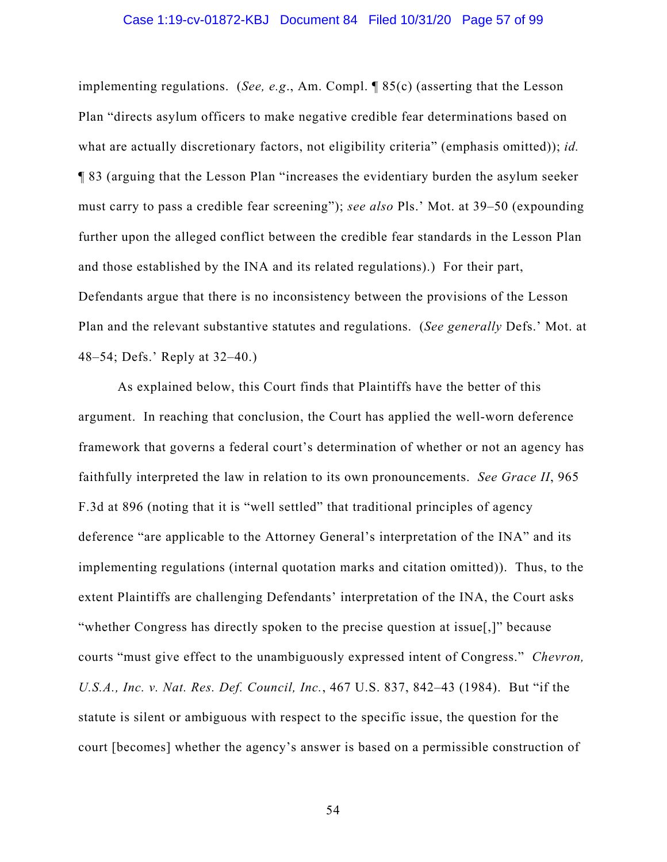#### Case 1:19-cv-01872-KBJ Document 84 Filed 10/31/20 Page 57 of 99

implementing regulations. (*See, e.g*., Am. Compl. ¶ 85(c) (asserting that the Lesson Plan "directs asylum officers to make negative credible fear determinations based on what are actually discretionary factors, not eligibility criteria" (emphasis omitted)); *id.* ¶ 83 (arguing that the Lesson Plan "increases the evidentiary burden the asylum seeker must carry to pass a credible fear screening"); *see also* Pls.' Mot. at 39–50 (expounding further upon the alleged conflict between the credible fear standards in the Lesson Plan and those established by the INA and its related regulations).) For their part, Defendants argue that there is no inconsistency between the provisions of the Lesson Plan and the relevant substantive statutes and regulations. (*See generally* Defs.' Mot. at 48–54; Defs.' Reply at 32–40.)

As explained below, this Court finds that Plaintiffs have the better of this argument. In reaching that conclusion, the Court has applied the well-worn deference framework that governs a federal court's determination of whether or not an agency has faithfully interpreted the law in relation to its own pronouncements. *See Grace II*, 965 F.3d at 896 (noting that it is "well settled" that traditional principles of agency deference "are applicable to the Attorney General's interpretation of the INA" and its implementing regulations (internal quotation marks and citation omitted)). Thus, to the extent Plaintiffs are challenging Defendants' interpretation of the INA, the Court asks "whether Congress has directly spoken to the precise question at issue[,]" because courts "must give effect to the unambiguously expressed intent of Congress." *Chevron, U.S.A., Inc. v. Nat. Res. Def. Council, Inc.*, 467 U.S. 837, 842–43 (1984). But "if the statute is silent or ambiguous with respect to the specific issue, the question for the court [becomes] whether the agency's answer is based on a permissible construction of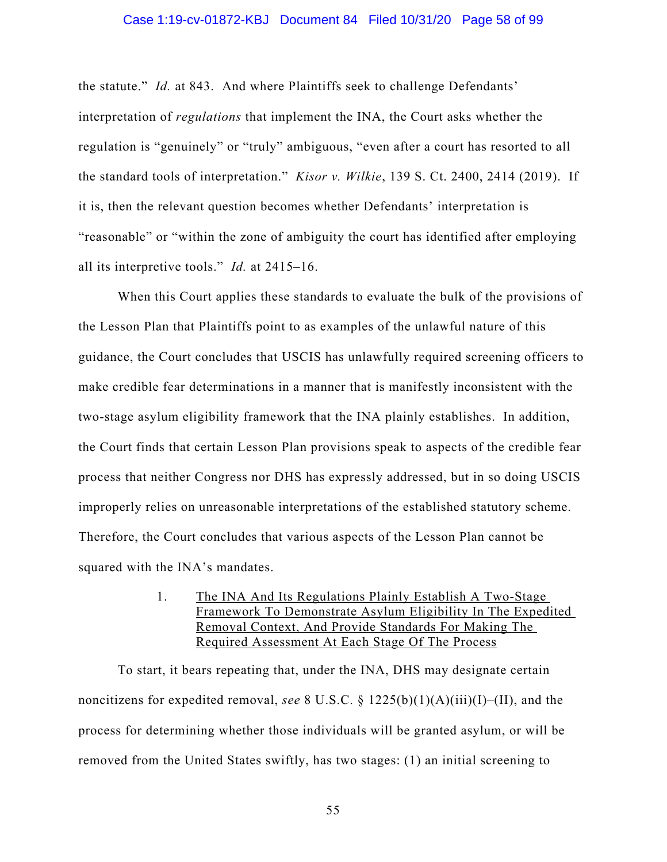#### Case 1:19-cv-01872-KBJ Document 84 Filed 10/31/20 Page 58 of 99

the statute." *Id.* at 843. And where Plaintiffs seek to challenge Defendants' interpretation of *regulations* that implement the INA, the Court asks whether the regulation is "genuinely" or "truly" ambiguous, "even after a court has resorted to all the standard tools of interpretation." *Kisor v. Wilkie*, 139 S. Ct. 2400, 2414 (2019). If it is, then the relevant question becomes whether Defendants' interpretation is "reasonable" or "within the zone of ambiguity the court has identified after employing all its interpretive tools." *Id.* at 2415–16.

When this Court applies these standards to evaluate the bulk of the provisions of the Lesson Plan that Plaintiffs point to as examples of the unlawful nature of this guidance, the Court concludes that USCIS has unlawfully required screening officers to make credible fear determinations in a manner that is manifestly inconsistent with the two-stage asylum eligibility framework that the INA plainly establishes. In addition, the Court finds that certain Lesson Plan provisions speak to aspects of the credible fear process that neither Congress nor DHS has expressly addressed, but in so doing USCIS improperly relies on unreasonable interpretations of the established statutory scheme. Therefore, the Court concludes that various aspects of the Lesson Plan cannot be squared with the INA's mandates.

## 1. The INA And Its Regulations Plainly Establish A Two-Stage Framework To Demonstrate Asylum Eligibility In The Expedited Removal Context, And Provide Standards For Making The Required Assessment At Each Stage Of The Process

To start, it bears repeating that, under the INA, DHS may designate certain noncitizens for expedited removal, *see* 8 U.S.C. § 1225(b)(1)(A)(iii)(I)–(II), and the process for determining whether those individuals will be granted asylum, or will be removed from the United States swiftly, has two stages: (1) an initial screening to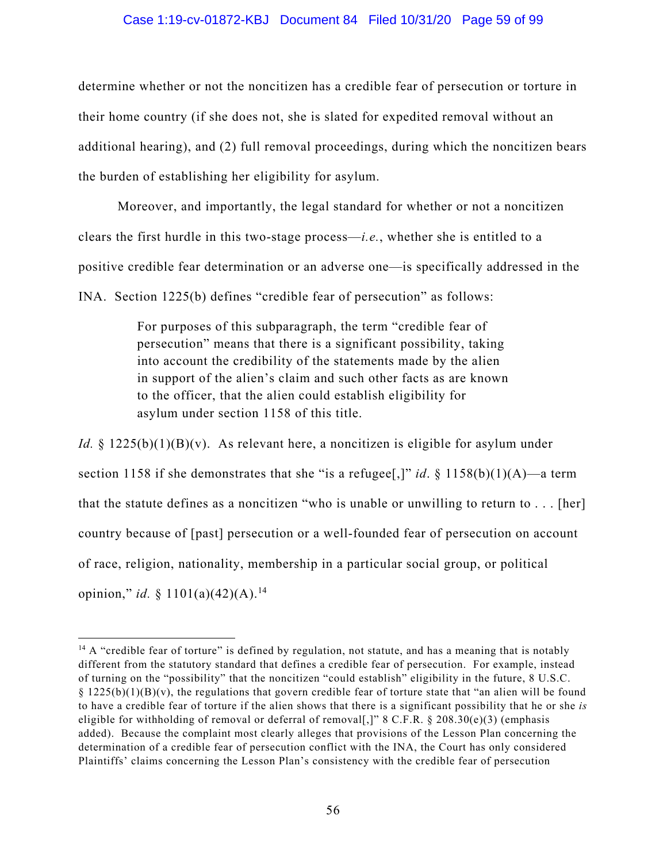#### Case 1:19-cv-01872-KBJ Document 84 Filed 10/31/20 Page 59 of 99

determine whether or not the noncitizen has a credible fear of persecution or torture in their home country (if she does not, she is slated for expedited removal without an additional hearing), and (2) full removal proceedings, during which the noncitizen bears the burden of establishing her eligibility for asylum.

Moreover, and importantly, the legal standard for whether or not a noncitizen clears the first hurdle in this two-stage process—*i.e.*, whether she is entitled to a positive credible fear determination or an adverse one—is specifically addressed in the INA. Section 1225(b) defines "credible fear of persecution" as follows:

> For purposes of this subparagraph, the term "credible fear of persecution" means that there is a significant possibility, taking into account the credibility of the statements made by the alien in support of the alien's claim and such other facts as are known to the officer, that the alien could establish eligibility for asylum under section 1158 of this title.

*Id.* § 1225(b)(1)(B)(v). As relevant here, a noncitizen is eligible for asylum under section 1158 if she demonstrates that she "is a refugee[,]" *id*. § 1158(b)(1)(A)—a term that the statute defines as a noncitizen "who is unable or unwilling to return to  $\dots$ . [her] country because of [past] persecution or a well-founded fear of persecution on account of race, religion, nationality, membership in a particular social group, or political opinion," *id.*  $\frac{1}{2}$  1101(a)(42)(A).<sup>14</sup>

 $14$  A "credible fear of torture" is defined by regulation, not statute, and has a meaning that is notably different from the statutory standard that defines a credible fear of persecution. For example, instead of turning on the "possibility" that the noncitizen "could establish" eligibility in the future, 8 U.S.C.  $\S 1225(b)(1)(B)(v)$ , the regulations that govern credible fear of torture state that "an alien will be found to have a credible fear of torture if the alien shows that there is a significant possibility that he or she *is*  eligible for withholding of removal or deferral of removal[,]" 8 C.F.R. § 208.30(e)(3) (emphasis added). Because the complaint most clearly alleges that provisions of the Lesson Plan concerning the determination of a credible fear of persecution conflict with the INA, the Court has only considered Plaintiffs' claims concerning the Lesson Plan's consistency with the credible fear of persecution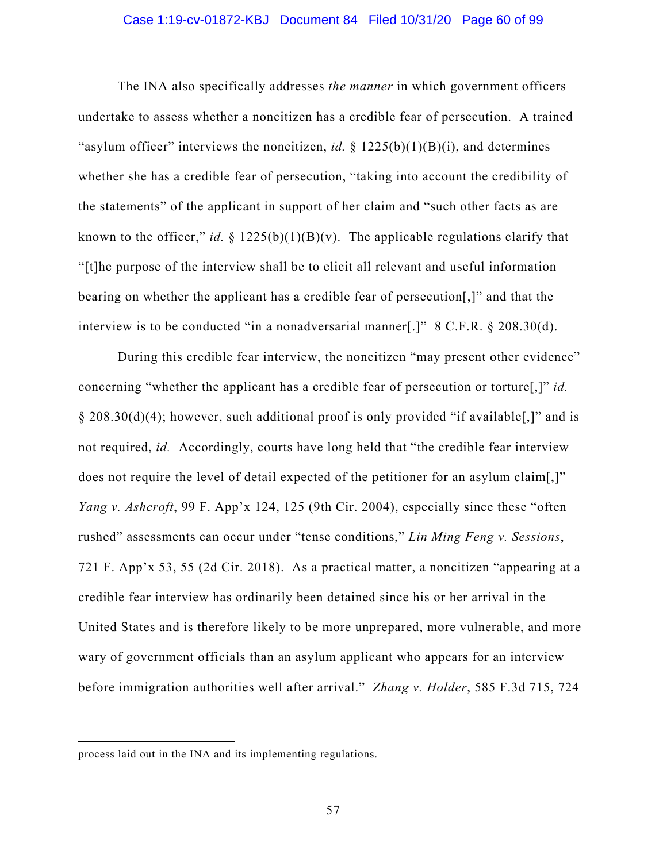#### Case 1:19-cv-01872-KBJ Document 84 Filed 10/31/20 Page 60 of 99

The INA also specifically addresses *the manner* in which government officers undertake to assess whether a noncitizen has a credible fear of persecution. A trained "asylum officer" interviews the noncitizen, *id.* § 1225(b)(1)(B)(i), and determines whether she has a credible fear of persecution, "taking into account the credibility of the statements" of the applicant in support of her claim and "such other facts as are known to the officer," *id.* § 1225(b)(1)(B)(v). The applicable regulations clarify that "[t]he purpose of the interview shall be to elicit all relevant and useful information bearing on whether the applicant has a credible fear of persecution[,]" and that the interview is to be conducted "in a nonadversarial manner[.]" 8 C.F.R. § 208.30(d).

During this credible fear interview, the noncitizen "may present other evidence" concerning "whether the applicant has a credible fear of persecution or torture[,]" *id.*  § 208.30(d)(4); however, such additional proof is only provided "if available[,]" and is not required, *id.* Accordingly, courts have long held that "the credible fear interview does not require the level of detail expected of the petitioner for an asylum claim[,]" *Yang v. Ashcroft*, 99 F. App'x 124, 125 (9th Cir. 2004), especially since these "often rushed" assessments can occur under "tense conditions," *Lin Ming Feng v. Sessions*, 721 F. App'x 53, 55 (2d Cir. 2018). As a practical matter, a noncitizen "appearing at a credible fear interview has ordinarily been detained since his or her arrival in the United States and is therefore likely to be more unprepared, more vulnerable, and more wary of government officials than an asylum applicant who appears for an interview before immigration authorities well after arrival." *Zhang v. Holder*, 585 F.3d 715, 724

process laid out in the INA and its implementing regulations.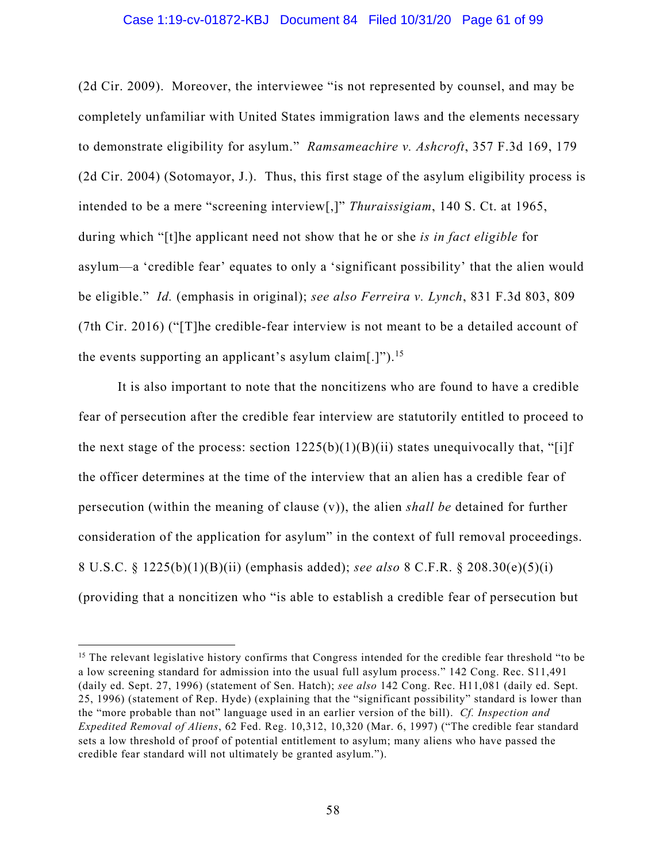#### Case 1:19-cv-01872-KBJ Document 84 Filed 10/31/20 Page 61 of 99

(2d Cir. 2009). Moreover, the interviewee "is not represented by counsel, and may be completely unfamiliar with United States immigration laws and the elements necessary to demonstrate eligibility for asylum." *Ramsameachire v. Ashcroft*, 357 F.3d 169, 179 (2d Cir. 2004) (Sotomayor, J.). Thus, this first stage of the asylum eligibility process is intended to be a mere "screening interview[,]" *Thuraissigiam*, 140 S. Ct. at 1965, during which "[t]he applicant need not show that he or she *is in fact eligible* for asylum—a 'credible fear' equates to only a 'significant possibility' that the alien would be eligible." *Id.* (emphasis in original); *see also Ferreira v. Lynch*, 831 F.3d 803, 809 (7th Cir. 2016) ("[T]he credible-fear interview is not meant to be a detailed account of the events supporting an applicant's asylum claim[.]"). 15

It is also important to note that the noncitizens who are found to have a credible fear of persecution after the credible fear interview are statutorily entitled to proceed to the next stage of the process: section  $1225(b)(1)(B)(ii)$  states unequivocally that, "[i]f the officer determines at the time of the interview that an alien has a credible fear of persecution (within the meaning of clause (v)), the alien *shall be* detained for further consideration of the application for asylum" in the context of full removal proceedings. 8 U.S.C. § 1225(b)(1)(B)(ii) (emphasis added); *see also* 8 C.F.R. § 208.30(e)(5)(i) (providing that a noncitizen who "is able to establish a credible fear of persecution but

<sup>&</sup>lt;sup>15</sup> The relevant legislative history confirms that Congress intended for the credible fear threshold "to be a low screening standard for admission into the usual full asylum process." 142 Cong. Rec. S11,491 (daily ed. Sept. 27, 1996) (statement of Sen. Hatch); *see also* 142 Cong. Rec. H11,081 (daily ed. Sept. 25, 1996) (statement of Rep. Hyde) (explaining that the "significant possibility" standard is lower than the "more probable than not" language used in an earlier version of the bill). *Cf. Inspection and Expedited Removal of Aliens*, 62 Fed. Reg. 10,312, 10,320 (Mar. 6, 1997) ("The credible fear standard sets a low threshold of proof of potential entitlement to asylum; many aliens who have passed the credible fear standard will not ultimately be granted asylum.").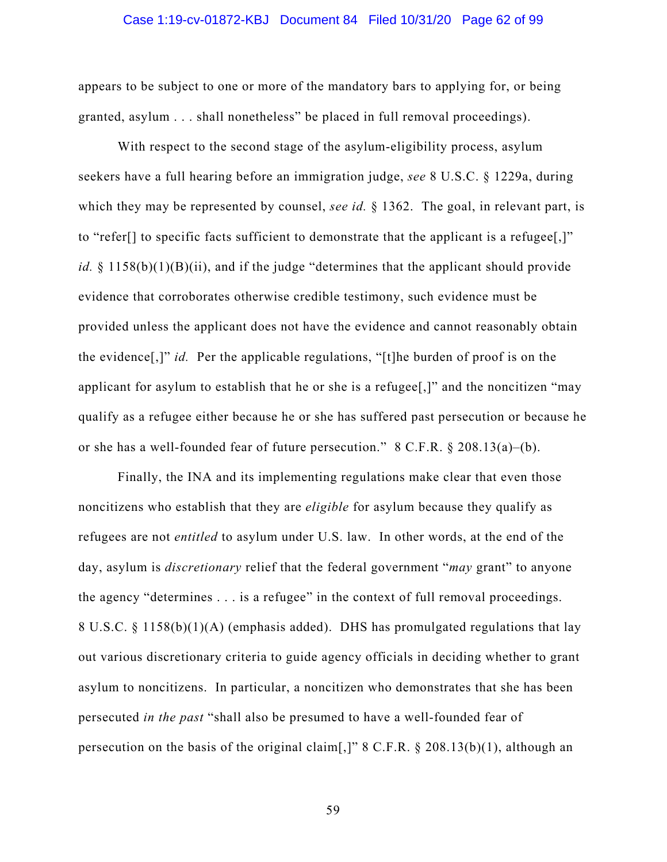#### Case 1:19-cv-01872-KBJ Document 84 Filed 10/31/20 Page 62 of 99

appears to be subject to one or more of the mandatory bars to applying for, or being granted, asylum . . . shall nonetheless" be placed in full removal proceedings).

With respect to the second stage of the asylum-eligibility process, asylum seekers have a full hearing before an immigration judge, *see* 8 U.S.C. § 1229a, during which they may be represented by counsel, *see id.* § 1362. The goal, in relevant part, is to "refer[] to specific facts sufficient to demonstrate that the applicant is a refugee[,]" *id.* § 1158(b)(1)(B)(ii), and if the judge "determines that the applicant should provide evidence that corroborates otherwise credible testimony, such evidence must be provided unless the applicant does not have the evidence and cannot reasonably obtain the evidence[,]" *id.* Per the applicable regulations, "[t]he burden of proof is on the applicant for asylum to establish that he or she is a refugee[,]" and the noncitizen "may qualify as a refugee either because he or she has suffered past persecution or because he or she has a well-founded fear of future persecution." 8 C.F.R. § 208.13(a)–(b).

Finally, the INA and its implementing regulations make clear that even those noncitizens who establish that they are *eligible* for asylum because they qualify as refugees are not *entitled* to asylum under U.S. law. In other words, at the end of the day, asylum is *discretionary* relief that the federal government "*may* grant" to anyone the agency "determines . . . is a refugee" in the context of full removal proceedings. 8 U.S.C. § 1158(b)(1)(A) (emphasis added). DHS has promulgated regulations that lay out various discretionary criteria to guide agency officials in deciding whether to grant asylum to noncitizens. In particular, a noncitizen who demonstrates that she has been persecuted *in the past* "shall also be presumed to have a well-founded fear of persecution on the basis of the original claim[,]" 8 C.F.R. § 208.13(b)(1), although an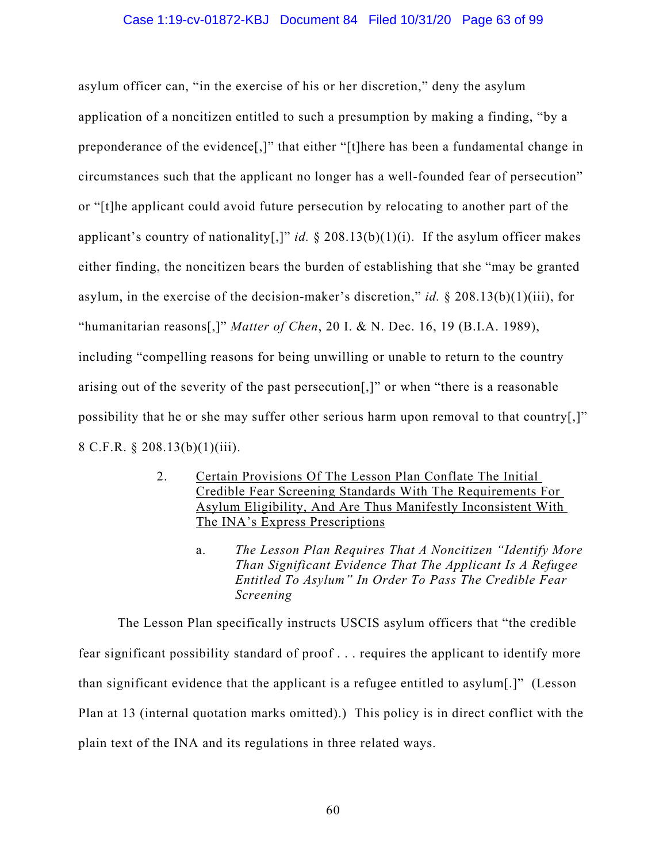#### Case 1:19-cv-01872-KBJ Document 84 Filed 10/31/20 Page 63 of 99

asylum officer can, "in the exercise of his or her discretion," deny the asylum application of a noncitizen entitled to such a presumption by making a finding, "by a preponderance of the evidence[,]" that either "[t]here has been a fundamental change in circumstances such that the applicant no longer has a well-founded fear of persecution" or "[t]he applicant could avoid future persecution by relocating to another part of the applicant's country of nationality[,]" *id.* § 208.13(b)(1)(i). If the asylum officer makes either finding, the noncitizen bears the burden of establishing that she "may be granted asylum, in the exercise of the decision-maker's discretion," *id.* § 208.13(b)(1)(iii), for "humanitarian reasons[,]" *Matter of Chen*, 20 I. & N. Dec. 16, 19 (B.I.A. 1989), including "compelling reasons for being unwilling or unable to return to the country arising out of the severity of the past persecution[,]" or when "there is a reasonable possibility that he or she may suffer other serious harm upon removal to that country[,]" 8 C.F.R. § 208.13(b)(1)(iii).

- 2. Certain Provisions Of The Lesson Plan Conflate The Initial Credible Fear Screening Standards With The Requirements For Asylum Eligibility, And Are Thus Manifestly Inconsistent With The INA's Express Prescriptions
	- a. *The Lesson Plan Requires That A Noncitizen "Identify More Than Significant Evidence That The Applicant Is A Refugee Entitled To Asylum" In Order To Pass The Credible Fear Screening*

The Lesson Plan specifically instructs USCIS asylum officers that "the credible fear significant possibility standard of proof . . . requires the applicant to identify more than significant evidence that the applicant is a refugee entitled to asylum[.]" (Lesson Plan at 13 (internal quotation marks omitted).) This policy is in direct conflict with the plain text of the INA and its regulations in three related ways.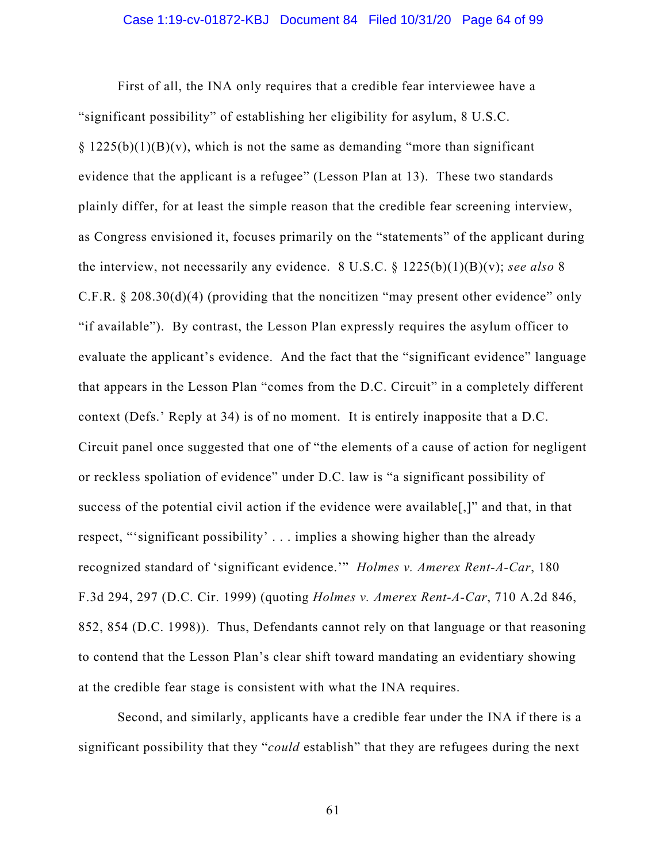### Case 1:19-cv-01872-KBJ Document 84 Filed 10/31/20 Page 64 of 99

First of all, the INA only requires that a credible fear interviewee have a "significant possibility" of establishing her eligibility for asylum, 8 U.S.C.  $\S 1225(b)(1)(B)(v)$ , which is not the same as demanding "more than significant" evidence that the applicant is a refugee" (Lesson Plan at 13). These two standards plainly differ, for at least the simple reason that the credible fear screening interview, as Congress envisioned it, focuses primarily on the "statements" of the applicant during the interview, not necessarily any evidence. 8 U.S.C. § 1225(b)(1)(B)(v); *see also* 8 C.F.R. § 208.30(d)(4) (providing that the noncitizen "may present other evidence" only "if available"). By contrast, the Lesson Plan expressly requires the asylum officer to evaluate the applicant's evidence. And the fact that the "significant evidence" language that appears in the Lesson Plan "comes from the D.C. Circuit" in a completely different context (Defs.' Reply at 34) is of no moment. It is entirely inapposite that a D.C. Circuit panel once suggested that one of "the elements of a cause of action for negligent or reckless spoliation of evidence" under D.C. law is "a significant possibility of success of the potential civil action if the evidence were available[,]" and that, in that respect, "'significant possibility' . . . implies a showing higher than the already recognized standard of 'significant evidence.'" *Holmes v. Amerex Rent-A-Car*, 180 F.3d 294, 297 (D.C. Cir. 1999) (quoting *Holmes v. Amerex Rent-A-Car*, 710 A.2d 846, 852, 854 (D.C. 1998)). Thus, Defendants cannot rely on that language or that reasoning to contend that the Lesson Plan's clear shift toward mandating an evidentiary showing at the credible fear stage is consistent with what the INA requires.

Second, and similarly, applicants have a credible fear under the INA if there is a significant possibility that they "*could* establish" that they are refugees during the next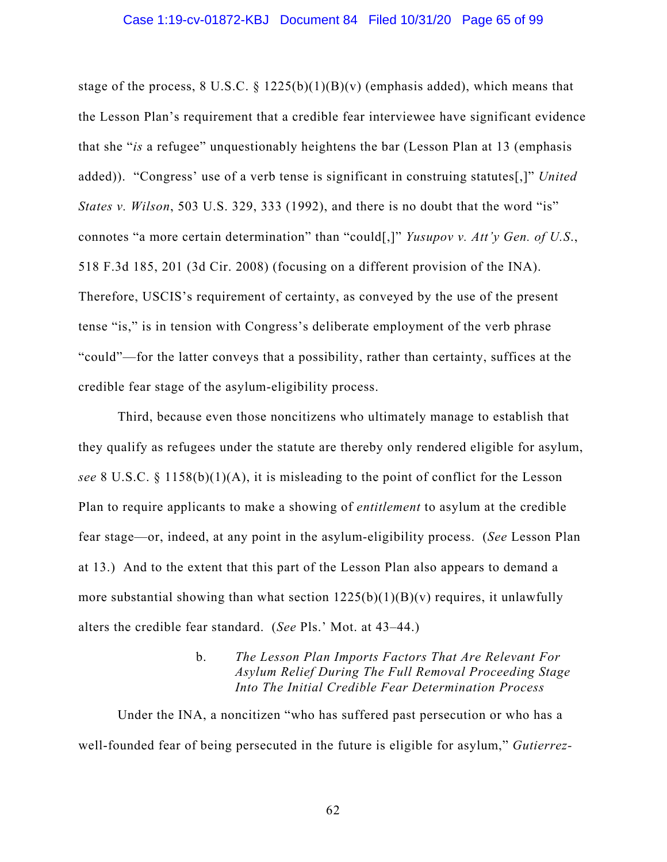#### Case 1:19-cv-01872-KBJ Document 84 Filed 10/31/20 Page 65 of 99

stage of the process,  $8 \text{ U.S.C. } § 1225(b)(1)(B)(v)$  (emphasis added), which means that the Lesson Plan's requirement that a credible fear interviewee have significant evidence that she "*is* a refugee" unquestionably heightens the bar (Lesson Plan at 13 (emphasis added)). "Congress' use of a verb tense is significant in construing statutes[,]" *United States v. Wilson*, 503 U.S. 329, 333 (1992), and there is no doubt that the word "is" connotes "a more certain determination" than "could[,]" *Yusupov v. Att'y Gen. of U.S*., 518 F.3d 185, 201 (3d Cir. 2008) (focusing on a different provision of the INA). Therefore, USCIS's requirement of certainty, as conveyed by the use of the present tense "is," is in tension with Congress's deliberate employment of the verb phrase "could"—for the latter conveys that a possibility, rather than certainty, suffices at the credible fear stage of the asylum-eligibility process.

Third, because even those noncitizens who ultimately manage to establish that they qualify as refugees under the statute are thereby only rendered eligible for asylum, *see* 8 U.S.C. § 1158(b)(1)(A), it is misleading to the point of conflict for the Lesson Plan to require applicants to make a showing of *entitlement* to asylum at the credible fear stage—or, indeed, at any point in the asylum-eligibility process. (*See* Lesson Plan at 13.) And to the extent that this part of the Lesson Plan also appears to demand a more substantial showing than what section  $1225(b)(1)(B)(v)$  requires, it unlawfully alters the credible fear standard. (*See* Pls.' Mot. at 43–44.)

### b. *The Lesson Plan Imports Factors That Are Relevant For Asylum Relief During The Full Removal Proceeding Stage Into The Initial Credible Fear Determination Process*

Under the INA, a noncitizen "who has suffered past persecution or who has a well-founded fear of being persecuted in the future is eligible for asylum," *Gutierrez-*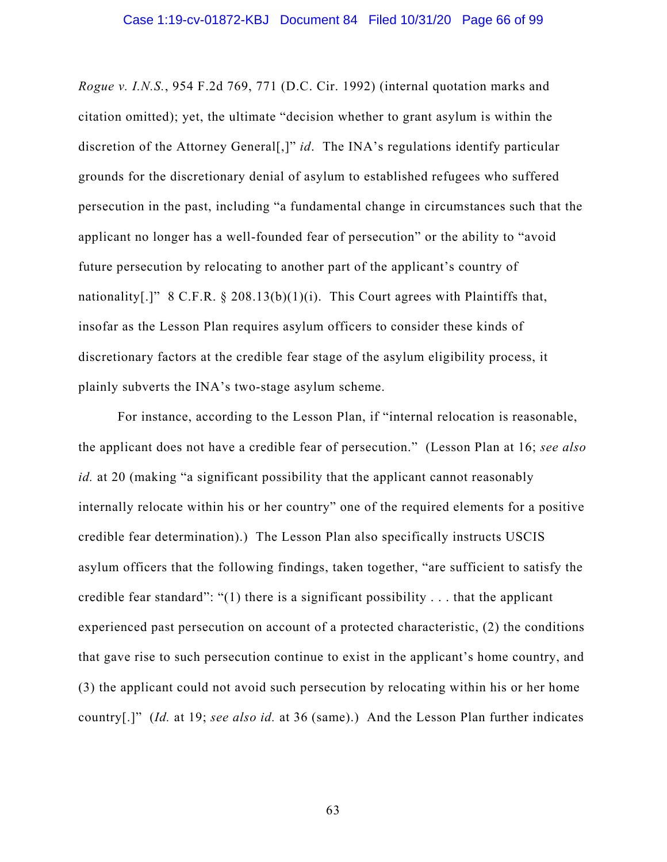*Rogue v. I.N.S.*, 954 F.2d 769, 771 (D.C. Cir. 1992) (internal quotation marks and citation omitted); yet, the ultimate "decision whether to grant asylum is within the discretion of the Attorney General[,]" *id*. The INA's regulations identify particular grounds for the discretionary denial of asylum to established refugees who suffered persecution in the past, including "a fundamental change in circumstances such that the applicant no longer has a well-founded fear of persecution" or the ability to "avoid future persecution by relocating to another part of the applicant's country of nationality[.]" 8 C.F.R.  $\S$  208.13(b)(1)(i). This Court agrees with Plaintiffs that, insofar as the Lesson Plan requires asylum officers to consider these kinds of discretionary factors at the credible fear stage of the asylum eligibility process, it plainly subverts the INA's two-stage asylum scheme.

For instance, according to the Lesson Plan, if "internal relocation is reasonable, the applicant does not have a credible fear of persecution." (Lesson Plan at 16; *see also id.* at 20 (making "a significant possibility that the applicant cannot reasonably internally relocate within his or her country" one of the required elements for a positive credible fear determination).) The Lesson Plan also specifically instructs USCIS asylum officers that the following findings, taken together, "are sufficient to satisfy the credible fear standard": "(1) there is a significant possibility  $\dots$  that the applicant experienced past persecution on account of a protected characteristic, (2) the conditions that gave rise to such persecution continue to exist in the applicant's home country, and (3) the applicant could not avoid such persecution by relocating within his or her home country[.]" (*Id.* at 19; *see also id.* at 36 (same).) And the Lesson Plan further indicates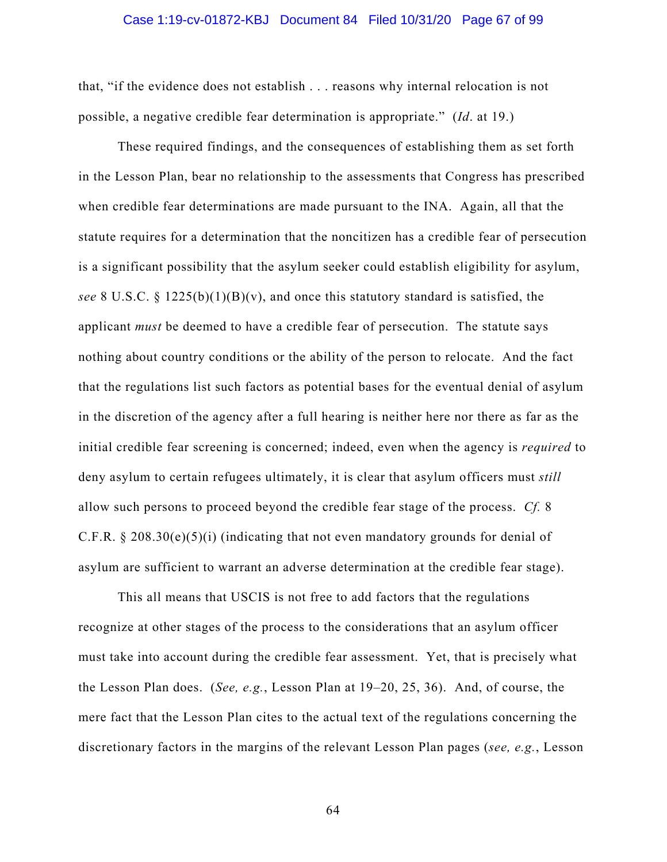#### Case 1:19-cv-01872-KBJ Document 84 Filed 10/31/20 Page 67 of 99

that, "if the evidence does not establish . . . reasons why internal relocation is not possible, a negative credible fear determination is appropriate." (*Id*. at 19.)

These required findings, and the consequences of establishing them as set forth in the Lesson Plan, bear no relationship to the assessments that Congress has prescribed when credible fear determinations are made pursuant to the INA. Again, all that the statute requires for a determination that the noncitizen has a credible fear of persecution is a significant possibility that the asylum seeker could establish eligibility for asylum, *see* 8 U.S.C. § 1225(b)(1)(B)(v), and once this statutory standard is satisfied, the applicant *must* be deemed to have a credible fear of persecution. The statute says nothing about country conditions or the ability of the person to relocate. And the fact that the regulations list such factors as potential bases for the eventual denial of asylum in the discretion of the agency after a full hearing is neither here nor there as far as the initial credible fear screening is concerned; indeed, even when the agency is *required* to deny asylum to certain refugees ultimately, it is clear that asylum officers must *still* allow such persons to proceed beyond the credible fear stage of the process. *Cf.* 8 C.F.R.  $\S 208.30(e)(5)(i)$  (indicating that not even mandatory grounds for denial of asylum are sufficient to warrant an adverse determination at the credible fear stage).

This all means that USCIS is not free to add factors that the regulations recognize at other stages of the process to the considerations that an asylum officer must take into account during the credible fear assessment. Yet, that is precisely what the Lesson Plan does. (*See, e.g.*, Lesson Plan at 19–20, 25, 36). And, of course, the mere fact that the Lesson Plan cites to the actual text of the regulations concerning the discretionary factors in the margins of the relevant Lesson Plan pages (*see, e.g.*, Lesson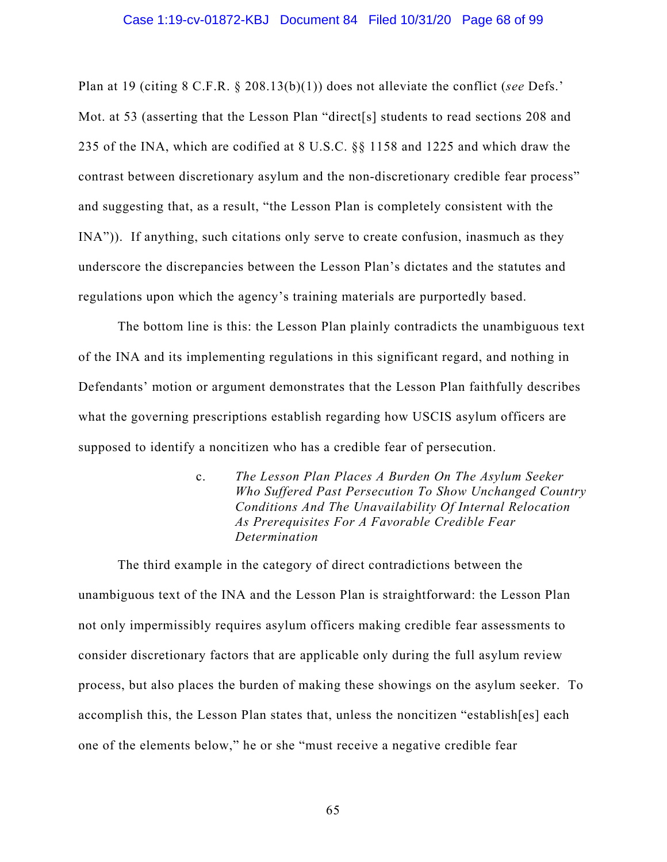#### Case 1:19-cv-01872-KBJ Document 84 Filed 10/31/20 Page 68 of 99

Plan at 19 (citing 8 C.F.R. § 208.13(b)(1)) does not alleviate the conflict (*see* Defs.' Mot. at 53 (asserting that the Lesson Plan "direct[s] students to read sections 208 and 235 of the INA, which are codified at 8 U.S.C. §§ 1158 and 1225 and which draw the contrast between discretionary asylum and the non-discretionary credible fear process" and suggesting that, as a result, "the Lesson Plan is completely consistent with the INA")). If anything, such citations only serve to create confusion, inasmuch as they underscore the discrepancies between the Lesson Plan's dictates and the statutes and regulations upon which the agency's training materials are purportedly based.

The bottom line is this: the Lesson Plan plainly contradicts the unambiguous text of the INA and its implementing regulations in this significant regard, and nothing in Defendants' motion or argument demonstrates that the Lesson Plan faithfully describes what the governing prescriptions establish regarding how USCIS asylum officers are supposed to identify a noncitizen who has a credible fear of persecution.

> c. *The Lesson Plan Places A Burden On The Asylum Seeker Who Suffered Past Persecution To Show Unchanged Country Conditions And The Unavailability Of Internal Relocation As Prerequisites For A Favorable Credible Fear Determination*

The third example in the category of direct contradictions between the unambiguous text of the INA and the Lesson Plan is straightforward: the Lesson Plan not only impermissibly requires asylum officers making credible fear assessments to consider discretionary factors that are applicable only during the full asylum review process, but also places the burden of making these showings on the asylum seeker. To accomplish this, the Lesson Plan states that, unless the noncitizen "establish[es] each one of the elements below," he or she "must receive a negative credible fear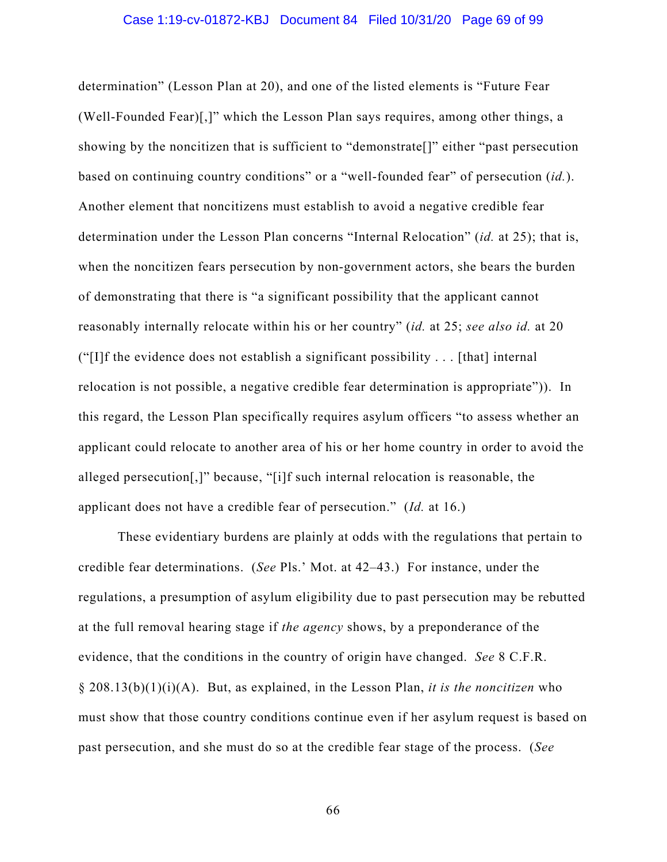determination" (Lesson Plan at 20), and one of the listed elements is "Future Fear (Well-Founded Fear)[,]" which the Lesson Plan says requires, among other things, a showing by the noncitizen that is sufficient to "demonstrate[]" either "past persecution based on continuing country conditions" or a "well-founded fear" of persecution (*id.*). Another element that noncitizens must establish to avoid a negative credible fear determination under the Lesson Plan concerns "Internal Relocation" (*id.* at 25); that is, when the noncitizen fears persecution by non-government actors, she bears the burden of demonstrating that there is "a significant possibility that the applicant cannot reasonably internally relocate within his or her country" (*id.* at 25; *see also id.* at 20 ("[I]f the evidence does not establish a significant possibility  $\dots$  [that] internal relocation is not possible, a negative credible fear determination is appropriate")). In this regard, the Lesson Plan specifically requires asylum officers "to assess whether an applicant could relocate to another area of his or her home country in order to avoid the alleged persecution[,]" because, "[i]f such internal relocation is reasonable, the applicant does not have a credible fear of persecution." (*Id.* at 16.)

These evidentiary burdens are plainly at odds with the regulations that pertain to credible fear determinations. (*See* Pls.' Mot. at 42–43.) For instance, under the regulations, a presumption of asylum eligibility due to past persecution may be rebutted at the full removal hearing stage if *the agency* shows, by a preponderance of the evidence, that the conditions in the country of origin have changed. *See* 8 C.F.R. § 208.13(b)(1)(i)(A). But, as explained, in the Lesson Plan, *it is the noncitizen* who must show that those country conditions continue even if her asylum request is based on past persecution, and she must do so at the credible fear stage of the process. (*See*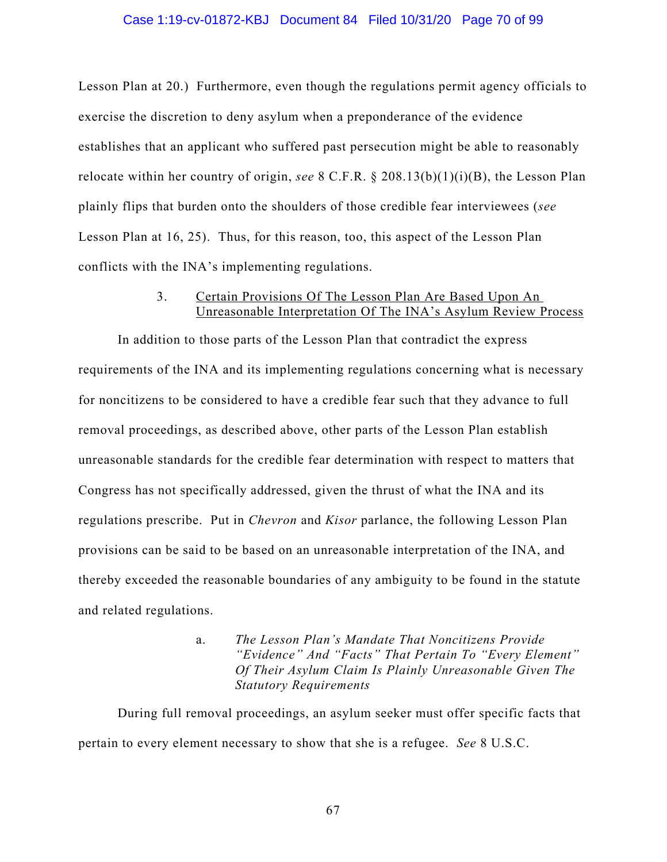#### Case 1:19-cv-01872-KBJ Document 84 Filed 10/31/20 Page 70 of 99

Lesson Plan at 20.) Furthermore, even though the regulations permit agency officials to exercise the discretion to deny asylum when a preponderance of the evidence establishes that an applicant who suffered past persecution might be able to reasonably relocate within her country of origin, *see* 8 C.F.R. § 208.13(b)(1)(i)(B), the Lesson Plan plainly flips that burden onto the shoulders of those credible fear interviewees (*see*  Lesson Plan at 16, 25). Thus, for this reason, too, this aspect of the Lesson Plan conflicts with the INA's implementing regulations.

### 3. Certain Provisions Of The Lesson Plan Are Based Upon An Unreasonable Interpretation Of The INA's Asylum Review Process

In addition to those parts of the Lesson Plan that contradict the express requirements of the INA and its implementing regulations concerning what is necessary for noncitizens to be considered to have a credible fear such that they advance to full removal proceedings, as described above, other parts of the Lesson Plan establish unreasonable standards for the credible fear determination with respect to matters that Congress has not specifically addressed, given the thrust of what the INA and its regulations prescribe. Put in *Chevron* and *Kisor* parlance, the following Lesson Plan provisions can be said to be based on an unreasonable interpretation of the INA, and thereby exceeded the reasonable boundaries of any ambiguity to be found in the statute and related regulations.

## a. *The Lesson Plan's Mandate That Noncitizens Provide "Evidence" And "Facts" That Pertain To "Every Element" Of Their Asylum Claim Is Plainly Unreasonable Given The Statutory Requirements*

During full removal proceedings, an asylum seeker must offer specific facts that pertain to every element necessary to show that she is a refugee. *See* 8 U.S.C.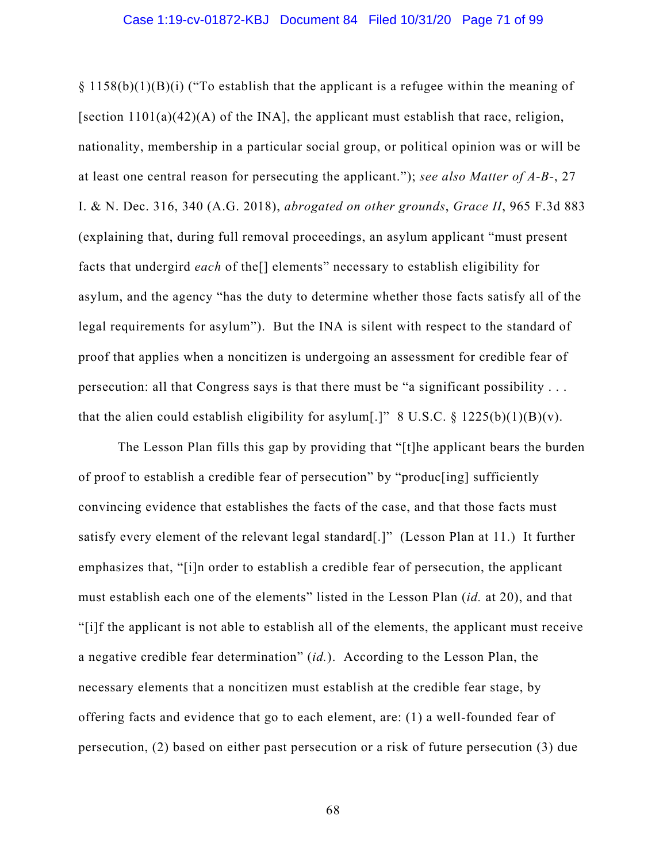$\S 1158(b)(1)(B)(i)$  ("To establish that the applicant is a refugee within the meaning of [section  $1101(a)(42)(A)$  of the INA], the applicant must establish that race, religion, nationality, membership in a particular social group, or political opinion was or will be at least one central reason for persecuting the applicant."); *see also Matter of A-B-*, 27 I. & N. Dec. 316, 340 (A.G. 2018), *abrogated on other grounds*, *Grace II*, 965 F.3d 883 (explaining that, during full removal proceedings, an asylum applicant "must present facts that undergird *each* of the[] elements" necessary to establish eligibility for asylum, and the agency "has the duty to determine whether those facts satisfy all of the legal requirements for asylum"). But the INA is silent with respect to the standard of proof that applies when a noncitizen is undergoing an assessment for credible fear of persecution: all that Congress says is that there must be "a significant possibility . . . that the alien could establish eligibility for asylum[.]" 8 U.S.C.  $\S$  1225(b)(1)(B)(v).

The Lesson Plan fills this gap by providing that "[t]he applicant bears the burden of proof to establish a credible fear of persecution" by "produc[ing] sufficiently convincing evidence that establishes the facts of the case, and that those facts must satisfy every element of the relevant legal standard[.]" (Lesson Plan at 11.) It further emphasizes that, "[i]n order to establish a credible fear of persecution, the applicant must establish each one of the elements" listed in the Lesson Plan (*id.* at 20), and that "[i]f the applicant is not able to establish all of the elements, the applicant must receive a negative credible fear determination" (*id.*). According to the Lesson Plan, the necessary elements that a noncitizen must establish at the credible fear stage, by offering facts and evidence that go to each element, are: (1) a well-founded fear of persecution, (2) based on either past persecution or a risk of future persecution (3) due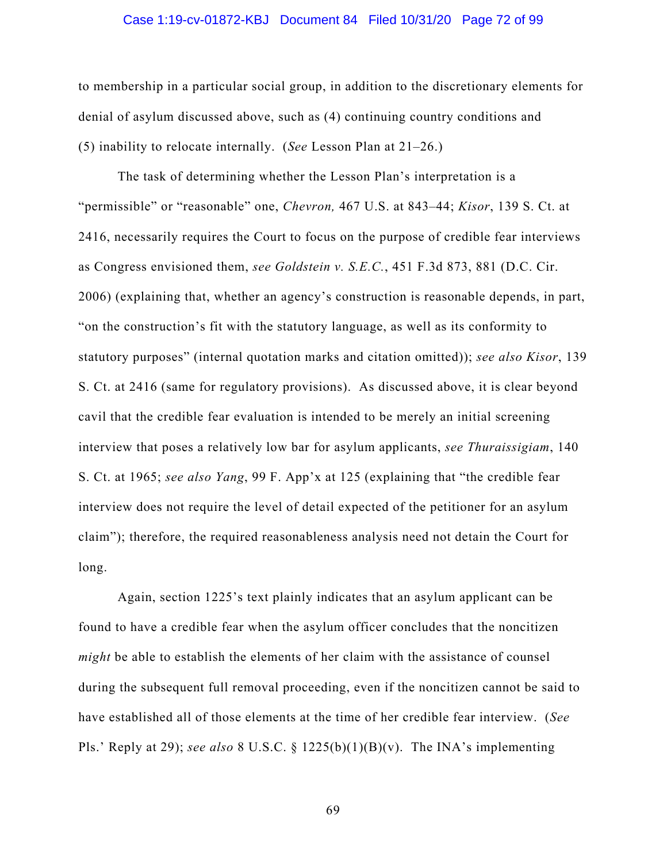#### Case 1:19-cv-01872-KBJ Document 84 Filed 10/31/20 Page 72 of 99

to membership in a particular social group, in addition to the discretionary elements for denial of asylum discussed above, such as (4) continuing country conditions and (5) inability to relocate internally. (*See* Lesson Plan at 21–26.)

The task of determining whether the Lesson Plan's interpretation is a "permissible" or "reasonable" one, *Chevron,* 467 U.S. at 843–44; *Kisor*, 139 S. Ct. at 2416, necessarily requires the Court to focus on the purpose of credible fear interviews as Congress envisioned them, *see Goldstein v. S.E.C.*, 451 F.3d 873, 881 (D.C. Cir. 2006) (explaining that, whether an agency's construction is reasonable depends, in part, "on the construction's fit with the statutory language, as well as its conformity to statutory purposes" (internal quotation marks and citation omitted)); *see also Kisor*, 139 S. Ct. at 2416 (same for regulatory provisions). As discussed above, it is clear beyond cavil that the credible fear evaluation is intended to be merely an initial screening interview that poses a relatively low bar for asylum applicants, *see Thuraissigiam*, 140 S. Ct. at 1965; *see also Yang*, 99 F. App'x at 125 (explaining that "the credible fear interview does not require the level of detail expected of the petitioner for an asylum claim"); therefore, the required reasonableness analysis need not detain the Court for long.

Again, section 1225's text plainly indicates that an asylum applicant can be found to have a credible fear when the asylum officer concludes that the noncitizen *might* be able to establish the elements of her claim with the assistance of counsel during the subsequent full removal proceeding, even if the noncitizen cannot be said to have established all of those elements at the time of her credible fear interview. (*See*  Pls.' Reply at 29); *see also* 8 U.S.C. § 1225(b)(1)(B)(v). The INA's implementing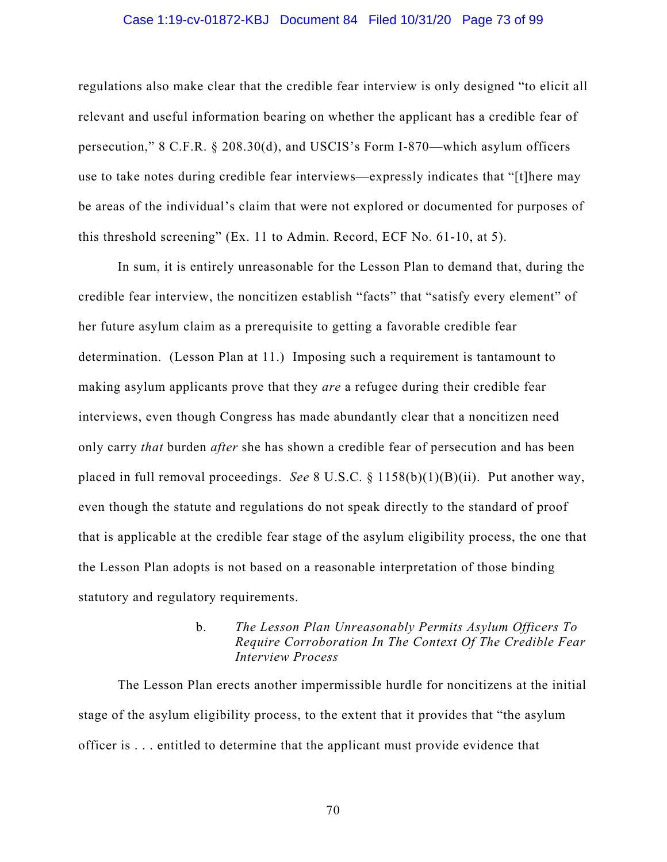# Case 1:19-cv-01872-KBJ Document 84 Filed 10/31/20 Page 73 of 99

regulations also make clear that the credible fear interview is only designed "to elicit all relevant and useful information bearing on whether the applicant has a credible fear of persecution," 8 C.F.R. § 208.30(d), and USCIS's Form I-870—which asylum officers use to take notes during credible fear interviews—expressly indicates that "[t]here may be areas of the individual's claim that were not explored or documented for purposes of this threshold screening" (Ex. 11 to Admin. Record, ECF No. 61-10, at 5).

In sum, it is entirely unreasonable for the Lesson Plan to demand that, during the credible fear interview, the noncitizen establish "facts" that "satisfy every element" of her future asylum claim as a prerequisite to getting a favorable credible fear determination. (Lesson Plan at 11.) Imposing such a requirement is tantamount to making asylum applicants prove that they *are* a refugee during their credible fear interviews, even though Congress has made abundantly clear that a noncitizen need only carry *that* burden *after* she has shown a credible fear of persecution and has been placed in full removal proceedings. *See* 8 U.S.C. § 1158(b)(1)(B)(ii). Put another way, even though the statute and regulations do not speak directly to the standard of proof that is applicable at the credible fear stage of the asylum eligibility process, the one that the Lesson Plan adopts is not based on a reasonable interpretation of those binding statutory and regulatory requirements.

# b. *The Lesson Plan Unreasonably Permits Asylum Officers To Require Corroboration In The Context Of The Credible Fear Interview Process*

The Lesson Plan erects another impermissible hurdle for noncitizens at the initial stage of the asylum eligibility process, to the extent that it provides that "the asylum officer is . . . entitled to determine that the applicant must provide evidence that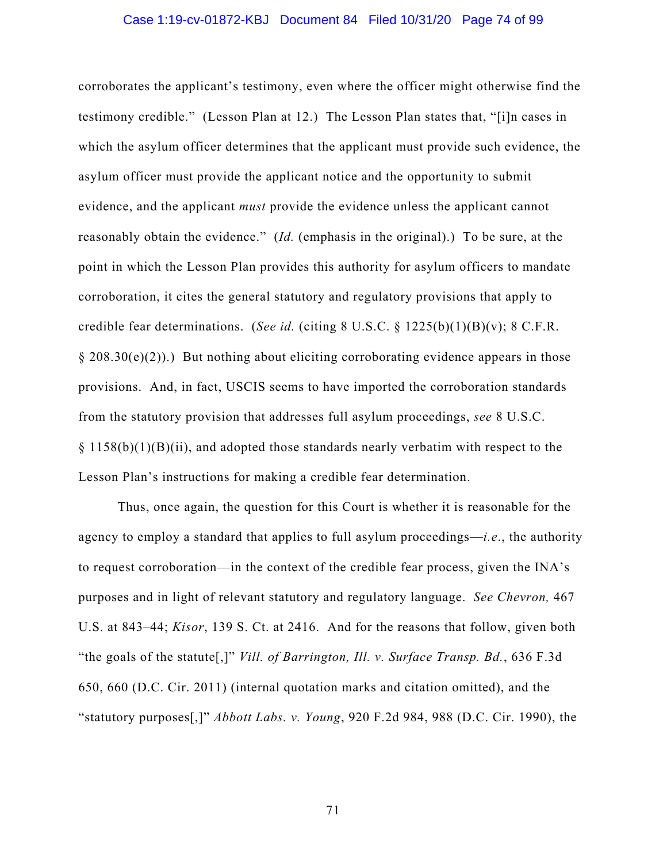#### Case 1:19-cv-01872-KBJ Document 84 Filed 10/31/20 Page 74 of 99

corroborates the applicant's testimony, even where the officer might otherwise find the testimony credible." (Lesson Plan at 12.) The Lesson Plan states that, "[i]n cases in which the asylum officer determines that the applicant must provide such evidence, the asylum officer must provide the applicant notice and the opportunity to submit evidence, and the applicant *must* provide the evidence unless the applicant cannot reasonably obtain the evidence." (*Id.* (emphasis in the original).) To be sure, at the point in which the Lesson Plan provides this authority for asylum officers to mandate corroboration, it cites the general statutory and regulatory provisions that apply to credible fear determinations. (*See id.* (citing 8 U.S.C. § 1225(b)(1)(B)(v); 8 C.F.R.  $\S 208.30(e)(2)$ ).) But nothing about eliciting corroborating evidence appears in those provisions. And, in fact, USCIS seems to have imported the corroboration standards from the statutory provision that addresses full asylum proceedings, *see* 8 U.S.C.  $§$  1158(b)(1)(B)(ii), and adopted those standards nearly verbatim with respect to the Lesson Plan's instructions for making a credible fear determination.

Thus, once again, the question for this Court is whether it is reasonable for the agency to employ a standard that applies to full asylum proceedings—*i.e*., the authority to request corroboration—in the context of the credible fear process, given the INA's purposes and in light of relevant statutory and regulatory language. *See Chevron,* 467 U.S. at 843–44; *Kisor*, 139 S. Ct. at 2416. And for the reasons that follow, given both "the goals of the statute[,]" *Vill. of Barrington, Ill. v. Surface Transp. Bd.*, 636 F.3d 650, 660 (D.C. Cir. 2011) (internal quotation marks and citation omitted), and the "statutory purposes[,]" *Abbott Labs. v. Young*, 920 F.2d 984, 988 (D.C. Cir. 1990), the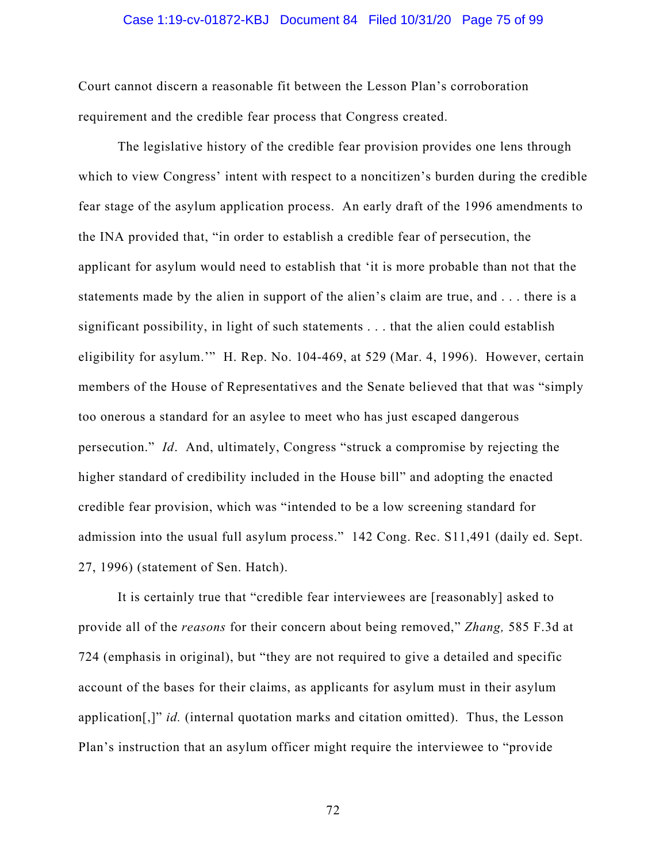# Case 1:19-cv-01872-KBJ Document 84 Filed 10/31/20 Page 75 of 99

Court cannot discern a reasonable fit between the Lesson Plan's corroboration requirement and the credible fear process that Congress created.

The legislative history of the credible fear provision provides one lens through which to view Congress' intent with respect to a noncitizen's burden during the credible fear stage of the asylum application process. An early draft of the 1996 amendments to the INA provided that, "in order to establish a credible fear of persecution, the applicant for asylum would need to establish that 'it is more probable than not that the statements made by the alien in support of the alien's claim are true, and . . . there is a significant possibility, in light of such statements . . . that the alien could establish eligibility for asylum.'" H. Rep. No. 104-469, at 529 (Mar. 4, 1996). However, certain members of the House of Representatives and the Senate believed that that was "simply too onerous a standard for an asylee to meet who has just escaped dangerous persecution." *Id*. And, ultimately, Congress "struck a compromise by rejecting the higher standard of credibility included in the House bill" and adopting the enacted credible fear provision, which was "intended to be a low screening standard for admission into the usual full asylum process." 142 Cong. Rec. S11,491 (daily ed. Sept. 27, 1996) (statement of Sen. Hatch).

It is certainly true that "credible fear interviewees are [reasonably] asked to provide all of the *reasons* for their concern about being removed," *Zhang,* 585 F.3d at 724 (emphasis in original), but "they are not required to give a detailed and specific account of the bases for their claims, as applicants for asylum must in their asylum application[,]" *id.* (internal quotation marks and citation omitted). Thus, the Lesson Plan's instruction that an asylum officer might require the interviewee to "provide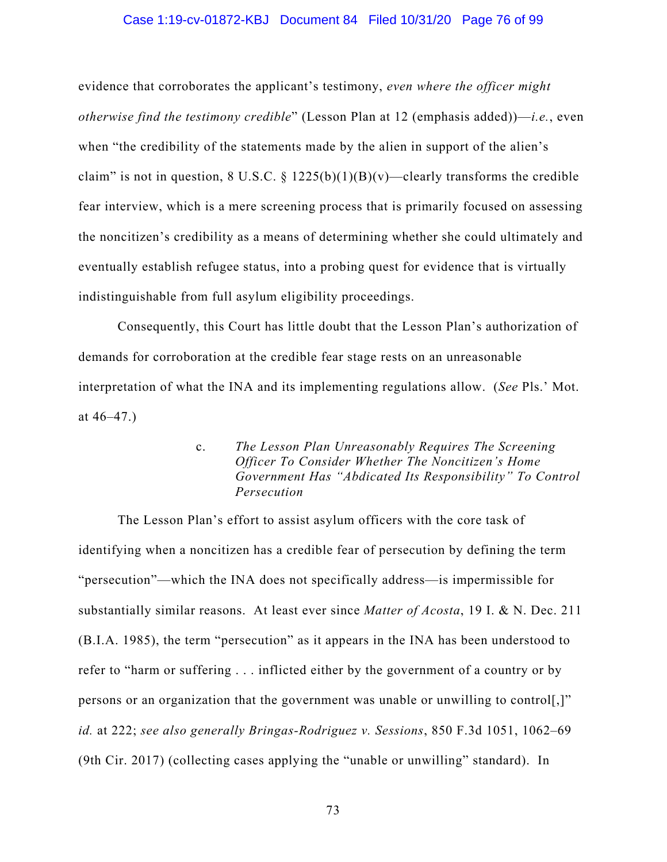# Case 1:19-cv-01872-KBJ Document 84 Filed 10/31/20 Page 76 of 99

evidence that corroborates the applicant's testimony, *even where the officer might otherwise find the testimony credible*" (Lesson Plan at 12 (emphasis added))—*i.e.*, even when "the credibility of the statements made by the alien in support of the alien's claim" is not in question, 8 U.S.C. §  $1225(b)(1)(B)(v)$ —clearly transforms the credible fear interview, which is a mere screening process that is primarily focused on assessing the noncitizen's credibility as a means of determining whether she could ultimately and eventually establish refugee status, into a probing quest for evidence that is virtually indistinguishable from full asylum eligibility proceedings.

Consequently, this Court has little doubt that the Lesson Plan's authorization of demands for corroboration at the credible fear stage rests on an unreasonable interpretation of what the INA and its implementing regulations allow. (*See* Pls.' Mot. at  $46-47.$ )

> c. *The Lesson Plan Unreasonably Requires The Screening Officer To Consider Whether The Noncitizen's Home Government Has "Abdicated Its Responsibility" To Control Persecution*

The Lesson Plan's effort to assist asylum officers with the core task of identifying when a noncitizen has a credible fear of persecution by defining the term "persecution"—which the INA does not specifically address—is impermissible for substantially similar reasons. At least ever since *Matter of Acosta*, 19 I. & N. Dec. 211 (B.I.A. 1985), the term "persecution" as it appears in the INA has been understood to refer to "harm or suffering . . . inflicted either by the government of a country or by persons or an organization that the government was unable or unwilling to control[,]" *id.* at 222; *see also generally Bringas-Rodriguez v. Sessions*, 850 F.3d 1051, 1062–69 (9th Cir. 2017) (collecting cases applying the "unable or unwilling" standard). In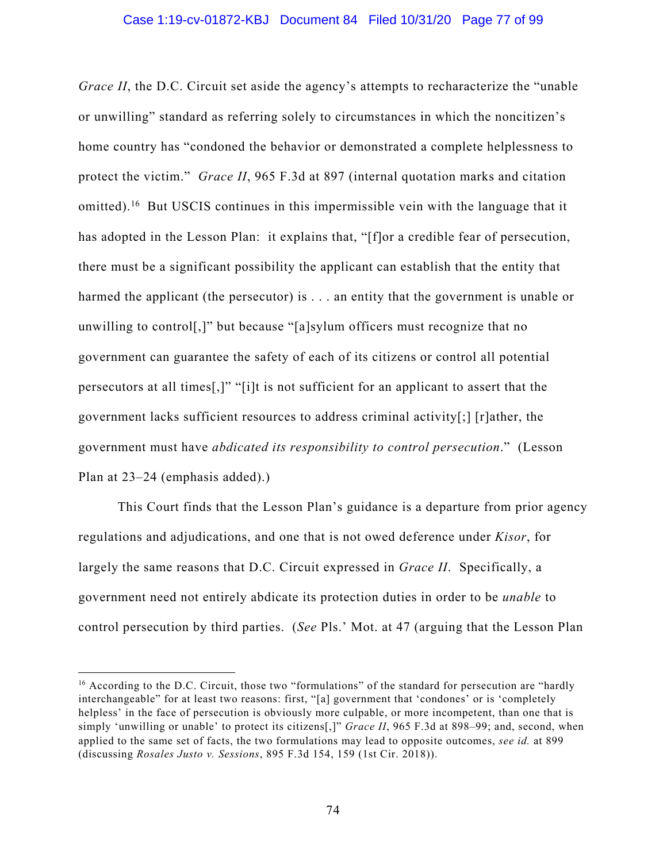*Grace II*, the D.C. Circuit set aside the agency's attempts to recharacterize the "unable" or unwilling" standard as referring solely to circumstances in which the noncitizen's home country has "condoned the behavior or demonstrated a complete helplessness to protect the victim." *Grace II*, 965 F.3d at 897 (internal quotation marks and citation omitted).<sup>16</sup> But USCIS continues in this impermissible vein with the language that it has adopted in the Lesson Plan: it explains that, "[f]or a credible fear of persecution, there must be a significant possibility the applicant can establish that the entity that harmed the applicant (the persecutor) is . . . an entity that the government is unable or unwilling to control[,]" but because "[a]sylum officers must recognize that no government can guarantee the safety of each of its citizens or control all potential persecutors at all times[,]" "[i]t is not sufficient for an applicant to assert that the government lacks sufficient resources to address criminal activity[;] [r]ather, the government must have *abdicated its responsibility to control persecution*." (Lesson Plan at 23–24 (emphasis added).)

This Court finds that the Lesson Plan's guidance is a departure from prior agency regulations and adjudications, and one that is not owed deference under *Kisor*, for largely the same reasons that D.C. Circuit expressed in *Grace II*. Specifically, a government need not entirely abdicate its protection duties in order to be *unable* to control persecution by third parties. (*See* Pls.' Mot. at 47 (arguing that the Lesson Plan

<sup>&</sup>lt;sup>16</sup> According to the D.C. Circuit, those two "formulations" of the standard for persecution are "hardly interchangeable" for at least two reasons: first, "[a] government that 'condones' or is 'completely helpless' in the face of persecution is obviously more culpable, or more incompetent, than one that is simply 'unwilling or unable' to protect its citizens[,]" *Grace II*, 965 F.3d at 898–99; and, second, when applied to the same set of facts, the two formulations may lead to opposite outcomes, *see id.* at 899 (discussing *Rosales Justo v. Sessions*, 895 F.3d 154, 159 (1st Cir. 2018)).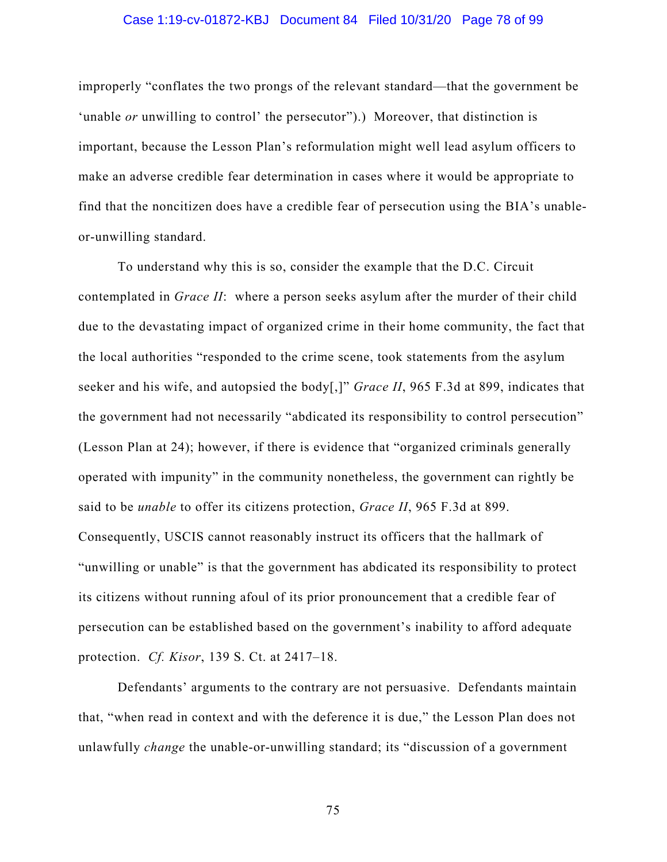# Case 1:19-cv-01872-KBJ Document 84 Filed 10/31/20 Page 78 of 99

improperly "conflates the two prongs of the relevant standard—that the government be 'unable *or* unwilling to control' the persecutor").) Moreover, that distinction is important, because the Lesson Plan's reformulation might well lead asylum officers to make an adverse credible fear determination in cases where it would be appropriate to find that the noncitizen does have a credible fear of persecution using the BIA's unableor-unwilling standard.

To understand why this is so, consider the example that the D.C. Circuit contemplated in *Grace II*: where a person seeks asylum after the murder of their child due to the devastating impact of organized crime in their home community, the fact that the local authorities "responded to the crime scene, took statements from the asylum seeker and his wife, and autopsied the body[,]" *Grace II*, 965 F.3d at 899, indicates that the government had not necessarily "abdicated its responsibility to control persecution" (Lesson Plan at 24); however, if there is evidence that "organized criminals generally operated with impunity" in the community nonetheless, the government can rightly be said to be *unable* to offer its citizens protection, *Grace II*, 965 F.3d at 899. Consequently, USCIS cannot reasonably instruct its officers that the hallmark of "unwilling or unable" is that the government has abdicated its responsibility to protect its citizens without running afoul of its prior pronouncement that a credible fear of persecution can be established based on the government's inability to afford adequate protection. *Cf. Kisor*, 139 S. Ct. at 2417–18.

Defendants' arguments to the contrary are not persuasive. Defendants maintain that, "when read in context and with the deference it is due," the Lesson Plan does not unlawfully *change* the unable-or-unwilling standard; its "discussion of a government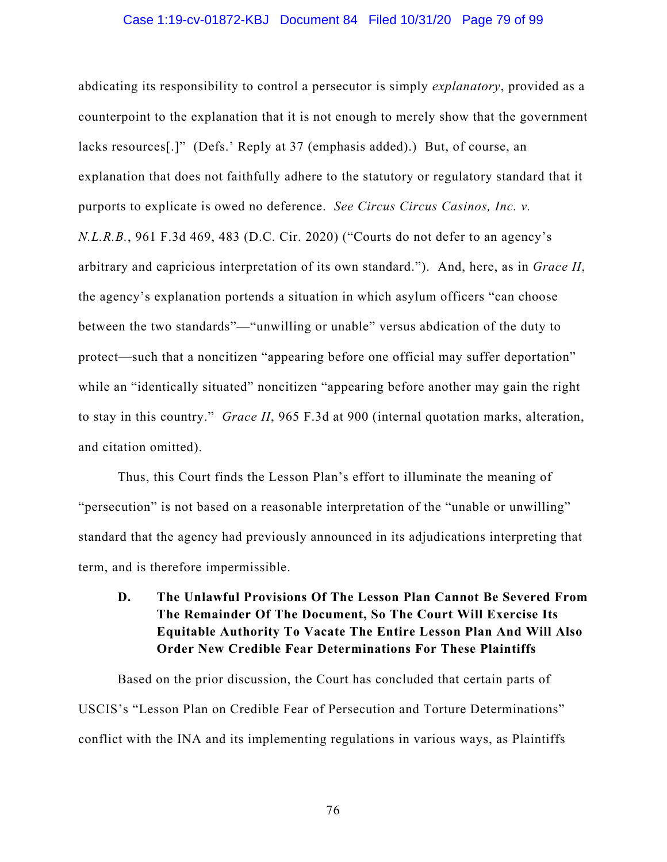#### Case 1:19-cv-01872-KBJ Document 84 Filed 10/31/20 Page 79 of 99

abdicating its responsibility to control a persecutor is simply *explanatory*, provided as a counterpoint to the explanation that it is not enough to merely show that the government lacks resources[.]" (Defs.' Reply at 37 (emphasis added).) But, of course, an explanation that does not faithfully adhere to the statutory or regulatory standard that it purports to explicate is owed no deference. *See Circus Circus Casinos, Inc. v. N.L.R.B.*, 961 F.3d 469, 483 (D.C. Cir. 2020) ("Courts do not defer to an agency's arbitrary and capricious interpretation of its own standard."). And, here, as in *Grace II*, the agency's explanation portends a situation in which asylum officers "can choose between the two standards"—"unwilling or unable" versus abdication of the duty to protect—such that a noncitizen "appearing before one official may suffer deportation" while an "identically situated" noncitizen "appearing before another may gain the right to stay in this country." *Grace II*, 965 F.3d at 900 (internal quotation marks, alteration, and citation omitted).

Thus, this Court finds the Lesson Plan's effort to illuminate the meaning of "persecution" is not based on a reasonable interpretation of the "unable or unwilling" standard that the agency had previously announced in its adjudications interpreting that term, and is therefore impermissible.

# **D. The Unlawful Provisions Of The Lesson Plan Cannot Be Severed From The Remainder Of The Document, So The Court Will Exercise Its Equitable Authority To Vacate The Entire Lesson Plan And Will Also Order New Credible Fear Determinations For These Plaintiffs**

Based on the prior discussion, the Court has concluded that certain parts of USCIS's "Lesson Plan on Credible Fear of Persecution and Torture Determinations" conflict with the INA and its implementing regulations in various ways, as Plaintiffs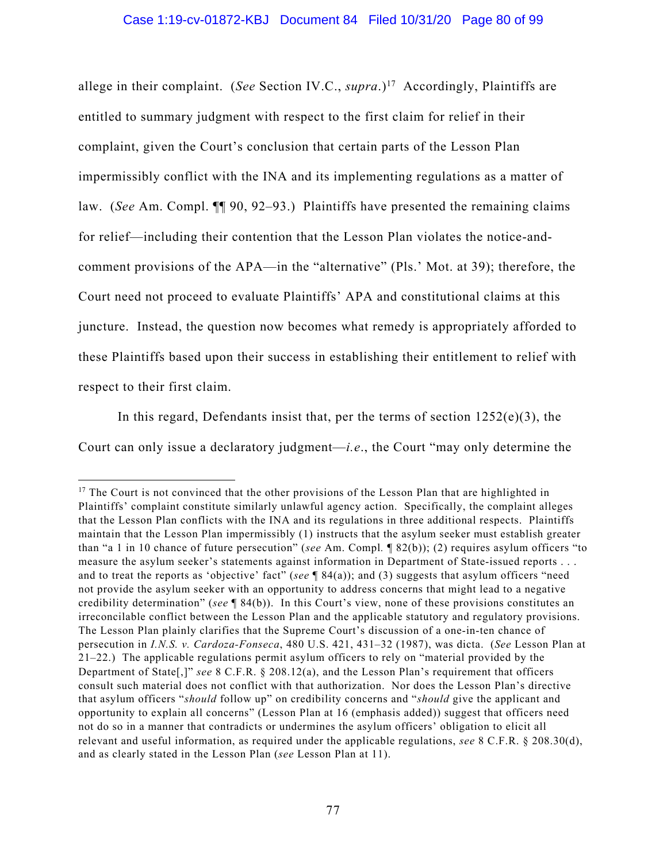allege in their complaint. (*See* Section IV.C., *supra*.)<sup>17</sup> Accordingly, Plaintiffs are entitled to summary judgment with respect to the first claim for relief in their complaint, given the Court's conclusion that certain parts of the Lesson Plan impermissibly conflict with the INA and its implementing regulations as a matter of law. (*See* Am. Compl. ¶¶ 90, 92–93.) Plaintiffs have presented the remaining claims for relief—including their contention that the Lesson Plan violates the notice-andcomment provisions of the APA—in the "alternative" (Pls.' Mot. at 39); therefore, the Court need not proceed to evaluate Plaintiffs' APA and constitutional claims at this juncture. Instead, the question now becomes what remedy is appropriately afforded to these Plaintiffs based upon their success in establishing their entitlement to relief with respect to their first claim.

In this regard, Defendants insist that, per the terms of section  $1252(e)(3)$ , the Court can only issue a declaratory judgment—*i.e*., the Court "may only determine the

 $17$  The Court is not convinced that the other provisions of the Lesson Plan that are highlighted in Plaintiffs' complaint constitute similarly unlawful agency action. Specifically, the complaint alleges that the Lesson Plan conflicts with the INA and its regulations in three additional respects. Plaintiffs maintain that the Lesson Plan impermissibly (1) instructs that the asylum seeker must establish greater than "a 1 in 10 chance of future persecution" (*see* Am. Compl*.* ¶ 82(b)); (2) requires asylum officers "to measure the asylum seeker's statements against information in Department of State-issued reports . . . and to treat the reports as 'objective' fact" (*see* ¶ 84(a)); and (3) suggests that asylum officers "need not provide the asylum seeker with an opportunity to address concerns that might lead to a negative credibility determination" (*see* ¶ 84(b)). In this Court's view, none of these provisions constitutes an irreconcilable conflict between the Lesson Plan and the applicable statutory and regulatory provisions. The Lesson Plan plainly clarifies that the Supreme Court's discussion of a one-in-ten chance of persecution in *I.N.S. v. Cardoza-Fonseca*, 480 U.S. 421, 431–32 (1987), was dicta. (*See* Lesson Plan at 21–22.) The applicable regulations permit asylum officers to rely on "material provided by the Department of State[,]" *see* 8 C.F.R. § 208.12(a), and the Lesson Plan's requirement that officers consult such material does not conflict with that authorization. Nor does the Lesson Plan's directive that asylum officers "*should* follow up" on credibility concerns and "*should* give the applicant and opportunity to explain all concerns" (Lesson Plan at 16 (emphasis added)) suggest that officers need not do so in a manner that contradicts or undermines the asylum officers' obligation to elicit all relevant and useful information, as required under the applicable regulations, *see* 8 C.F.R. § 208.30(d), and as clearly stated in the Lesson Plan (*see* Lesson Plan at 11).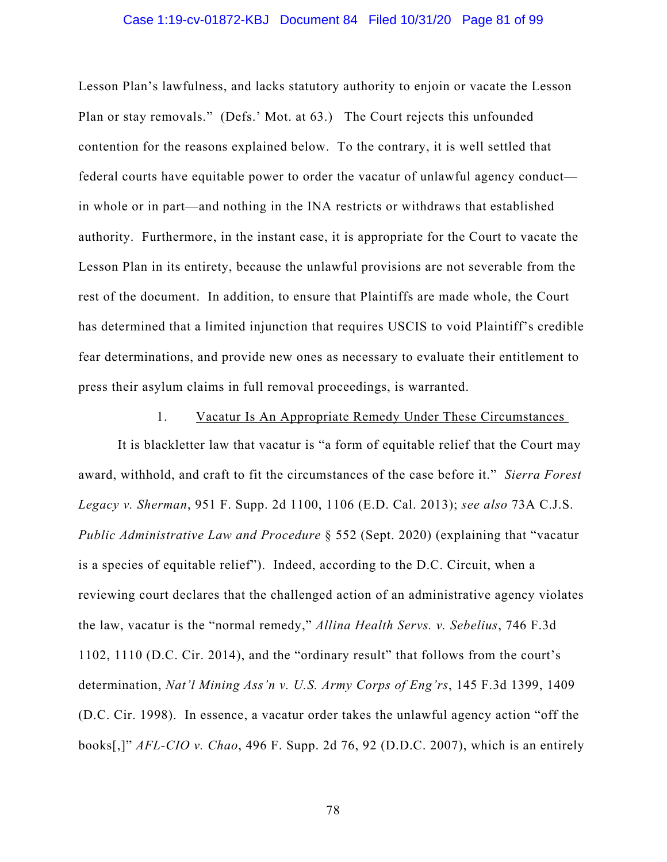# Case 1:19-cv-01872-KBJ Document 84 Filed 10/31/20 Page 81 of 99

Lesson Plan's lawfulness, and lacks statutory authority to enjoin or vacate the Lesson Plan or stay removals." (Defs.' Mot. at 63.) The Court rejects this unfounded contention for the reasons explained below. To the contrary, it is well settled that federal courts have equitable power to order the vacatur of unlawful agency conduct in whole or in part—and nothing in the INA restricts or withdraws that established authority. Furthermore, in the instant case, it is appropriate for the Court to vacate the Lesson Plan in its entirety, because the unlawful provisions are not severable from the rest of the document. In addition, to ensure that Plaintiffs are made whole, the Court has determined that a limited injunction that requires USCIS to void Plaintiff's credible fear determinations, and provide new ones as necessary to evaluate their entitlement to press their asylum claims in full removal proceedings, is warranted.

# 1. Vacatur Is An Appropriate Remedy Under These Circumstances

It is blackletter law that vacatur is "a form of equitable relief that the Court may award, withhold, and craft to fit the circumstances of the case before it." *Sierra Forest Legacy v. Sherman*, 951 F. Supp. 2d 1100, 1106 (E.D. Cal. 2013); *see also* 73A C.J.S. *Public Administrative Law and Procedure* § 552 (Sept. 2020) (explaining that "vacatur is a species of equitable relief"). Indeed, according to the D.C. Circuit, when a reviewing court declares that the challenged action of an administrative agency violates the law, vacatur is the "normal remedy," *Allina Health Servs. v. Sebelius*, 746 F.3d 1102, 1110 (D.C. Cir. 2014), and the "ordinary result" that follows from the court's determination, *Nat'l Mining Ass'n v. U.S. Army Corps of Eng'rs*, 145 F.3d 1399, 1409 (D.C. Cir. 1998). In essence, a vacatur order takes the unlawful agency action "off the books[,]" *AFL-CIO v. Chao*, 496 F. Supp. 2d 76, 92 (D.D.C. 2007), which is an entirely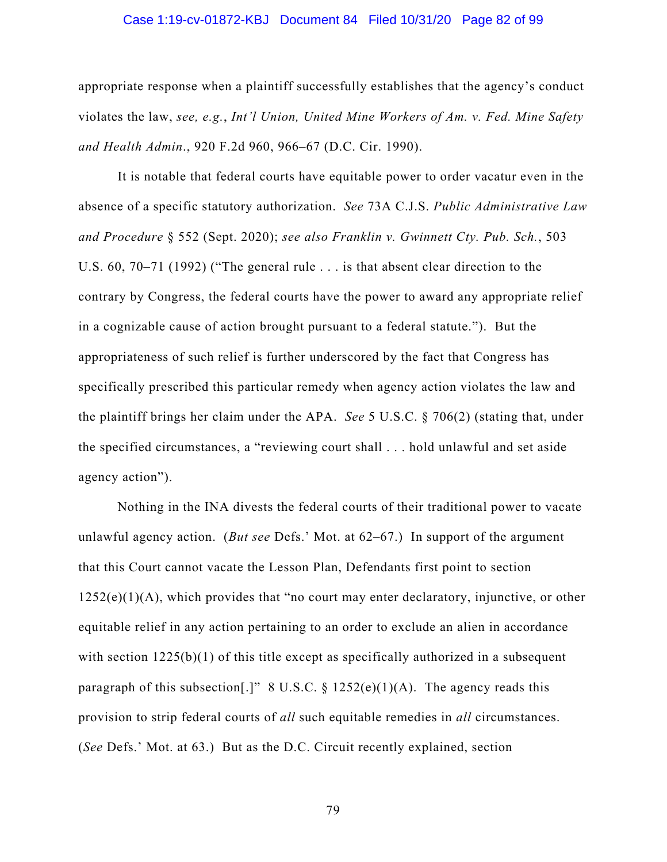#### Case 1:19-cv-01872-KBJ Document 84 Filed 10/31/20 Page 82 of 99

appropriate response when a plaintiff successfully establishes that the agency's conduct violates the law, *see, e.g.*, *Int'l Union, United Mine Workers of Am. v. Fed. Mine Safety and Health Admin*., 920 F.2d 960, 966–67 (D.C. Cir. 1990).

It is notable that federal courts have equitable power to order vacatur even in the absence of a specific statutory authorization. *See* 73A C.J.S. *Public Administrative Law and Procedure* § 552 (Sept. 2020); *see also Franklin v. Gwinnett Cty. Pub. Sch.*, 503 U.S. 60, 70–71 (1992) ("The general rule . . . is that absent clear direction to the contrary by Congress, the federal courts have the power to award any appropriate relief in a cognizable cause of action brought pursuant to a federal statute."). But the appropriateness of such relief is further underscored by the fact that Congress has specifically prescribed this particular remedy when agency action violates the law and the plaintiff brings her claim under the APA. *See* 5 U.S.C. § 706(2) (stating that, under the specified circumstances, a "reviewing court shall . . . hold unlawful and set aside agency action").

Nothing in the INA divests the federal courts of their traditional power to vacate unlawful agency action. (*But see* Defs.' Mot. at 62–67.) In support of the argument that this Court cannot vacate the Lesson Plan, Defendants first point to section  $1252(e)(1)(A)$ , which provides that "no court may enter declaratory, injunctive, or other equitable relief in any action pertaining to an order to exclude an alien in accordance with section 1225(b)(1) of this title except as specifically authorized in a subsequent paragraph of this subsection[.]" 8 U.S.C.  $\S$  1252(e)(1)(A). The agency reads this provision to strip federal courts of *all* such equitable remedies in *all* circumstances. (*See* Defs.' Mot. at 63.) But as the D.C. Circuit recently explained, section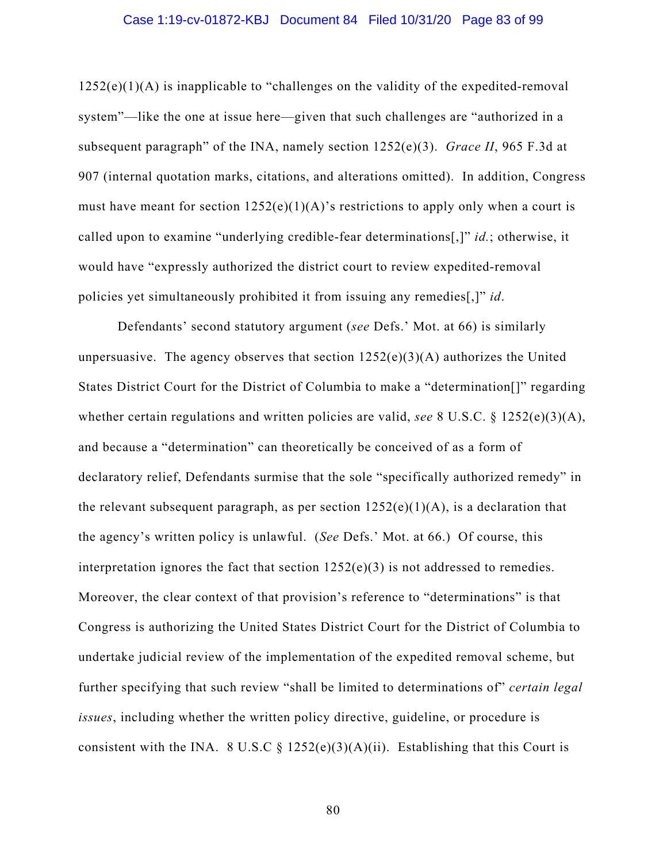# Case 1:19-cv-01872-KBJ Document 84 Filed 10/31/20 Page 83 of 99

1252(e)(1)(A) is inapplicable to "challenges on the validity of the expedited-removal system"—like the one at issue here—given that such challenges are "authorized in a subsequent paragraph" of the INA, namely section 1252(e)(3). *Grace II*, 965 F.3d at 907 (internal quotation marks, citations, and alterations omitted). In addition, Congress must have meant for section  $1252(e)(1)(A)$ 's restrictions to apply only when a court is called upon to examine "underlying credible-fear determinations[,]" *id.*; otherwise, it would have "expressly authorized the district court to review expedited-removal policies yet simultaneously prohibited it from issuing any remedies[,]" *id*.

Defendants' second statutory argument (*see* Defs.' Mot. at 66) is similarly unpersuasive. The agency observes that section  $1252(e)(3)(A)$  authorizes the United States District Court for the District of Columbia to make a "determination[]" regarding whether certain regulations and written policies are valid, *see* 8 U.S.C. § 1252(e)(3)(A), and because a "determination" can theoretically be conceived of as a form of declaratory relief, Defendants surmise that the sole "specifically authorized remedy" in the relevant subsequent paragraph, as per section  $1252(e)(1)(A)$ , is a declaration that the agency's written policy is unlawful. (*See* Defs.' Mot. at 66.) Of course, this interpretation ignores the fact that section  $1252(e)(3)$  is not addressed to remedies. Moreover, the clear context of that provision's reference to "determinations" is that Congress is authorizing the United States District Court for the District of Columbia to undertake judicial review of the implementation of the expedited removal scheme, but further specifying that such review "shall be limited to determinations of" *certain legal issues*, including whether the written policy directive, guideline, or procedure is consistent with the INA. 8 U.S.C  $\S 1252(e)(3)(A)(ii)$ . Establishing that this Court is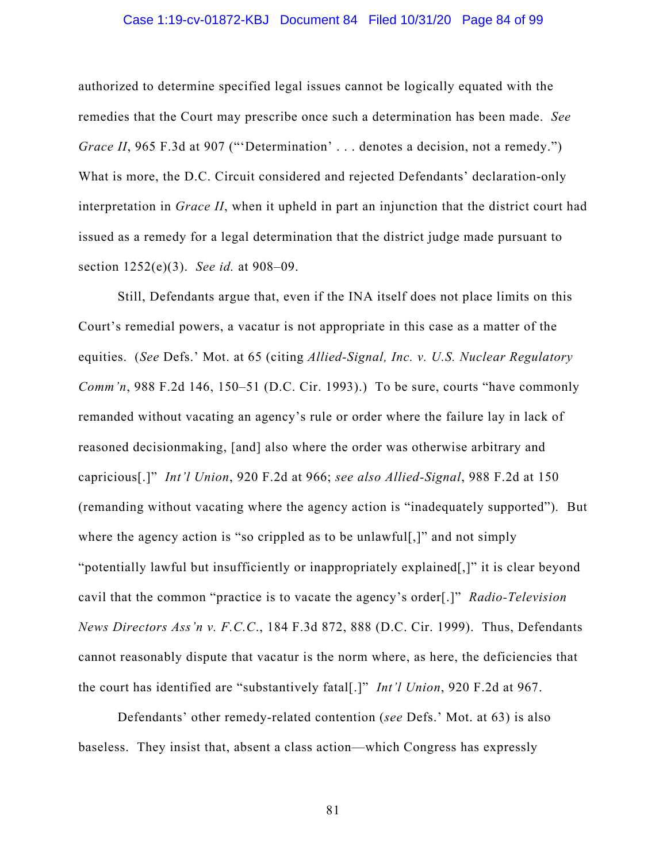# Case 1:19-cv-01872-KBJ Document 84 Filed 10/31/20 Page 84 of 99

authorized to determine specified legal issues cannot be logically equated with the remedies that the Court may prescribe once such a determination has been made. *See Grace II*, 965 F.3d at 907 ("'Determination' . . . denotes a decision, not a remedy.") What is more, the D.C. Circuit considered and rejected Defendants' declaration-only interpretation in *Grace II*, when it upheld in part an injunction that the district court had issued as a remedy for a legal determination that the district judge made pursuant to section 1252(e)(3). *See id.* at 908–09.

Still, Defendants argue that, even if the INA itself does not place limits on this Court's remedial powers, a vacatur is not appropriate in this case as a matter of the equities. (*See* Defs.' Mot. at 65 (citing *Allied-Signal, Inc. v. U.S. Nuclear Regulatory Comm'n*, 988 F.2d 146, 150–51 (D.C. Cir. 1993).) To be sure, courts "have commonly remanded without vacating an agency's rule or order where the failure lay in lack of reasoned decisionmaking, [and] also where the order was otherwise arbitrary and capricious[.]" *Int'l Union*, 920 F.2d at 966; *see also Allied-Signal*, 988 F.2d at 150 (remanding without vacating where the agency action is "inadequately supported")*.* But where the agency action is "so crippled as to be unlawful[,]" and not simply "potentially lawful but insufficiently or inappropriately explained[,]" it is clear beyond cavil that the common "practice is to vacate the agency's order[.]" *Radio-Television News Directors Ass'n v. F.C.C*., 184 F.3d 872, 888 (D.C. Cir. 1999). Thus, Defendants cannot reasonably dispute that vacatur is the norm where, as here, the deficiencies that the court has identified are "substantively fatal[.]" *Int'l Union*, 920 F.2d at 967.

Defendants' other remedy-related contention (*see* Defs.' Mot. at 63) is also baseless. They insist that, absent a class action—which Congress has expressly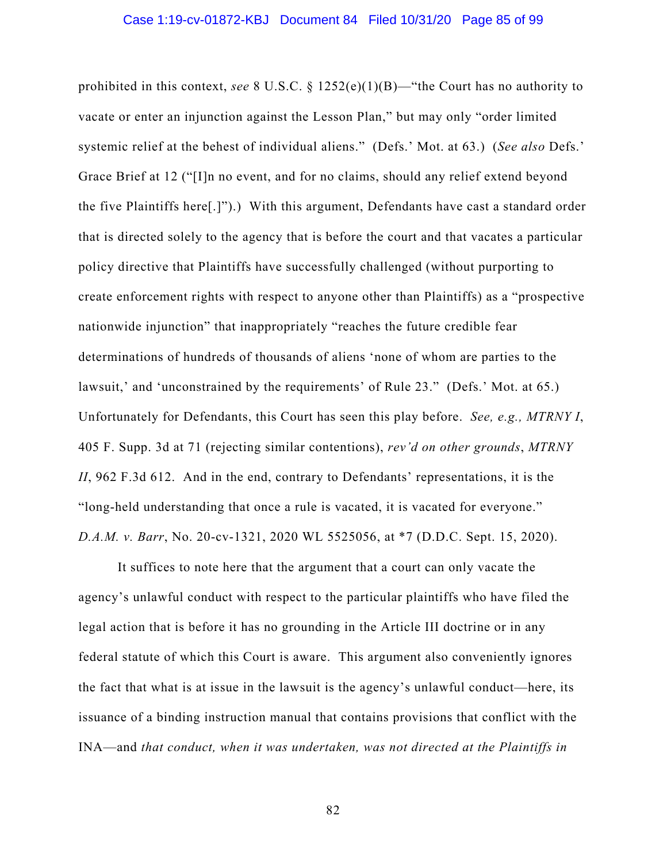prohibited in this context, *see* 8 U.S.C. § 1252(e)(1)(B)—"the Court has no authority to vacate or enter an injunction against the Lesson Plan," but may only "order limited systemic relief at the behest of individual aliens." (Defs.' Mot. at 63.) (*See also* Defs.' Grace Brief at 12 ("[I]n no event, and for no claims, should any relief extend beyond the five Plaintiffs here[.]").) With this argument, Defendants have cast a standard order that is directed solely to the agency that is before the court and that vacates a particular policy directive that Plaintiffs have successfully challenged (without purporting to create enforcement rights with respect to anyone other than Plaintiffs) as a "prospective nationwide injunction" that inappropriately "reaches the future credible fear determinations of hundreds of thousands of aliens 'none of whom are parties to the lawsuit,' and 'unconstrained by the requirements' of Rule 23." (Defs.' Mot. at 65.) Unfortunately for Defendants, this Court has seen this play before. *See, e.g., MTRNY I*, 405 F. Supp. 3d at 71 (rejecting similar contentions), *rev'd on other grounds*, *MTRNY II*, 962 F.3d 612. And in the end, contrary to Defendants' representations, it is the "long-held understanding that once a rule is vacated, it is vacated for everyone." *D.A.M. v. Barr*, No. 20-cv-1321, 2020 WL 5525056, at \*7 (D.D.C. Sept. 15, 2020).

It suffices to note here that the argument that a court can only vacate the agency's unlawful conduct with respect to the particular plaintiffs who have filed the legal action that is before it has no grounding in the Article III doctrine or in any federal statute of which this Court is aware. This argument also conveniently ignores the fact that what is at issue in the lawsuit is the agency's unlawful conduct—here, its issuance of a binding instruction manual that contains provisions that conflict with the INA—and *that conduct, when it was undertaken, was not directed at the Plaintiffs in*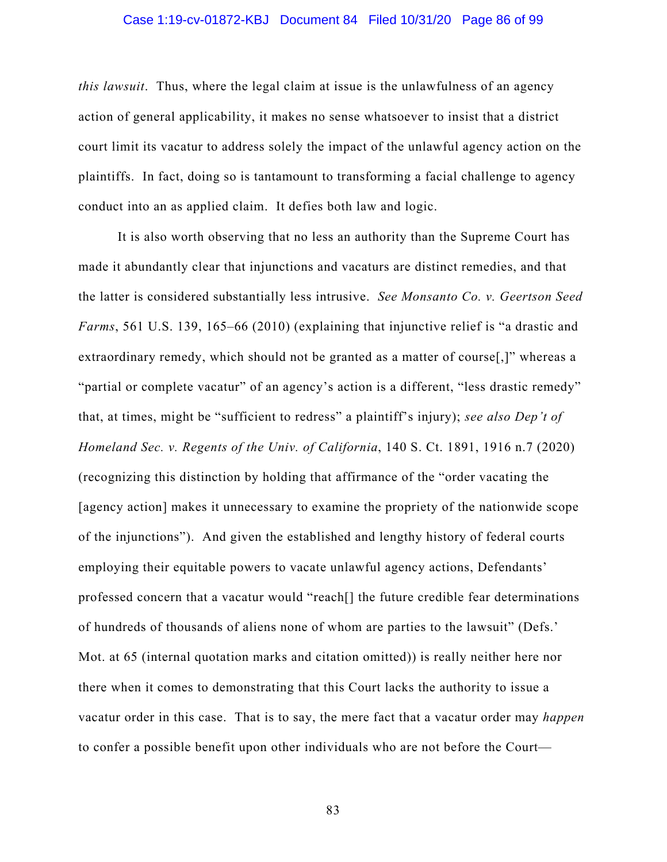# Case 1:19-cv-01872-KBJ Document 84 Filed 10/31/20 Page 86 of 99

*this lawsuit*. Thus, where the legal claim at issue is the unlawfulness of an agency action of general applicability, it makes no sense whatsoever to insist that a district court limit its vacatur to address solely the impact of the unlawful agency action on the plaintiffs. In fact, doing so is tantamount to transforming a facial challenge to agency conduct into an as applied claim. It defies both law and logic.

It is also worth observing that no less an authority than the Supreme Court has made it abundantly clear that injunctions and vacaturs are distinct remedies, and that the latter is considered substantially less intrusive. *See Monsanto Co. v. Geertson Seed Farms*, 561 U.S. 139, 165–66 (2010) (explaining that injunctive relief is "a drastic and extraordinary remedy, which should not be granted as a matter of course[,]" whereas a "partial or complete vacatur" of an agency's action is a different, "less drastic remedy" that, at times, might be "sufficient to redress" a plaintiff's injury); *see also Dep't of Homeland Sec. v. Regents of the Univ. of California*, 140 S. Ct. 1891, 1916 n.7 (2020) (recognizing this distinction by holding that affirmance of the "order vacating the [agency action] makes it unnecessary to examine the propriety of the nationwide scope of the injunctions"). And given the established and lengthy history of federal courts employing their equitable powers to vacate unlawful agency actions, Defendants' professed concern that a vacatur would "reach[] the future credible fear determinations of hundreds of thousands of aliens none of whom are parties to the lawsuit" (Defs.' Mot. at 65 (internal quotation marks and citation omitted)) is really neither here nor there when it comes to demonstrating that this Court lacks the authority to issue a vacatur order in this case. That is to say, the mere fact that a vacatur order may *happen* to confer a possible benefit upon other individuals who are not before the Court—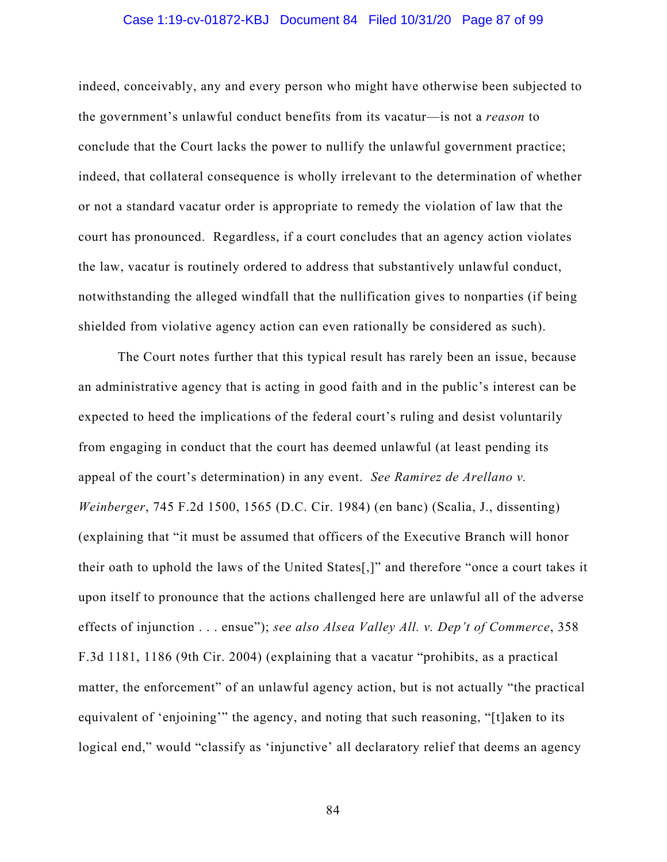# Case 1:19-cv-01872-KBJ Document 84 Filed 10/31/20 Page 87 of 99

indeed, conceivably, any and every person who might have otherwise been subjected to the government's unlawful conduct benefits from its vacatur—is not a *reason* to conclude that the Court lacks the power to nullify the unlawful government practice; indeed, that collateral consequence is wholly irrelevant to the determination of whether or not a standard vacatur order is appropriate to remedy the violation of law that the court has pronounced. Regardless, if a court concludes that an agency action violates the law, vacatur is routinely ordered to address that substantively unlawful conduct, notwithstanding the alleged windfall that the nullification gives to nonparties (if being shielded from violative agency action can even rationally be considered as such).

The Court notes further that this typical result has rarely been an issue, because an administrative agency that is acting in good faith and in the public's interest can be expected to heed the implications of the federal court's ruling and desist voluntarily from engaging in conduct that the court has deemed unlawful (at least pending its appeal of the court's determination) in any event. *See Ramirez de Arellano v. Weinberger*, 745 F.2d 1500, 1565 (D.C. Cir. 1984) (en banc) (Scalia, J., dissenting) (explaining that "it must be assumed that officers of the Executive Branch will honor their oath to uphold the laws of the United States[,]" and therefore "once a court takes it upon itself to pronounce that the actions challenged here are unlawful all of the adverse effects of injunction . . . ensue"); *see also Alsea Valley All. v. Dep't of Commerce*, 358 F.3d 1181, 1186 (9th Cir. 2004) (explaining that a vacatur "prohibits, as a practical matter, the enforcement" of an unlawful agency action, but is not actually "the practical equivalent of 'enjoining'" the agency, and noting that such reasoning, "[t]aken to its logical end," would "classify as 'injunctive' all declaratory relief that deems an agency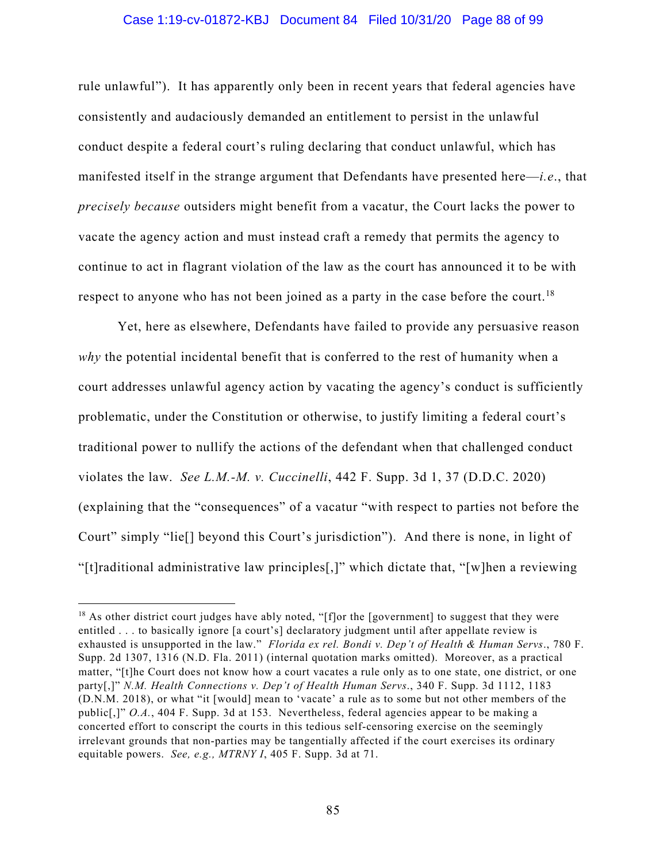# Case 1:19-cv-01872-KBJ Document 84 Filed 10/31/20 Page 88 of 99

rule unlawful"). It has apparently only been in recent years that federal agencies have consistently and audaciously demanded an entitlement to persist in the unlawful conduct despite a federal court's ruling declaring that conduct unlawful, which has manifested itself in the strange argument that Defendants have presented here—*i.e*., that *precisely because* outsiders might benefit from a vacatur, the Court lacks the power to vacate the agency action and must instead craft a remedy that permits the agency to continue to act in flagrant violation of the law as the court has announced it to be with respect to anyone who has not been joined as a party in the case before the court.<sup>18</sup>

Yet, here as elsewhere, Defendants have failed to provide any persuasive reason *why* the potential incidental benefit that is conferred to the rest of humanity when a court addresses unlawful agency action by vacating the agency's conduct is sufficiently problematic, under the Constitution or otherwise, to justify limiting a federal court's traditional power to nullify the actions of the defendant when that challenged conduct violates the law. *See L.M.-M. v. Cuccinelli*, 442 F. Supp. 3d 1, 37 (D.D.C. 2020) (explaining that the "consequences" of a vacatur "with respect to parties not before the Court" simply "lie[] beyond this Court's jurisdiction"). And there is none, in light of "[t]raditional administrative law principles[,]" which dictate that, "[w]hen a reviewing

<sup>&</sup>lt;sup>18</sup> As other district court judges have ably noted, "[f]or the [government] to suggest that they were entitled . . . to basically ignore [a court's] declaratory judgment until after appellate review is exhausted is unsupported in the law." *Florida ex rel. Bondi v. Dep't of Health & Human Servs*., 780 F. Supp. 2d 1307, 1316 (N.D. Fla. 2011) (internal quotation marks omitted). Moreover, as a practical matter, "[t]he Court does not know how a court vacates a rule only as to one state, one district, or one party[,]" *N.M. Health Connections v. Dep't of Health Human Servs*., 340 F. Supp. 3d 1112, 1183 (D.N.M. 2018), or what "it [would] mean to 'vacate' a rule as to some but not other members of the public[,]" *O.A.*, 404 F. Supp. 3d at 153. Nevertheless, federal agencies appear to be making a concerted effort to conscript the courts in this tedious self-censoring exercise on the seemingly irrelevant grounds that non-parties may be tangentially affected if the court exercises its ordinary equitable powers. *See, e.g., MTRNY I*, 405 F. Supp. 3d at 71.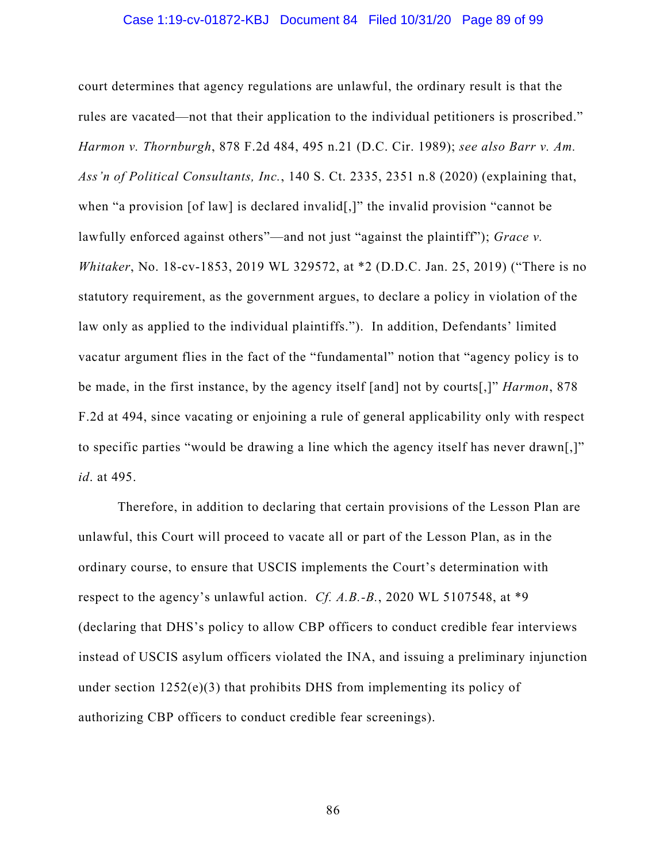#### Case 1:19-cv-01872-KBJ Document 84 Filed 10/31/20 Page 89 of 99

court determines that agency regulations are unlawful, the ordinary result is that the rules are vacated—not that their application to the individual petitioners is proscribed." *Harmon v. Thornburgh*, 878 F.2d 484, 495 n.21 (D.C. Cir. 1989); *see also Barr v. Am. Ass'n of Political Consultants, Inc.*, 140 S. Ct. 2335, 2351 n.8 (2020) (explaining that, when "a provision [of law] is declared invalid[,]" the invalid provision "cannot be lawfully enforced against others"—and not just "against the plaintiff"); *Grace v. Whitaker*, No. 18-cv-1853, 2019 WL 329572, at \*2 (D.D.C. Jan. 25, 2019) ("There is no statutory requirement, as the government argues, to declare a policy in violation of the law only as applied to the individual plaintiffs."). In addition, Defendants' limited vacatur argument flies in the fact of the "fundamental" notion that "agency policy is to be made, in the first instance, by the agency itself [and] not by courts[,]" *Harmon*, 878 F.2d at 494, since vacating or enjoining a rule of general applicability only with respect to specific parties "would be drawing a line which the agency itself has never drawn[,]" *id*. at 495.

Therefore, in addition to declaring that certain provisions of the Lesson Plan are unlawful, this Court will proceed to vacate all or part of the Lesson Plan, as in the ordinary course, to ensure that USCIS implements the Court's determination with respect to the agency's unlawful action. *Cf. A.B.-B.*, 2020 WL 5107548, at \*9 (declaring that DHS's policy to allow CBP officers to conduct credible fear interviews instead of USCIS asylum officers violated the INA, and issuing a preliminary injunction under section  $1252(e)(3)$  that prohibits DHS from implementing its policy of authorizing CBP officers to conduct credible fear screenings).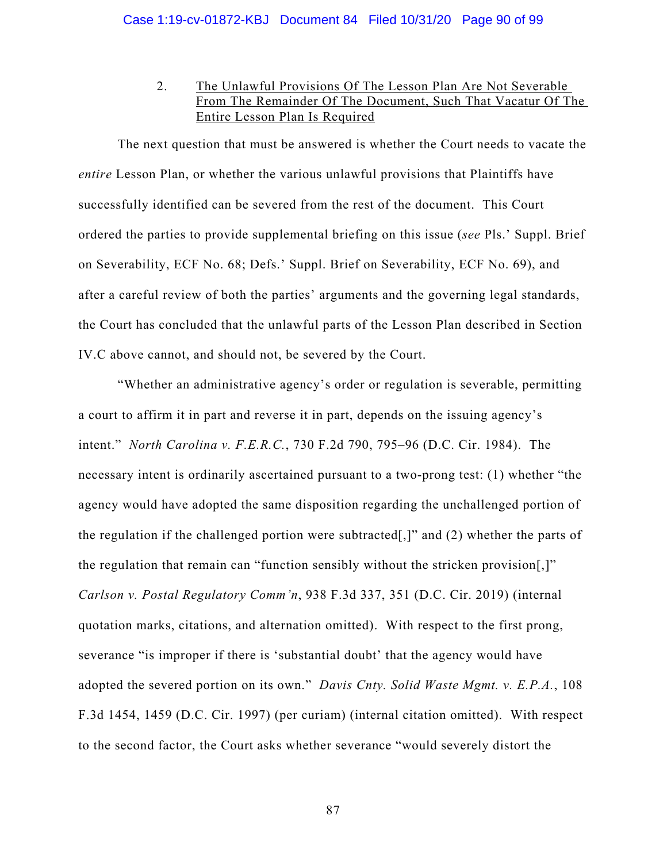2. The Unlawful Provisions Of The Lesson Plan Are Not Severable From The Remainder Of The Document, Such That Vacatur Of The Entire Lesson Plan Is Required

The next question that must be answered is whether the Court needs to vacate the *entire* Lesson Plan, or whether the various unlawful provisions that Plaintiffs have successfully identified can be severed from the rest of the document. This Court ordered the parties to provide supplemental briefing on this issue (*see* Pls.' Suppl. Brief on Severability, ECF No. 68; Defs.' Suppl. Brief on Severability, ECF No. 69), and after a careful review of both the parties' arguments and the governing legal standards, the Court has concluded that the unlawful parts of the Lesson Plan described in Section IV.C above cannot, and should not, be severed by the Court.

"Whether an administrative agency's order or regulation is severable, permitting a court to affirm it in part and reverse it in part, depends on the issuing agency's intent." *North Carolina v. F.E.R.C.*, 730 F.2d 790, 795–96 (D.C. Cir. 1984). The necessary intent is ordinarily ascertained pursuant to a two-prong test: (1) whether "the agency would have adopted the same disposition regarding the unchallenged portion of the regulation if the challenged portion were subtracted[,]" and (2) whether the parts of the regulation that remain can "function sensibly without the stricken provision[,]" *Carlson v. Postal Regulatory Comm'n*, 938 F.3d 337, 351 (D.C. Cir. 2019) (internal quotation marks, citations, and alternation omitted). With respect to the first prong, severance "is improper if there is 'substantial doubt' that the agency would have adopted the severed portion on its own." *Davis Cnty. Solid Waste Mgmt. v. E.P.A.*, 108 F.3d 1454, 1459 (D.C. Cir. 1997) (per curiam) (internal citation omitted). With respect to the second factor, the Court asks whether severance "would severely distort the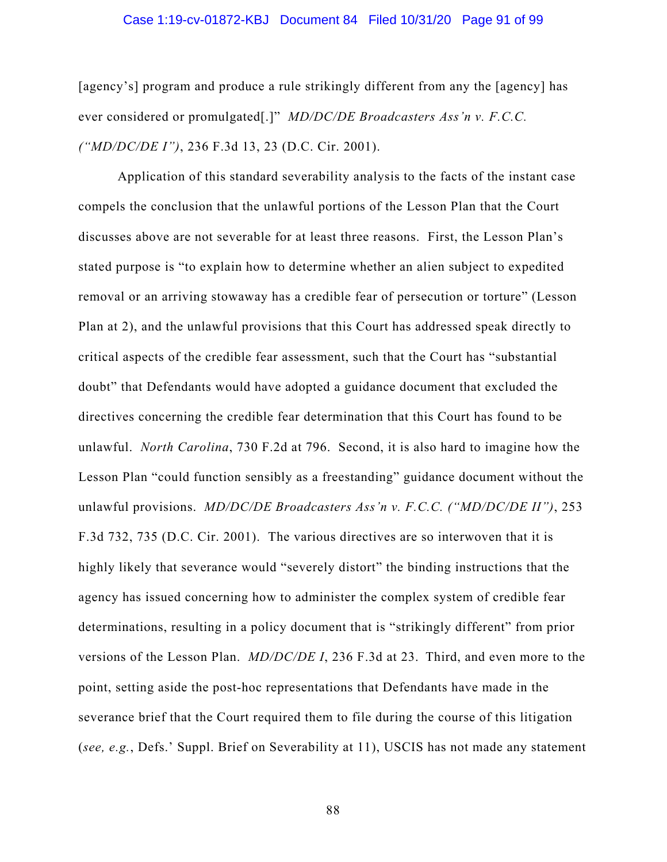#### Case 1:19-cv-01872-KBJ Document 84 Filed 10/31/20 Page 91 of 99

[agency's] program and produce a rule strikingly different from any the [agency] has ever considered or promulgated[.]" *MD/DC/DE Broadcasters Ass'n v. F.C.C. ("MD/DC/DE I")*, 236 F.3d 13, 23 (D.C. Cir. 2001).

Application of this standard severability analysis to the facts of the instant case compels the conclusion that the unlawful portions of the Lesson Plan that the Court discusses above are not severable for at least three reasons. First, the Lesson Plan's stated purpose is "to explain how to determine whether an alien subject to expedited removal or an arriving stowaway has a credible fear of persecution or torture" (Lesson Plan at 2), and the unlawful provisions that this Court has addressed speak directly to critical aspects of the credible fear assessment, such that the Court has "substantial doubt" that Defendants would have adopted a guidance document that excluded the directives concerning the credible fear determination that this Court has found to be unlawful. *North Carolina*, 730 F.2d at 796. Second, it is also hard to imagine how the Lesson Plan "could function sensibly as a freestanding" guidance document without the unlawful provisions. *MD/DC/DE Broadcasters Ass'n v. F.C.C. ("MD/DC/DE II")*, 253 F.3d 732, 735 (D.C. Cir. 2001). The various directives are so interwoven that it is highly likely that severance would "severely distort" the binding instructions that the agency has issued concerning how to administer the complex system of credible fear determinations, resulting in a policy document that is "strikingly different" from prior versions of the Lesson Plan. *MD/DC/DE I*, 236 F.3d at 23. Third, and even more to the point, setting aside the post-hoc representations that Defendants have made in the severance brief that the Court required them to file during the course of this litigation (*see, e.g.*, Defs.' Suppl. Brief on Severability at 11), USCIS has not made any statement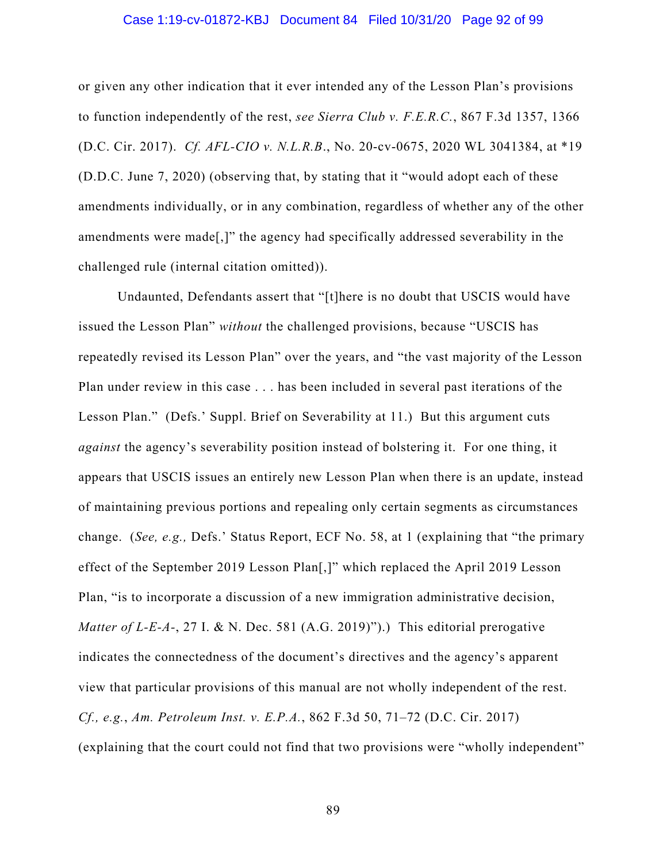# Case 1:19-cv-01872-KBJ Document 84 Filed 10/31/20 Page 92 of 99

or given any other indication that it ever intended any of the Lesson Plan's provisions to function independently of the rest, *see Sierra Club v. F.E.R.C.*, 867 F.3d 1357, 1366 (D.C. Cir. 2017). *Cf. AFL-CIO v. N.L.R.B*., No. 20-cv-0675, 2020 WL 3041384, at \*19 (D.D.C. June 7, 2020) (observing that, by stating that it "would adopt each of these amendments individually, or in any combination, regardless of whether any of the other amendments were made[,]" the agency had specifically addressed severability in the challenged rule (internal citation omitted)).

Undaunted, Defendants assert that "[t]here is no doubt that USCIS would have issued the Lesson Plan" *without* the challenged provisions, because "USCIS has repeatedly revised its Lesson Plan" over the years, and "the vast majority of the Lesson Plan under review in this case . . . has been included in several past iterations of the Lesson Plan." (Defs.' Suppl. Brief on Severability at 11.) But this argument cuts *against* the agency's severability position instead of bolstering it. For one thing, it appears that USCIS issues an entirely new Lesson Plan when there is an update, instead of maintaining previous portions and repealing only certain segments as circumstances change. (*See, e.g.,* Defs.' Status Report, ECF No. 58, at 1 (explaining that "the primary effect of the September 2019 Lesson Plan[,]" which replaced the April 2019 Lesson Plan, "is to incorporate a discussion of a new immigration administrative decision, *Matter of L-E-A-*, 27 I. & N. Dec. 581 (A.G. 2019)").) This editorial prerogative indicates the connectedness of the document's directives and the agency's apparent view that particular provisions of this manual are not wholly independent of the rest. *Cf., e.g.*, *Am. Petroleum Inst. v. E.P.A.*, 862 F.3d 50, 71–72 (D.C. Cir. 2017) (explaining that the court could not find that two provisions were "wholly independent"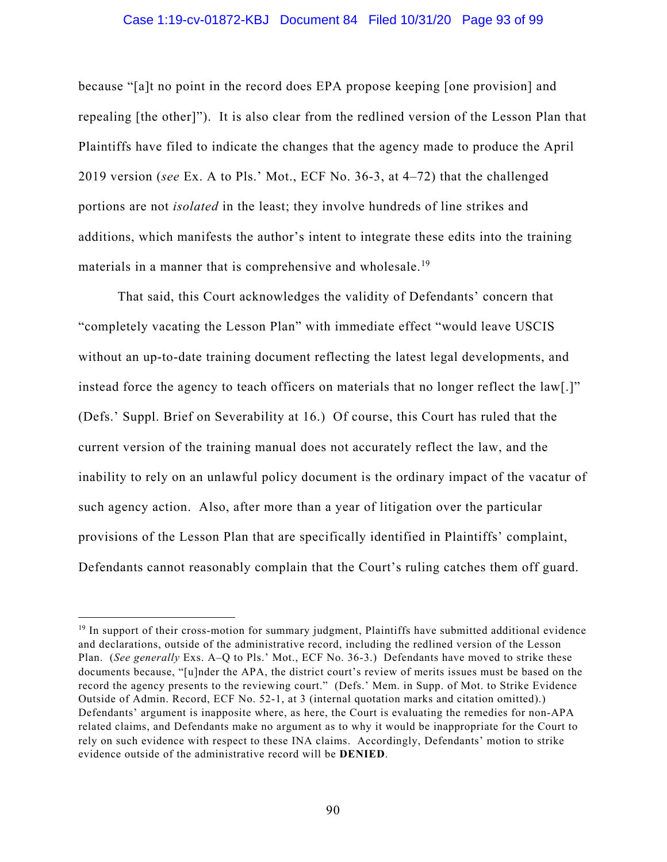# Case 1:19-cv-01872-KBJ Document 84 Filed 10/31/20 Page 93 of 99

because "[a]t no point in the record does EPA propose keeping [one provision] and repealing [the other]"). It is also clear from the redlined version of the Lesson Plan that Plaintiffs have filed to indicate the changes that the agency made to produce the April 2019 version (*see* Ex. A to Pls.' Mot., ECF No. 36-3, at 4–72) that the challenged portions are not *isolated* in the least; they involve hundreds of line strikes and additions, which manifests the author's intent to integrate these edits into the training materials in a manner that is comprehensive and wholesale.<sup>19</sup>

That said, this Court acknowledges the validity of Defendants' concern that "completely vacating the Lesson Plan" with immediate effect "would leave USCIS without an up-to-date training document reflecting the latest legal developments, and instead force the agency to teach officers on materials that no longer reflect the law[.]" (Defs.' Suppl. Brief on Severability at 16.) Of course, this Court has ruled that the current version of the training manual does not accurately reflect the law, and the inability to rely on an unlawful policy document is the ordinary impact of the vacatur of such agency action. Also, after more than a year of litigation over the particular provisions of the Lesson Plan that are specifically identified in Plaintiffs' complaint, Defendants cannot reasonably complain that the Court's ruling catches them off guard.

<sup>&</sup>lt;sup>19</sup> In support of their cross-motion for summary judgment, Plaintiffs have submitted additional evidence and declarations, outside of the administrative record, including the redlined version of the Lesson Plan. (*See generally* Exs. A–Q to Pls.' Mot., ECF No. 36-3.) Defendants have moved to strike these documents because, "[u]nder the APA, the district court's review of merits issues must be based on the record the agency presents to the reviewing court." (Defs.' Mem. in Supp. of Mot. to Strike Evidence Outside of Admin. Record, ECF No. 52-1, at 3 (internal quotation marks and citation omitted).) Defendants' argument is inapposite where, as here, the Court is evaluating the remedies for non-APA related claims, and Defendants make no argument as to why it would be inappropriate for the Court to rely on such evidence with respect to these INA claims. Accordingly, Defendants' motion to strike evidence outside of the administrative record will be **DENIED**.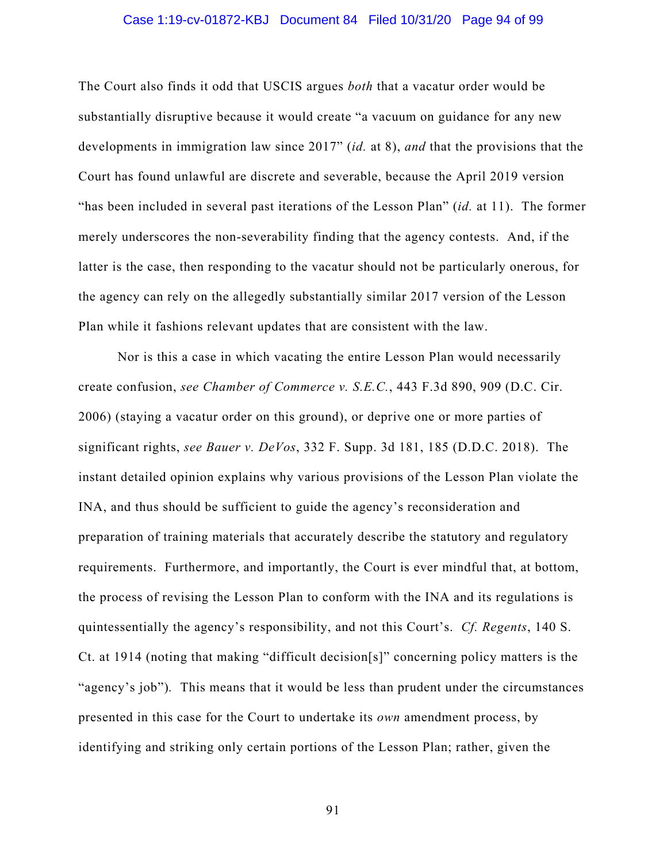# Case 1:19-cv-01872-KBJ Document 84 Filed 10/31/20 Page 94 of 99

The Court also finds it odd that USCIS argues *both* that a vacatur order would be substantially disruptive because it would create "a vacuum on guidance for any new developments in immigration law since 2017" (*id.* at 8), *and* that the provisions that the Court has found unlawful are discrete and severable, because the April 2019 version "has been included in several past iterations of the Lesson Plan" (*id.* at 11). The former merely underscores the non-severability finding that the agency contests. And, if the latter is the case, then responding to the vacatur should not be particularly onerous, for the agency can rely on the allegedly substantially similar 2017 version of the Lesson Plan while it fashions relevant updates that are consistent with the law.

Nor is this a case in which vacating the entire Lesson Plan would necessarily create confusion, *see Chamber of Commerce v. S.E.C.*, 443 F.3d 890, 909 (D.C. Cir. 2006) (staying a vacatur order on this ground), or deprive one or more parties of significant rights, *see Bauer v. DeVos*, 332 F. Supp. 3d 181, 185 (D.D.C. 2018). The instant detailed opinion explains why various provisions of the Lesson Plan violate the INA, and thus should be sufficient to guide the agency's reconsideration and preparation of training materials that accurately describe the statutory and regulatory requirements. Furthermore, and importantly, the Court is ever mindful that, at bottom, the process of revising the Lesson Plan to conform with the INA and its regulations is quintessentially the agency's responsibility, and not this Court's. *Cf. Regents*, 140 S. Ct. at 1914 (noting that making "difficult decision[s]" concerning policy matters is the "agency's job")*.* This means that it would be less than prudent under the circumstances presented in this case for the Court to undertake its *own* amendment process, by identifying and striking only certain portions of the Lesson Plan; rather, given the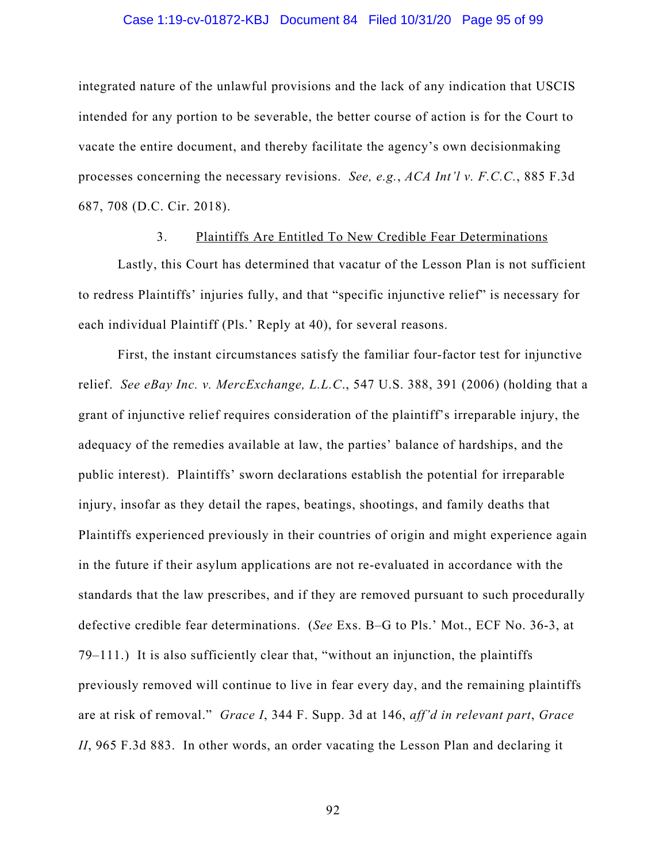# Case 1:19-cv-01872-KBJ Document 84 Filed 10/31/20 Page 95 of 99

integrated nature of the unlawful provisions and the lack of any indication that USCIS intended for any portion to be severable, the better course of action is for the Court to vacate the entire document, and thereby facilitate the agency's own decisionmaking processes concerning the necessary revisions. *See, e.g.*, *ACA Int'l v. F.C.C.*, 885 F.3d 687, 708 (D.C. Cir. 2018).

# 3. Plaintiffs Are Entitled To New Credible Fear Determinations

Lastly, this Court has determined that vacatur of the Lesson Plan is not sufficient to redress Plaintiffs' injuries fully, and that "specific injunctive relief" is necessary for each individual Plaintiff (Pls.' Reply at 40), for several reasons.

First, the instant circumstances satisfy the familiar four-factor test for injunctive relief. *See eBay Inc. v. MercExchange, L.L.C*., 547 U.S. 388, 391 (2006) (holding that a grant of injunctive relief requires consideration of the plaintiff's irreparable injury, the adequacy of the remedies available at law, the parties' balance of hardships, and the public interest). Plaintiffs' sworn declarations establish the potential for irreparable injury, insofar as they detail the rapes, beatings, shootings, and family deaths that Plaintiffs experienced previously in their countries of origin and might experience again in the future if their asylum applications are not re-evaluated in accordance with the standards that the law prescribes, and if they are removed pursuant to such procedurally defective credible fear determinations. (*See* Exs. B–G to Pls.' Mot., ECF No. 36-3, at 79–111.) It is also sufficiently clear that, "without an injunction, the plaintiffs previously removed will continue to live in fear every day, and the remaining plaintiffs are at risk of removal." *Grace I*, 344 F. Supp. 3d at 146, *aff'd in relevant part*, *Grace II*, 965 F.3d 883. In other words, an order vacating the Lesson Plan and declaring it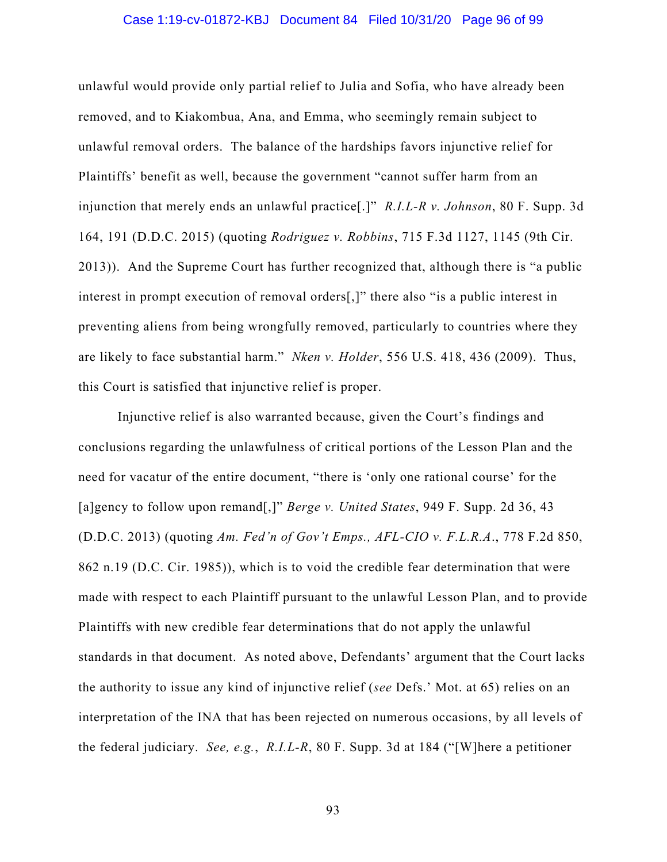# Case 1:19-cv-01872-KBJ Document 84 Filed 10/31/20 Page 96 of 99

unlawful would provide only partial relief to Julia and Sofia, who have already been removed, and to Kiakombua, Ana, and Emma, who seemingly remain subject to unlawful removal orders. The balance of the hardships favors injunctive relief for Plaintiffs' benefit as well, because the government "cannot suffer harm from an injunction that merely ends an unlawful practice[.]" *R.I.L-R v. Johnson*, 80 F. Supp. 3d 164, 191 (D.D.C. 2015) (quoting *Rodriguez v. Robbins*, 715 F.3d 1127, 1145 (9th Cir. 2013)). And the Supreme Court has further recognized that, although there is "a public interest in prompt execution of removal orders[,]" there also "is a public interest in preventing aliens from being wrongfully removed, particularly to countries where they are likely to face substantial harm." *Nken v. Holder*, 556 U.S. 418, 436 (2009). Thus, this Court is satisfied that injunctive relief is proper.

Injunctive relief is also warranted because, given the Court's findings and conclusions regarding the unlawfulness of critical portions of the Lesson Plan and the need for vacatur of the entire document, "there is 'only one rational course' for the [a]gency to follow upon remand[,]" *Berge v. United States*, 949 F. Supp. 2d 36, 43 (D.D.C. 2013) (quoting *Am. Fed'n of Gov't Emps., AFL-CIO v. F.L.R.A*., 778 F.2d 850, 862 n.19 (D.C. Cir. 1985)), which is to void the credible fear determination that were made with respect to each Plaintiff pursuant to the unlawful Lesson Plan, and to provide Plaintiffs with new credible fear determinations that do not apply the unlawful standards in that document. As noted above, Defendants' argument that the Court lacks the authority to issue any kind of injunctive relief (*see* Defs.' Mot. at 65) relies on an interpretation of the INA that has been rejected on numerous occasions, by all levels of the federal judiciary. *See, e.g.*, *R.I.L-R*, 80 F. Supp. 3d at 184 ("[W]here a petitioner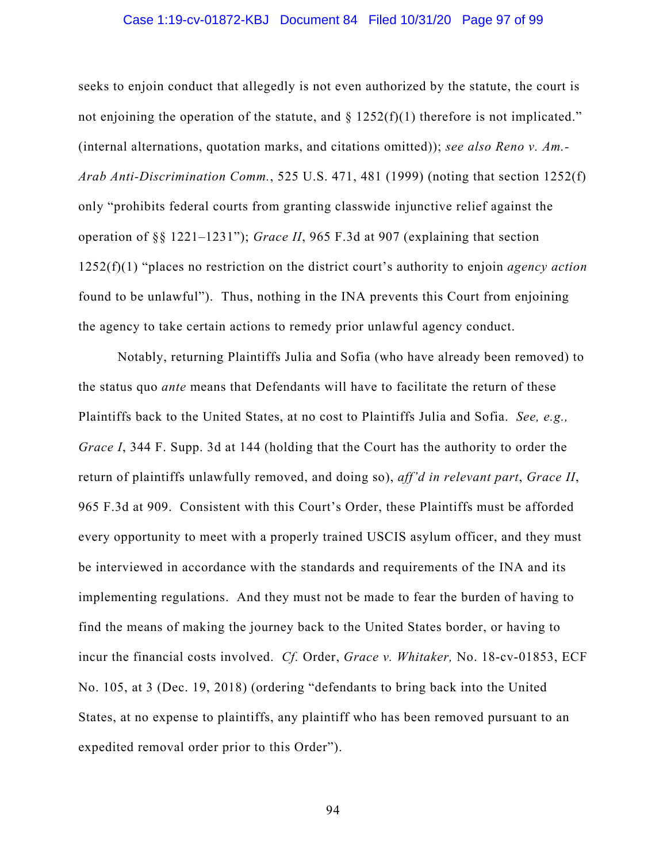# Case 1:19-cv-01872-KBJ Document 84 Filed 10/31/20 Page 97 of 99

seeks to enjoin conduct that allegedly is not even authorized by the statute, the court is not enjoining the operation of the statute, and  $\S$  1252(f)(1) therefore is not implicated." (internal alternations, quotation marks, and citations omitted)); *see also Reno v. Am.- Arab Anti-Discrimination Comm.*, 525 U.S. 471, 481 (1999) (noting that section 1252(f) only "prohibits federal courts from granting classwide injunctive relief against the operation of §§ 1221–1231"); *Grace II*, 965 F.3d at 907 (explaining that section 1252(f)(1) "places no restriction on the district court's authority to enjoin *agency action* found to be unlawful"). Thus, nothing in the INA prevents this Court from enjoining the agency to take certain actions to remedy prior unlawful agency conduct.

Notably, returning Plaintiffs Julia and Sofia (who have already been removed) to the status quo *ante* means that Defendants will have to facilitate the return of these Plaintiffs back to the United States, at no cost to Plaintiffs Julia and Sofia. *See, e.g., Grace I*, 344 F. Supp. 3d at 144 (holding that the Court has the authority to order the return of plaintiffs unlawfully removed, and doing so), *aff'd in relevant part*, *Grace II*, 965 F.3d at 909. Consistent with this Court's Order, these Plaintiffs must be afforded every opportunity to meet with a properly trained USCIS asylum officer, and they must be interviewed in accordance with the standards and requirements of the INA and its implementing regulations. And they must not be made to fear the burden of having to find the means of making the journey back to the United States border, or having to incur the financial costs involved. *Cf.* Order, *Grace v. Whitaker,* No. 18-cv-01853, ECF No. 105, at 3 (Dec. 19, 2018) (ordering "defendants to bring back into the United States, at no expense to plaintiffs, any plaintiff who has been removed pursuant to an expedited removal order prior to this Order").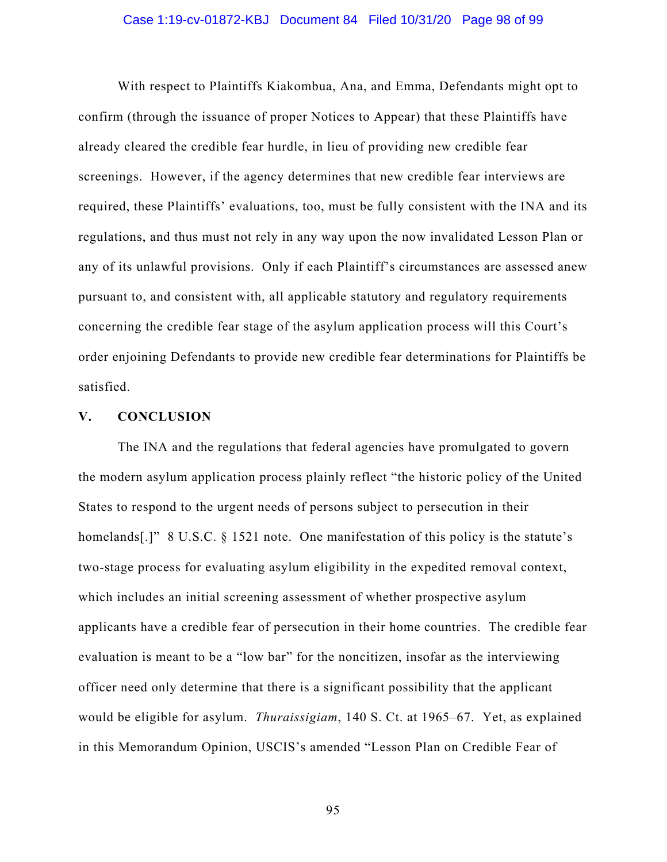#### Case 1:19-cv-01872-KBJ Document 84 Filed 10/31/20 Page 98 of 99

With respect to Plaintiffs Kiakombua, Ana, and Emma, Defendants might opt to confirm (through the issuance of proper Notices to Appear) that these Plaintiffs have already cleared the credible fear hurdle, in lieu of providing new credible fear screenings. However, if the agency determines that new credible fear interviews are required, these Plaintiffs' evaluations, too, must be fully consistent with the INA and its regulations, and thus must not rely in any way upon the now invalidated Lesson Plan or any of its unlawful provisions. Only if each Plaintiff's circumstances are assessed anew pursuant to, and consistent with, all applicable statutory and regulatory requirements concerning the credible fear stage of the asylum application process will this Court's order enjoining Defendants to provide new credible fear determinations for Plaintiffs be satisfied.

# **V. CONCLUSION**

The INA and the regulations that federal agencies have promulgated to govern the modern asylum application process plainly reflect "the historic policy of the United States to respond to the urgent needs of persons subject to persecution in their homelands[.]" 8 U.S.C. § 1521 note. One manifestation of this policy is the statute's two-stage process for evaluating asylum eligibility in the expedited removal context, which includes an initial screening assessment of whether prospective asylum applicants have a credible fear of persecution in their home countries. The credible fear evaluation is meant to be a "low bar" for the noncitizen, insofar as the interviewing officer need only determine that there is a significant possibility that the applicant would be eligible for asylum. *Thuraissigiam*, 140 S. Ct. at 1965–67. Yet, as explained in this Memorandum Opinion, USCIS's amended "Lesson Plan on Credible Fear of